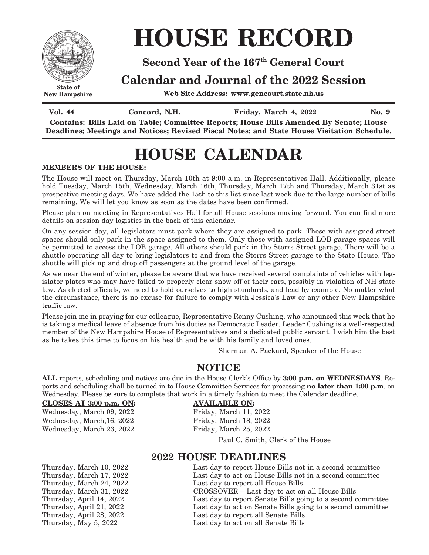

**New Hampshire**

# **HOUSE RECORD**

### **Second Year of the 167th General Court**

### **Calendar and Journal of the 2022 Session**

**Web Site Address: www.gencourt.state.nh.us**

**Vol.** 44 **Concord, N.H. Friday, March** 4, 2022 **No.** 9

**Contains: Bills Laid on Table; Committee Reports; House Bills Amended By Senate; House Deadlines; Meetings and Notices; Revised Fiscal Notes; and State House Visitation Schedule.**

## **HOUSE CALENDAR**

#### **MEMBERS OF THE HOUSE:**

The House will meet on Thursday, March 10th at 9:00 a.m. in Representatives Hall. Additionally, please hold Tuesday, March 15th, Wednesday, March 16th, Thursday, March 17th and Thursday, March 31st as prospective meeting days. We have added the 15th to this list since last week due to the large number of bills remaining. We will let you know as soon as the dates have been confirmed.

Please plan on meeting in Representatives Hall for all House sessions moving forward. You can find more details on session day logistics in the back of this calendar.

On any session day, all legislators must park where they are assigned to park. Those with assigned street spaces should only park in the space assigned to them. Only those with assigned LOB garage spaces will be permitted to access the LOB garage. All others should park in the Storrs Street garage. There will be a shuttle operating all day to bring legislators to and from the Storrs Street garage to the State House. The shuttle will pick up and drop off passengers at the ground level of the garage.

As we near the end of winter, please be aware that we have received several complaints of vehicles with legislator plates who may have failed to properly clear snow off of their cars, possibly in violation of NH state law. As elected officials, we need to hold ourselves to high standards, and lead by example. No matter what the circumstance, there is no excuse for failure to comply with Jessica's Law or any other New Hampshire traffic law.

Please join me in praying for our colleague, Representative Renny Cushing, who announced this week that he is taking a medical leave of absence from his duties as Democratic Leader. Leader Cushing is a well-respected member of the New Hampshire House of Representatives and a dedicated public servant. I wish him the best as he takes this time to focus on his health and be with his family and loved ones.

Sherman A. Packard, Speaker of the House

### **NOTICE**

**ALL** reports, scheduling and notices are due in the House Clerk's Office by **3:00 p.m. on WEDNESDAYS**. Reports and scheduling shall be turned in to House Committee Services for processing **no later than 1:00 p.m**. on Wednesday. Please be sure to complete that work in a timely fashion to meet the Calendar deadline.

#### **CLOSES AT 3:00 p.m. ON: AVAILABLE ON:**

Wednesday, March 09, 2022 Friday, March 11, 2022 Wednesday, March,16, 2022 Friday, March 18, 2022 Wednesday, March 23, 2022 Friday, March 25, 2022

Paul C. Smith, Clerk of the House

### **2022 HOUSE DEADLINES**

Thursday, March 10, 2022 Last day to report House Bills not in a second committee Thursday, March 17, 2022 Last day to act on House Bills not in a second committee<br>Thursday, March 24, 2022 Last day to report all House Bills Thursday, March 24, 2022 Last day to report all House Bills<br>Thursday, March 31, 2022 CROSSOVER – Last day to act on CROSSOVER – Last day to act on all House Bills Thursday, April 14, 2022 Last day to report Senate Bills going to a second committee Thursday, April 21, 2022 Last day to act on Senate Bills going to a second committee Thursday, April 28, 2022 Last day to report all Senate Bills Thursday, May 5, 2022 Last day to act on all Senate Bills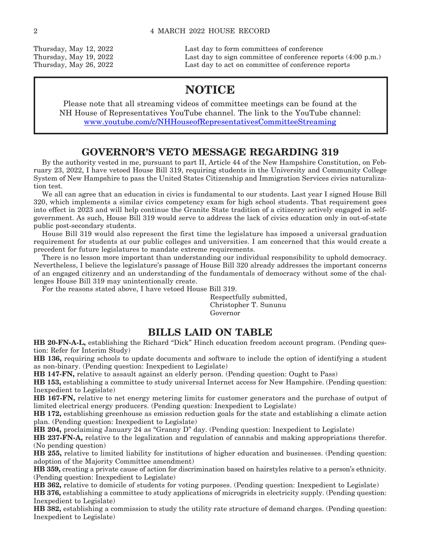Thursday, May 12, 2022 Last day to form committees of conference Thursday, May 19, 2022 Last day to sign committee of conference reports (4:00 p.m.) Thursday, May 26, 2022 Last day to act on committee of conference reports

### **NOTICE**

Please note that all streaming videos of committee meetings can be found at the NH House of Representatives YouTube channel. The link to the YouTube channel: www.youtube.com/c/NHHouseofRepresentativesCommitteeStreaming

### **GOVERNOR'S VETO MESSAGE REGARDING 319**

By the authority vested in me, pursuant to part II, Article 44 of the New Hampshire Constitution, on February 23, 2022, I have vetoed House Bill 319, requiring students in the University and Community College System of New Hampshire to pass the United States Citizenship and Immigration Services civics naturalization test.

We all can agree that an education in civics is fundamental to our students. Last year I signed House Bill 320, which implements a similar civics competency exam for high school students. That requirement goes into effect in 2023 and will help continue the Granite State tradition of a citizenry actively engaged in selfgovernment. As such, House Bill 319 would serve to address the lack of civics education only in out-of-state public post-secondary students.

House Bill 319 would also represent the first time the legislature has imposed a universal graduation requirement for students at our public colleges and universities. I am concerned that this would create a precedent for future legislatures to mandate extreme requirements.

There is no lesson more important than understanding our individual responsibility to uphold democracy. Nevertheless, I believe the legislature's passage of House Bill 320 already addresses the important concerns of an engaged citizenry and an understanding of the fundamentals of democracy without some of the challenges House Bill 319 may unintentionally create.

For the reasons stated above, I have vetoed House Bill 319.

 Respectfully submitted, Christopher T. Sununu Governor

### **BILLS LAID ON TABLE**

**HB 20-FN-A-L,** establishing the Richard "Dick" Hinch education freedom account program. (Pending question: Refer for Interim Study)

**HB 136,** requiring schools to update documents and software to include the option of identifying a student as non-binary. (Pending question: Inexpedient to Legislate)

**HB 147-FN,** relative to assault against an elderly person. (Pending question: Ought to Pass)

**HB 153,** establishing a committee to study universal Internet access for New Hampshire. (Pending question: Inexpedient to Legislate)

**HB 167-FN,** relative to net energy metering limits for customer generators and the purchase of output of limited electrical energy producers. (Pending question: Inexpedient to Legislate)

**HB 172,** establishing greenhouse as emission reduction goals for the state and establishing a climate action plan. (Pending question: Inexpedient to Legislate)

**HB 204,** proclaiming January 24 as "Granny D" day. (Pending question: Inexpedient to Legislate)

**HB 237-FN-A,** relative to the legalization and regulation of cannabis and making appropriations therefor. (No pending question)

**HB 255,** relative to limited liability for institutions of higher education and businesses. (Pending question: adoption of the Majority Committee amendment)

**HB 359,** creating a private cause of action for discrimination based on hairstyles relative to a person's ethnicity. (Pending question: Inexpedient to Legislate)

**HB 362,** relative to domicile of students for voting purposes. (Pending question: Inexpedient to Legislate)

**HB 376,** establishing a committee to study applications of microgrids in electricity supply. (Pending question: Inexpedient to Legislate)

**HB 382,** establishing a commission to study the utility rate structure of demand charges. (Pending question: Inexpedient to Legislate)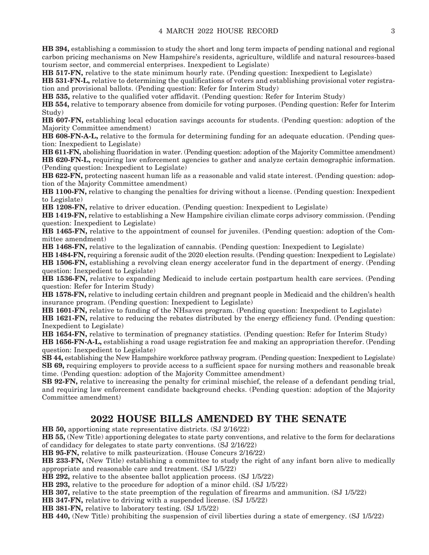**HB 394,** establishing a commission to study the short and long term impacts of pending national and regional carbon pricing mechanisms on New Hampshire's residents, agriculture, wildlife and natural resources-based tourism sector, and commercial enterprises. Inexpedient to Legislate)

**HB 517-FN,** relative to the state minimum hourly rate. (Pending question: Inexpedient to Legislate)

**HB 531-FN-L,** relative to determining the qualifications of voters and establishing provisional voter registration and provisional ballots. (Pending question: Refer for Interim Study)

**HB 535,** relative to the qualified voter affidavit. (Pending question: Refer for Interim Study)

**HB 554,** relative to temporary absence from domicile for voting purposes. (Pending question: Refer for Interim Study)

**HB 607-FN,** establishing local education savings accounts for students. (Pending question: adoption of the Majority Committee amendment)

**HB 608-FN-A-L,** relative to the formula for determining funding for an adequate education. (Pending question: Inexpedient to Legislate)

**HB 611-FN,** abolishing fluoridation in water. (Pending question: adoption of the Majority Committee amendment) **HB 620-FN-L,** requiring law enforcement agencies to gather and analyze certain demographic information. (Pending question: Inexpedient to Legislate)

**HB 622-FN,** protecting nascent human life as a reasonable and valid state interest. (Pending question: adoption of the Majority Committee amendment)

**HB 1100-FN,** relative to changing the penalties for driving without a license. (Pending question: Inexpedient to Legislate)

**HB 1208-FN,** relative to driver education. (Pending question: Inexpedient to Legislate)

**HB 1419-FN,** relative to establishing a New Hampshire civilian climate corps advisory commission. (Pending question: Inexpedient to Legislate)

**HB 1465-FN,** relative to the appointment of counsel for juveniles. (Pending question: adoption of the Committee amendment)

**HB 1468-FN,** relative to the legalization of cannabis. (Pending question: Inexpedient to Legislate)

**HB 1484-FN,** requiring a forensic audit of the 2020 election results. (Pending question: Inexpedient to Legislate) **HB 1506-FN,** establishing a revolving clean energy accelerator fund in the department of energy. (Pending question: Inexpedient to Legislate)

**HB 1536-FN,** relative to expanding Medicaid to include certain postpartum health care services. (Pending question: Refer for Interim Study)

**HB 1578-FN,** relative to including certain children and pregnant people in Medicaid and the children's health insurance program. (Pending question: Inexpedient to Legislate)

**HB 1601-FN,** relative to funding of the NHsaves program. (Pending question: Inexpedient to Legislate)

**HB 1621-FN,** relative to reducing the rebates distributed by the energy efficiency fund. (Pending question: Inexpedient to Legislate)

**HB 1654-FN,** relative to termination of pregnancy statistics. (Pending question: Refer for Interim Study) **HB 1656-FN-A-L,** establishing a road usage registration fee and making an appropriation therefor. (Pending

question: Inexpedient to Legislate)

**SB 44,** establishing the New Hampshire workforce pathway program. (Pending question: Inexpedient to Legislate) **SB 69,** requiring employers to provide access to a sufficient space for nursing mothers and reasonable break time. (Pending question: adoption of the Majority Committee amendment)

**SB 92-FN,** relative to increasing the penalty for criminal mischief, the release of a defendant pending trial, and requiring law enforcement candidate background checks. (Pending question: adoption of the Majority Committee amendment)

### **2022 HOUSE BILLS AMENDED BY THE SENATE**

**HB 50,** apportioning state representative districts. (SJ 2/16/22)

**HB 55,** (New Title) apportioning delegates to state party conventions, and relative to the form for declarations of candidacy for delegates to state party conventions. (SJ 2/16/22)

**HB 95-FN,** relative to milk pasteurization. (House Concurs 2/16/22)

**HB 233-FN,** (New Title) establishing a committee to study the right of any infant born alive to medically appropriate and reasonable care and treatment. (SJ 1/5/22)

**HB 292,** relative to the absentee ballot application process. (SJ 1/5/22)

**HB 293,** relative to the procedure for adoption of a minor child. (SJ 1/5/22)

**HB 307,** relative to the state preemption of the regulation of firearms and ammunition. (SJ 1/5/22)

**HB 347-FN,** relative to driving with a suspended license. (SJ 1/5/22)

**HB 381-FN,** relative to laboratory testing. (SJ 1/5/22)

**HB 440,** (New Title) prohibiting the suspension of civil liberties during a state of emergency. (SJ 1/5/22)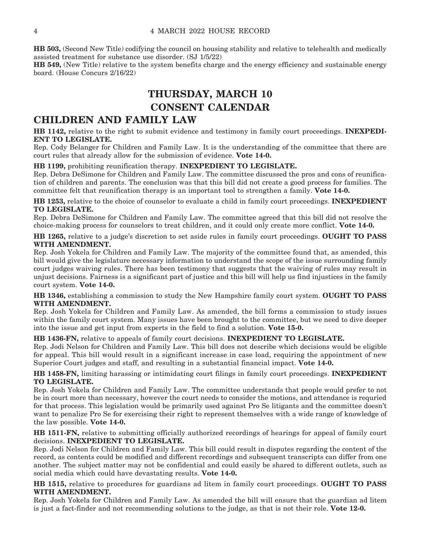**HB 503,** (Second New Title) codifying the council on housing stability and relative to telehealth and medically assisted treatment for substance use disorder. (SJ 1/5/22)

**HB 549,** (New Title) relative to the system benefits charge and the energy efficiency and sustainable energy board. (House Concurs 2/16/22)

### **THURSDAY, MARCH 10 CONSENT CALENDAR**

### **CHILDREN AND FAMILY LAW**

**HB 1142,** relative to the right to submit evidence and testimony in family court proceedings. **INEXPEDI-ENT TO LEGISLATE.**

Rep. Cody Belanger for Children and Family Law. It is the understanding of the committee that there are court rules that already allow for the submission of evidence. **Vote 14-0.**

#### **HB 1199,** prohibiting reunification therapy. **INEXPEDIENT TO LEGISLATE.**

Rep. Debra DeSimone for Children and Family Law. The committee discussed the pros and cons of reunification of children and parents. The conclusion was that this bill did not create a good process for families. The committee felt that reunification therapy is an important tool to strengthen a family. **Vote 14-0.**

**HB 1253,** relative to the choice of counselor to evaluate a child in family court proceedings. **INEXPEDIENT TO LEGISLATE.**

Rep. Debra DeSimone for Children and Family Law. The committee agreed that this bill did not resolve the choice-making process for counselors to treat children, and it could only create more conflict. **Vote 14-0.**

**HB 1265,** relative to a judge's discretion to set aside rules in family court proceedings. **OUGHT TO PASS WITH AMENDMENT.**

Rep. Josh Yokela for Children and Family Law. The majority of the committee found that, as amended, this bill would give the legislature necessary information to understand the scope of the issue surrounding family court judges waiving rules. There has been testimony that suggests that the waiving of rules may result in unjust decisions. Fairness is a significant part of justice and this bill will help us find injustices in the family court system. **Vote 14-0.**

**HB 1346,** establishing a commission to study the New Hampshire family court system. **OUGHT TO PASS WITH AMENDMENT.**

Rep. Josh Yokela for Children and Family Law. As amended, the bill forms a commission to study issues within the family court system. Many issues have been brought to the committee, but we need to dive deeper into the issue and get input from experts in the field to find a solution. **Vote 15-0.**

**HB 1436-FN,** relative to appeals of family court decisions. **INEXPEDIENT TO LEGISLATE.**

Rep. Jodi Nelson for Children and Family Law. This bill does not describe which decisions would be eligible for appeal. This bill would result in a significant increase in case load, requiring the appointment of new Superior Court judges and staff, and resulting in a substantial financial impact. **Vote 14-0.**

**HB 1458-FN,** limiting harassing or intimidating court filings in family court proceedings. **INEXPEDIENT TO LEGISLATE.**

Rep. Josh Yokela for Children and Family Law. The committee understands that people would prefer to not be in court more than necessary, however the court needs to consider the motions, and attendance is requried for that process. This legislation would be primarily used against Pro Se litigants and the committee doesn't want to penalize Pro Se for exercising their right to represent themselves with a wide range of knowledge of the law possible. **Vote 14-0.**

**HB 1511-FN,** relative to submitting officially authorized recordings of hearings for appeal of family court decisions. **INEXPEDIENT TO LEGISLATE.**

Rep. Jodi Nelson for Children and Family Law. This bill could result in disputes regarding the content of the record, as contents could be modified and different recordings and subsequent transcripts can differ from one another. The subject matter may not be confidential and could easily be shared to different outlets, such as social media which could have devastating results. **Vote 14-0.**

**HB 1515,** relative to procedures for guardians ad litem in family court proceedings. **OUGHT TO PASS WITH AMENDMENT.**

Rep. Josh Yokela for Children and Family Law. As amended the bill will ensure that the guardian ad litem is just a fact-finder and not recommending solutions to the judge, as that is not their role. **Vote 12-0.**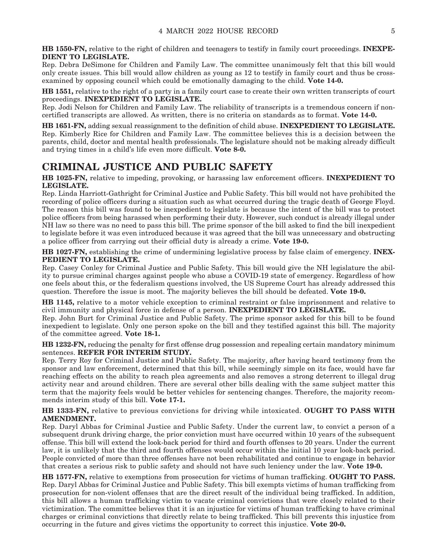**HB 1550-FN,** relative to the right of children and teenagers to testify in family court proceedings. **INEXPE-DIENT TO LEGISLATE.**

Rep. Debra DeSimone for Children and Family Law. The committee unanimously felt that this bill would only create issues. This bill would allow children as young as 12 to testify in family court and thus be crossexamined by opposing council which could be emotionally damaging to the child. **Vote 14-0.**

**HB 1551,** relative to the right of a party in a family court case to create their own written transcripts of court proceedings. **INEXPEDIENT TO LEGISLATE.**

Rep. Jodi Nelson for Children and Family Law. The reliability of transcripts is a tremendous concern if noncertified transcripts are allowed. As written, there is no criteria on standards as to format. **Vote 14-0.**

**HB 1651-FN,** adding sexual reassignment to the definition of child abuse. **INEXPEDIENT TO LEGISLATE.** Rep. Kimberly Rice for Children and Family Law. The committee believes this is a decision between the parents, child, doctor and mental health professionals. The legislature should not be making already difficult and trying times in a child's life even more difficult. **Vote 8-0.**

### **CRIMINAL JUSTICE AND PUBLIC SAFETY**

**HB 1025-FN,** relative to impeding, provoking, or harassing law enforcement officers. **INEXPEDIENT TO LEGISLATE.**

Rep. Linda Harriott-Gathright for Criminal Justice and Public Safety. This bill would not have prohibited the recording of police officers during a situation such as what occurred during the tragic death of George Floyd. The reason this bill was found to be inexpedient to legislate is because the intent of the bill was to protect police officers from being harassed when performing their duty. However, such conduct is already illegal under NH law so there was no need to pass this bill. The prime sponsor of the bill asked to find the bill inexpedient to legislate before it was even introduced because it was agreed that the bill was unnecessary and obstructing a police officer from carrying out their official duty is already a crime. **Vote 19-0.**

**HB 1027-FN,** establishing the crime of undermining legislative process by false claim of emergency. **INEX-PEDIENT TO LEGISLATE.**

Rep. Casey Conley for Criminal Justice and Public Safety. This bill would give the NH legislature the ability to pursue criminal charges against people who abuse a COVID-19 state of emergency. Regardless of how one feels about this, or the federalism questions involved, the US Supreme Court has already addressed this question. Therefore the issue is moot. The majority believes the bill should be defeated. **Vote 19-0.**

**HB 1145,** relative to a motor vehicle exception to criminal restraint or false imprisonment and relative to civil immunity and physical force in defense of a person. **INEXPEDIENT TO LEGISLATE.**

Rep. John Burt for Criminal Justice and Public Safety. The prime sponsor asked for this bill to be found inexpedient to legislate. Only one person spoke on the bill and they testified against this bill. The majority of the committee agreed. **Vote 18-1.**

**HB 1232-FN,** reducing the penalty for first offense drug possession and repealing certain mandatory minimum sentences. **REFER FOR INTERIM STUDY.**

Rep. Terry Roy for Criminal Justice and Public Safety. The majority, after having heard testimony from the sponsor and law enforcement, determined that this bill, while seemingly simple on its face, would have far reaching effects on the ability to reach plea agreements and also removes a strong deterrent to illegal drug activity near and around children. There are several other bills dealing with the same subject matter this term that the majority feels would be better vehicles for sentencing changes. Therefore, the majority recommends interim study of this bill. **Vote 17-1.**

**HB 1333-FN,** relative to previous convictions for driving while intoxicated. **OUGHT TO PASS WITH AMENDMENT.**

Rep. Daryl Abbas for Criminal Justice and Public Safety. Under the current law, to convict a person of a subsequent drunk driving charge, the prior conviction must have occurred within 10 years of the subsequent offense. This bill will extend the look-back period for third and fourth offenses to 20 years. Under the current law, it is unlikely that the third and fourth offenses would occur within the initial 10 year look-back period. People convicted of more than three offenses have not been rehabilitated and continue to engage in behavior that creates a serious risk to public safety and should not have such leniency under the law. **Vote 19-0.**

**HB 1577-FN,** relative to exemptions from prosecution for victims of human trafficking. **OUGHT TO PASS.** Rep. Daryl Abbas for Criminal Justice and Public Safety. This bill exempts victims of human trafficking from prosecution for non-violent offenses that are the direct result of the individual being trafficked. In addition, this bill allows a human trafficking victim to vacate criminal convictions that were closely related to their victimization. The committee believes that it is an injustice for victims of human trafficking to have criminal charges or criminal convictions that directly relate to being trafficked. This bill prevents this injustice from occurring in the future and gives victims the opportunity to correct this injustice. **Vote 20-0.**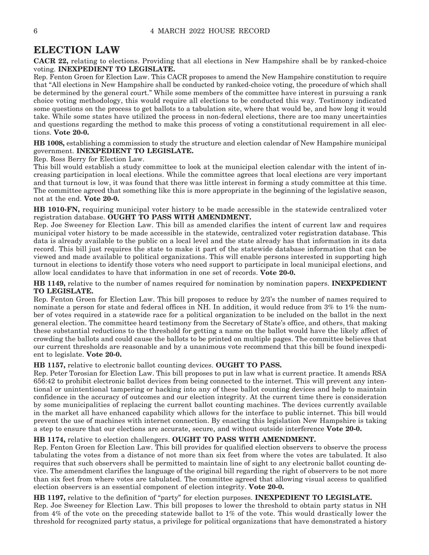### **ELECTION LAW**

**CACR 22,** relating to elections. Providing that all elections in New Hampshire shall be by ranked-choice voting. **INEXPEDIENT TO LEGISLATE.**

Rep. Fenton Groen for Election Law. This CACR proposes to amend the New Hampshire constitution to require that "All elections in New Hampshire shall be conducted by ranked-choice voting, the procedure of which shall be determined by the general court." While some members of the committee have interest in pursuing a rank choice voting methodology, this would require all elections to be conducted this way. Testimony indicated some questions on the process to get ballots to a tabulation site, where that would be, and how long it would take. While some states have utilized the process in non-federal elections, there are too many uncertainties and questions regarding the method to make this process of voting a constitutional requirement in all elections. **Vote 20-0.**

**HB 1008,** establishing a commission to study the structure and election calendar of New Hampshire municipal government. **INEXPEDIENT TO LEGISLATE.**

Rep. Ross Berry for Election Law.

This bill would establish a study committee to look at the municipal election calendar with the intent of increasing participation in local elections. While the committee agrees that local elections are very important and that turnout is low, it was found that there was little interest in forming a study committee at this time. The committee agreed that something like this is more appropriate in the beginning of the legislative season, not at the end. **Vote 20-0.**

**HB 1010-FN,** requiring municipal voter history to be made accessible in the statewide centralized voter registration database. **OUGHT TO PASS WITH AMENDMENT.**

Rep. Joe Sweeney for Election Law. This bill as amended clarifies the intent of current law and requires municipal voter history to be made accessible in the statewide, centralized voter registration database. This data is already available to the public on a local level and the state already has that information in its data record. This bill just requires the state to make it part of the statewide database information that can be viewed and made available to political organizations. This will enable persons interested in supporting high turnout in elections to identify those voters who need support to participate in local municipal elections, and allow local candidates to have that information in one set of records. **Vote 20-0.**

**HB 1149,** relative to the number of names required for nomination by nomination papers. **INEXPEDIENT TO LEGISLATE.**

Rep. Fenton Groen for Election Law. This bill proposes to reduce by 2/3's the number of names required to nominate a person for state and federal offices in NH. In addition, it would reduce from 3% to 1% the number of votes required in a statewide race for a political organization to be included on the ballot in the next general election. The committee heard testimony from the Secretary of State's office, and others, that making these substantial reductions to the threshold for getting a name on the ballot would have the likely affect of crowding the ballots and could cause the ballots to be printed on multiple pages. The committee believes that our current thresholds are reasonable and by a unanimous vote recommend that this bill be found inexpedient to legislate. **Vote 20-0.**

#### **HB 1157,** relative to electronic ballot counting devices. **OUGHT TO PASS.**

Rep. Peter Torosian for Election Law. This bill proposes to put in law what is current practice. It amends RSA 656:42 to prohibit electronic ballot devices from being connected to the internet. This will prevent any intentional or unintentional tampering or hacking into any of these ballot counting devices and help to maintain confidence in the accuracy of outcomes and our election integrity. At the current time there is consideration by some municipalities of replacing the current ballot counting machines. The devices currently available in the market all have enhanced capability which allows for the interface to public internet. This bill would prevent the use of machines with internet connection. By enacting this legislation New Hampshire is taking a step to ensure that our elections are accurate, secure, and without outside interference **Vote 20-0.**

#### **HB 1174,** relative to election challengers. **OUGHT TO PASS WITH AMENDMENT.**

Rep. Fenton Groen for Election Law. This bill provides for qualified election observers to observe the process tabulating the votes from a distance of not more than six feet from where the votes are tabulated. It also requires that such observers shall be permitted to maintain line of sight to any electronic ballot counting device. The amendment clarifies the language of the original bill regarding the right of observers to be not more than six feet from where votes are tabulated. The committee agreed that allowing visual access to qualified election observers is an essential component of election integrity. **Vote 20-0.**

**HB 1197,** relative to the definition of "party" for election purposes. **INEXPEDIENT TO LEGISLATE.** Rep. Joe Sweeney for Election Law. This bill proposes to lower the threshold to obtain party status in NH from 4% of the vote on the preceding statewide ballot to 1% of the vote. This would drastically lower the threshold for recognized party status, a privilege for political organizations that have demonstrated a history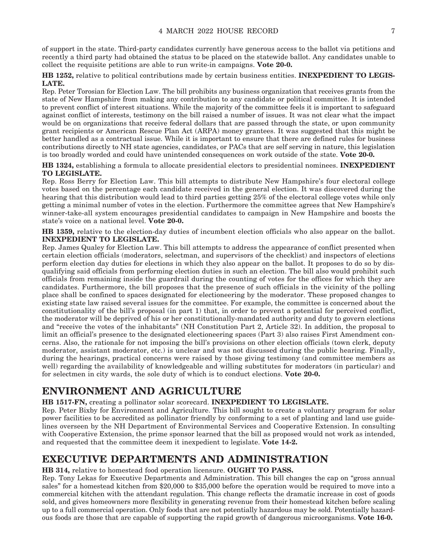of support in the state. Third-party candidates currently have generous access to the ballot via petitions and recently a third party had obtained the status to be placed on the statewide ballot. Any candidates unable to collect the requisite petitions are able to run write-in campaigns. **Vote 20-0.**

**HB 1252,** relative to political contributions made by certain business entities. **INEXPEDIENT TO LEGIS-LATE.**

Rep. Peter Torosian for Election Law. The bill prohibits any business organization that receives grants from the state of New Hampshire from making any contribution to any candidate or political committee. It is intended to prevent conflict of interest situations. While the majority of the committee feels it is important to safeguard against conflict of interests, testimony on the bill raised a number of issues. It was not clear what the impact would be on organizations that receive federal dollars that are passed through the state, or upon community grant recipients or American Rescue Plan Act (ARPA) money grantees. It was suggested that this might be better handled as a contractual issue. While it is important to ensure that there are defined rules for business contributions directly to NH state agencies, candidates, or PACs that are self serving in nature, this legislation is too broadly worded and could have unintended consequences on work outside of the state. **Vote 20-0.**

**HB 1324,** establishing a formula to allocate presidential electors to presidential nominees. **INEXPEDIENT TO LEGISLATE.**

Rep. Ross Berry for Election Law. This bill attempts to distribute New Hampshire's four electoral college votes based on the percentage each candidate received in the general election. It was discovered during the hearing that this distribution would lead to third parties getting 25% of the electoral college votes while only getting a minimal number of votes in the election. Furthermore the committee agrees that New Hampshire's winner-take-all system encourages presidential candidates to campaign in New Hampshire and boosts the state's voice on a national level. **Vote 20-0.**

**HB 1359,** relative to the election-day duties of incumbent election officials who also appear on the ballot. **INEXPEDIENT TO LEGISLATE.**

Rep. James Qualey for Election Law. This bill attempts to address the appearance of conflict presented when certain election officials (moderators, selectman, and supervisors of the checklist) and inspectors of elections perform election day duties for elections in which they also appear on the ballot. It proposes to do so by disqualifying said officials from performing election duties in such an election. The bill also would prohibit such officials from remaining inside the guardrail during the counting of votes for the offices for which they are candidates. Furthermore, the bill proposes that the presence of such officials in the vicinity of the polling place shall be confined to spaces designated for electioneering by the moderator. These proposed changes to existing state law raised several issues for the committee. For example, the committee is concerned about the constitutionality of the bill's proposal (in part 1) that, in order to prevent a potential for perceived conflict, the moderator will be deprived of his or her constitutionally-mandated authority and duty to govern elections and "receive the votes of the inhabitants" (NH Constitution Part 2, Article 32). In addition, the proposal to limit an official's presence to the designated electioneering spaces (Part 3) also raises First Amendment concerns. Also, the rationale for not imposing the bill's provisions on other election officials (town clerk, deputy moderator, assistant moderator, etc.) is unclear and was not discussed during the public hearing. Finally, during the hearings, practical concerns were raised by those giving testimony (and committee members as well) regarding the availability of knowledgeable and willing substitutes for moderators (in particular) and for selectmen in city wards, the sole duty of which is to conduct elections. **Vote 20-0.**

### **ENVIRONMENT AND AGRICULTURE**

**HB 1517-FN,** creating a pollinator solar scorecard. **INEXPEDIENT TO LEGISLATE.**

Rep. Peter Bixby for Environment and Agriculture. This bill sought to create a voluntary program for solar power facilities to be accredited as pollinator friendly by conforming to a set of planting and land use guidelines overseen by the NH Department of Environmental Services and Cooperative Extension. In consulting with Cooperative Extension, the prime sponsor learned that the bill as proposed would not work as intended, and requested that the committee deem it inexpedient to legislate. **Vote 14-2.**

### **EXECUTIVE DEPARTMENTS AND ADMINISTRATION**

#### **HB 314,** relative to homestead food operation licensure. **OUGHT TO PASS.**

Rep. Tony Lekas for Executive Departments and Administration. This bill changes the cap on "gross annual sales" for a homestead kitchen from \$20,000 to \$35,000 before the operation would be required to move into a commercial kitchen with the attendant regulation. This change reflects the dramatic increase in cost of goods sold, and gives homeowners more flexibility in generating revenue from their homestead kitchen before scaling up to a full commercial operation. Only foods that are not potentially hazardous may be sold. Potentially hazardous foods are those that are capable of supporting the rapid growth of dangerous microorganisms. **Vote 16-0.**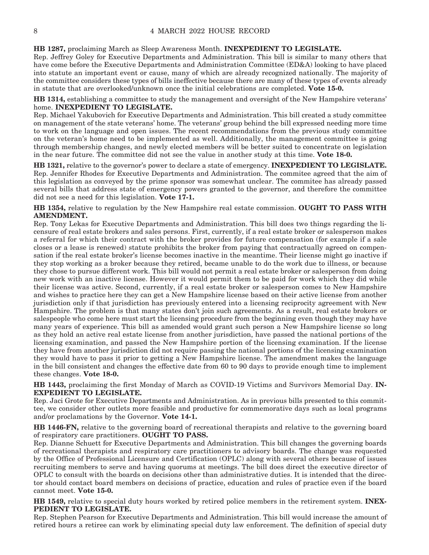#### **HB 1287,** proclaiming March as Sleep Awareness Month. **INEXPEDIENT TO LEGISLATE.**

Rep. Jeffrey Goley for Executive Departments and Administration. This bill is similar to many others that have come before the Executive Departments and Administration Committee (ED&A) looking to have placed into statute an important event or cause, many of which are already recognized nationally. The majority of the committee considers these types of bills ineffective because there are many of these types of events already in statute that are overlooked/unknown once the initial celebrations are completed. **Vote 15-0.**

**HB 1314,** establishing a committee to study the management and oversight of the New Hampshire veterans' home. **INEXPEDIENT TO LEGISLATE.**

Rep. Michael Yakubovich for Executive Departments and Administration. This bill created a study committee on management of the state veterans' home. The veterans' group behind the bill expressed needing more time to work on the language and open issues. The recent recommendations from the previous study committee on the veteran's home need to be implemented as well. Additionally, the management committee is going through membership changes, and newly elected members will be better suited to concentrate on legislation in the near future. The committee did not see the value in another study at this time. **Vote 18-0.**

**HB 1321,** relative to the governor's power to declare a state of emergency. **INEXPEDIENT TO LEGISLATE.** Rep. Jennifer Rhodes for Executive Departments and Administration. The commitee agreed that the aim of this legislation as conveyed by the prime sponsor was somewhat unclear. The commitee has already passed several bills that address state of emergency powers granted to the governor, and therefore the committee did not see a need for this legislation. **Vote 17-1.**

**HB 1354,** relative to regulation by the New Hampshire real estate commission. **OUGHT TO PASS WITH AMENDMENT.**

Rep. Tony Lekas for Executive Departments and Administration. This bill does two things regarding the licensure of real estate brokers and sales persons. First, currently, if a real estate broker or salesperson makes a referral for which their contract with the broker provides for future compensation (for example if a sale closes or a lease is renewed) statute prohibits the broker from paying that contractually agreed on compensation if the real estate broker's license becomes inactive in the meantime. Their license might go inactive if they stop working as a broker because they retired, became unable to do the work due to illness, or because they chose to pursue different work. This bill would not permit a real estate broker or salesperson from doing new work with an inactive license. However it would permit them to be paid for work which they did while their license was active. Second, currently, if a real estate broker or salesperson comes to New Hampshire and wishes to practice here they can get a New Hampshire license based on their active license from another jurisdiction only if that jurisdiction has previously entered into a licensing reciprocity agreement with New Hampshire. The problem is that many states don't join such agreements. As a result, real estate brokers or salespeople who come here must start the licensing procedure from the beginning even though they may have many years of experience. This bill as amended would grant such person a New Hampshire license so long as they hold an active real estate license from another jurisdiction, have passed the national portions of the licensing examination, and passed the New Hampshire portion of the licensing examination. If the license they have from another jurisdiction did not require passing the national portions of the licensing examination they would have to pass it prior to getting a New Hampshire license. The amendment makes the language in the bill consistent and changes the effective date from 60 to 90 days to provide enough time to implement these changes. **Vote 18-0.**

**HB 1443,** proclaiming the first Monday of March as COVID-19 Victims and Survivors Memorial Day. **IN-EXPEDIENT TO LEGISLATE.**

Rep. Jaci Grote for Executive Departments and Administration. As in previous bills presented to this committee, we consider other outlets more feasible and productive for commemorative days such as local programs and/or proclamations by the Governor. **Vote 14-1.**

**HB 1446-FN,** relative to the governing board of recreational therapists and relative to the governing board of respiratory care practitioners. **OUGHT TO PASS.**

Rep. Dianne Schuett for Executive Departments and Administration. This bill changes the governing boards of recreational therapists and respiratory care practitioners to advisory boards. The change was requested by the Office of Professional Licensure and Certification (OPLC) along with several others because of issues recruiting members to serve and having quorums at meetings. The bill does direct the executive director of OPLC to consult with the boards on decisions other than administrative duties. It is intended that the director should contact board members on decisions of practice, education and rules of practice even if the board cannot meet. **Vote 15-0.**

**HB 1549,** relative to special duty hours worked by retired police members in the retirement system. **INEX-PEDIENT TO LEGISLATE.**

Rep. Stephen Pearson for Executive Departments and Administration. This bill would increase the amount of retired hours a retiree can work by eliminating special duty law enforcement. The definition of special duty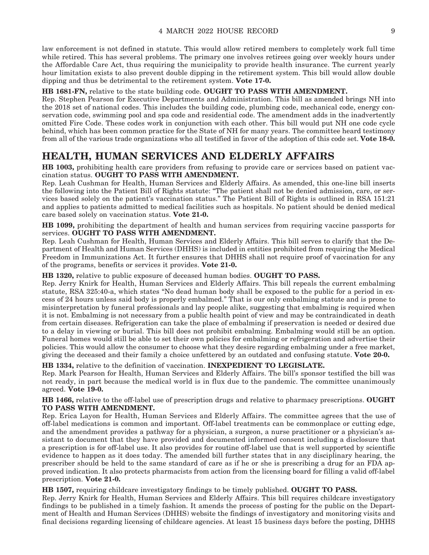law enforcement is not defined in statute. This would allow retired members to completely work full time while retired. This has several problems. The primary one involves retirees going over weekly hours under the Affordable Care Act, thus requiring the municipality to provide health insurance. The current yearly hour limitation exists to also prevent double dipping in the retirement system. This bill would allow double dipping and thus be detrimental to the retirement system. **Vote 17-0.**

#### **HB 1681-FN,** relative to the state building code. **OUGHT TO PASS WITH AMENDMENT.**

Rep. Stephen Pearson for Executive Departments and Administration. This bill as amended brings NH into the 2018 set of national codes. This includes the building code, plumbing code, mechanical code, energy conservation code, swimming pool and spa code and residential code. The amendment adds in the inadvertently omitted Fire Code. These codes work in conjunction with each other. This bill would put NH one code cycle behind, which has been common practice for the State of NH for many years. The committee heard testimony from all of the various trade organizations who all testified in favor of the adoption of this code set. **Vote 18-0.**

### **HEALTH, HUMAN SERVICES AND ELDERLY AFFAIRS**

**HB 1003,** prohibiting health care providers from refusing to provide care or services based on patient vaccination status. **OUGHT TO PASS WITH AMENDMENT.**

Rep. Leah Cushman for Health, Human Services and Elderly Affairs. As amended, this one-line bill inserts the following into the Patient Bill of Rights statute: "The patient shall not be denied admission, care, or services based solely on the patient's vaccination status." The Patient Bill of Rights is outlined in RSA 151:21 and applies to patients admitted to medical facilities such as hospitals. No patient should be denied medical care based solely on vaccination status. **Vote 21-0.**

**HB 1099,** prohibiting the department of health and human services from requiring vaccine passports for services. **OUGHT TO PASS WITH AMENDMENT.**

Rep. Leah Cushman for Health, Human Services and Elderly Affairs. This bill serves to clarify that the Department of Health and Human Services (DHHS) is included in entities prohibited from requiring the Medical Freedom in Immunizations Act. It further ensures that DHHS shall not require proof of vaccination for any of the programs, benefits or services it provides. **Vote 21-0.**

**HB 1320,** relative to public exposure of deceased human bodies. **OUGHT TO PASS.**

Rep. Jerry Knirk for Health, Human Services and Elderly Affairs. This bill repeals the current embalming statute, RSA 325:40-a, which states "No dead human body shall be exposed to the public for a period in excess of 24 hours unless said body is properly embalmed." That is our only embalming statute and is prone to misinterpretation by funeral professionals and lay people alike, suggesting that embalming is required when it is not. Embalming is not necessary from a public health point of view and may be contraindicated in death from certain diseases. Refrigeration can take the place of embalming if preservation is needed or desired due to a delay in viewing or burial. This bill does not prohibit embalming. Embalming would still be an option. Funeral homes would still be able to set their own policies for embalming or refrigeration and advertise their policies. This would allow the consumer to choose what they desire regarding embalming under a free market, giving the deceased and their family a choice unfettered by an outdated and confusing statute. **Vote 20-0.**

**HB 1334,** relative to the definition of vaccination. **INEXPEDIENT TO LEGISLATE.**

Rep. Mark Pearson for Health, Human Services and Elderly Affairs. The bill's sponsor testified the bill was not ready, in part because the medical world is in flux due to the pandemic. The committee unanimously agreed. **Vote 19-0.**

**HB 1466,** relative to the off-label use of prescription drugs and relative to pharmacy prescriptions. **OUGHT TO PASS WITH AMENDMENT.**

Rep. Erica Layon for Health, Human Services and Elderly Affairs. The committee agrees that the use of off-label medications is common and important. Off-label treatments can be commonplace or cutting edge, and the amendment provides a pathway for a physician, a surgeon, a nurse practitioner or a physician's assistant to document that they have provided and documented informed consent including a disclosure that a prescription is for off-label use. It also provides for routine off-label use that is well supported by scientific evidence to happen as it does today. The amended bill further states that in any disciplinary hearing, the prescriber should be held to the same standard of care as if he or she is prescribing a drug for an FDA approved indication. It also protects pharmacists from action from the licensing board for filling a valid off-label prescription. **Vote 21-0.**

**HB 1507,** requiring childcare investigatory findings to be timely published. **OUGHT TO PASS.**

Rep. Jerry Knirk for Health, Human Services and Elderly Affairs. This bill requires childcare investigatory findings to be published in a timely fashion. It amends the process of posting for the public on the Department of Health and Human Services (DHHS) website the findings of investigatory and monitoring visits and final decisions regarding licensing of childcare agencies. At least 15 business days before the posting, DHHS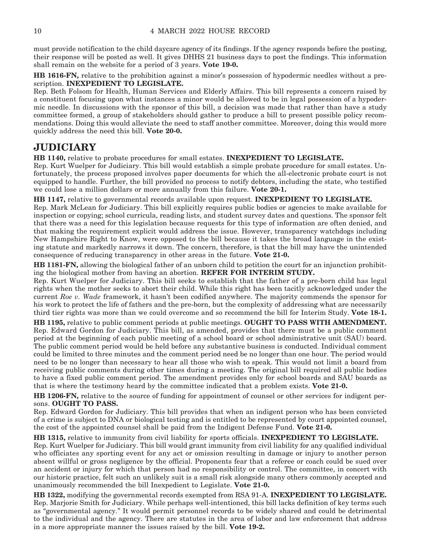must provide notification to the child daycare agency of its findings. If the agency responds before the posting, their response will be posted as well. It gives DHHS 21 business days to post the findings. This information shall remain on the website for a period of 3 years. **Vote 19-0.**

**HB 1616-FN,** relative to the prohibition against a minor's possession of hypodermic needles without a prescription. **INEXPEDIENT TO LEGISLATE.**

Rep. Beth Folsom for Health, Human Services and Elderly Affairs. This bill represents a concern raised by a constituent focusing upon what instances a minor would be allowed to be in legal possession of a hypodermic needle. In discussions with the sponsor of this bill, a decision was made that rather than have a study committee formed, a group of stakeholders should gather to produce a bill to present possible policy recommendations. Doing this would alleviate the need to staff another committee. Moreover, doing this would more quickly address the need this bill. **Vote 20-0.**

### **JUDICIARY**

**HB 1140,** relative to probate procedures for small estates. **INEXPEDIENT TO LEGISLATE.**

Rep. Kurt Wuelper for Judiciary. This bill would establish a simple probate procedure for small estates. Unfortunately, the process proposed involves paper documents for which the all-electronic probate court is not equipped to handle. Further, the bill provided no process to notify debtors, including the state, who testified we could lose a million dollars or more annually from this failure. **Vote 20-1.**

**HB 1147,** relative to governmental records available upon request. **INEXPEDIENT TO LEGISLATE.**

Rep. Mark McLean for Judiciary. This bill explicitly requires public bodies or agencies to make available for inspection or copying; school curricula, reading lists, and student survey dates and questions. The sponsor felt that there was a need for this legislation because requests for this type of information are often denied, and that making the requirement explicit would address the issue. However, transparency watchdogs including New Hampshire Right to Know, were opposed to the bill because it takes the broad language in the existing statute and markedly narrows it down. The concern, therefore, is that the bill may have the unintended consequence of reducing transparency in other areas in the future. **Vote 21-0.**

**HB 1181-FN,** allowing the biological father of an unborn child to petition the court for an injunction prohibiting the biological mother from having an abortion. **REFER FOR INTERIM STUDY.**

Rep. Kurt Wuelper for Judiciary. This bill seeks to establish that the father of a pre-born child has legal rights when the mother seeks to abort their child. While this right has been tacitly acknowledged under the current *Roe v. Wade* framework, it hasn't been codified anywhere. The majority commends the sponsor for his work to protect the life of fathers and the pre-born, but the complexity of addressing what are necessarily third tier rights was more than we could overcome and so recommend the bill for Interim Study. **Vote 18-1.**

**HB 1195,** relative to public comment periods at public meetings. **OUGHT TO PASS WITH AMENDMENT.** Rep. Edward Gordon for Judiciary. This bill, as amended, provides that there must be a public comment period at the beginning of each public meeting of a school board or school administrative unit (SAU) board. The public comment period would be held before any substantive business is conducted. Individual comment could be limited to three minutes and the comment period need be no longer than one hour. The period would need to be no longer than necessary to hear all those who wish to speak. This would not limit a board from receiving public comments during other times during a meeting. The original bill required all public bodies to have a fixed public comment period. The amendment provides only for school boards and SAU boards as that is where the testimony heard by the committee indicated that a problem exists. **Vote 21-0.**

**HB 1206-FN,** relative to the source of funding for appointment of counsel or other services for indigent persons. **OUGHT TO PASS.**

Rep. Edward Gordon for Judiciary. This bill provides that when an indigent person who has been convicted of a crime is subject to DNA or biological testing and is entitled to be represented by court appointed counsel, the cost of the appointed counsel shall be paid from the Indigent Defense Fund. **Vote 21-0.**

#### **HB 1315,** relative to immunity from civil liability for sports officials. **INEXPEDIENT TO LEGISLATE.**

Rep. Kurt Wuelper for Judiciary. This bill would grant immunity from civil liability for any qualified individual who officiates any sporting event for any act or omission resulting in damage or injury to another person absent willful or gross negligence by the official. Proponents fear that a referee or coach could be sued over an accident or injury for which that person had no responsibility or control. The committee, in concert with our historic practice, felt such an unlikely suit is a small risk alongside many others commonly accepted and unanimously recommended the bill Inexpedient to Legislate. **Vote 21-0.**

**HB 1322,** modifying the governmental records exempted from RSA 91-A. **INEXPEDIENT TO LEGISLATE.** Rep. Marjorie Smith for Judiciary. While perhaps well-intentioned, this bill lacks definition of key terms such as "governmental agency." It would permit personnel records to be widely shared and could be detrimental to the individual and the agency. There are statutes in the area of labor and law enforcement that address in a more appropriate manner the issues raised by the bill. **Vote 19-2.**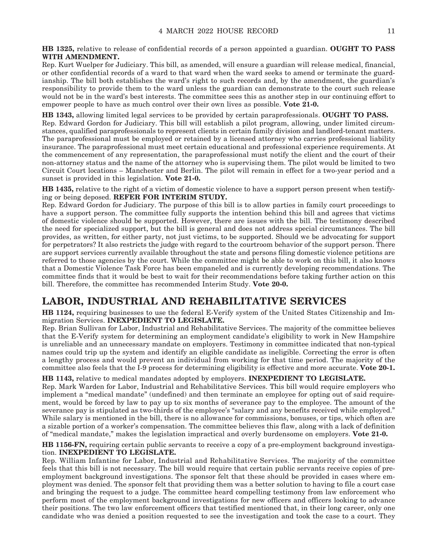**HB 1325,** relative to release of confidential records of a person appointed a guardian. **OUGHT TO PASS WITH AMENDMENT.**

Rep. Kurt Wuelper for Judiciary. This bill, as amended, will ensure a guardian will release medical, financial, or other confidential records of a ward to that ward when the ward seeks to amend or terminate the guardianship. The bill both establishes the ward's right to such records and, by the amendment, the guardian's responsibility to provide them to the ward unless the guardian can demonstrate to the court such release would not be in the ward's best interests. The committee sees this as another step in our continuing effort to empower people to have as much control over their own lives as possible. **Vote 21-0.**

**HB 1343,** allowing limited legal services to be provided by certain paraprofessionals. **OUGHT TO PASS.** Rep. Edward Gordon for Judiciary. This bill will establish a pilot program, allowing, under limited circumstances, qualified paraprofessionals to represent clients in certain family division and landlord-tenant matters. The paraprofessional must be employed or retained by a licensed attorney who carries professional liability insurance. The paraprofessional must meet certain educational and professional experience requirements. At the commencement of any representation, the paraprofessional must notify the client and the court of their non-attorney status and the name of the attorney who is supervising them. The pilot would be limited to two Circuit Court locations – Manchester and Berlin. The pilot will remain in effect for a two-year period and a sunset is provided in this legislation. **Vote 21-0.**

**HB 1435,** relative to the right of a victim of domestic violence to have a support person present when testifying or being deposed. **REFER FOR INTERIM STUDY.**

Rep. Edward Gordon for Judiciary. The purpose of this bill is to allow parties in family court proceedings to have a support person. The committee fully supports the intention behind this bill and agrees that victims of domestic violence should be supported. However, there are issues with the bill. The testimony described the need for specialized support, but the bill is general and does not address special circumstances. The bill provides, as written, for either party, not just victims, to be supported. Should we be advocating for support for perpetrators? It also restricts the judge with regard to the courtroom behavior of the support person. There are support services currently available throughout the state and persons filing domestic violence petitions are referred to those agencies by the court. While the committee might be able to work on this bill, it also knows that a Domestic Violence Task Force has been empaneled and is currently developing recommendations. The committee finds that it would be best to wait for their recommendations before taking further action on this bill. Therefore, the committee has recommended Interim Study. **Vote 20-0.**

### **LABOR, INDUSTRIAL AND REHABILITATIVE SERVICES**

**HB 1124,** requiring businesses to use the federal E-Verify system of the United States Citizenship and Immigration Services. **INEXPEDIENT TO LEGISLATE.**

Rep. Brian Sullivan for Labor, Industrial and Rehabilitative Services. The majority of the committee believes that the E-Verify system for determining an employment candidate's eligibility to work in New Hampshire is unreliable and an unnecessary mandate on employers. Testimony in committee indicated that non-typical names could trip up the system and identify an eligible candidate as ineligible. Correcting the error is often a lengthy process and would prevent an individual from working for that time period. The majority of the committee also feels that the I-9 process for determining eligibility is effective and more accurate. **Vote 20-1.**

#### **HB 1143,** relative to medical mandates adopted by employers. **INEXPEDIENT TO LEGISLATE.**

Rep. Mark Warden for Labor, Industrial and Rehabilitative Services. This bill would require employers who implement a "medical mandate" (undefined) and then terminate an employee for opting out of said requirement, would be forced by law to pay up to six months of severance pay to the employee. The amount of the severance pay is stipulated as two-thirds of the employee's "salary and any benefits received while employed." While salary is mentioned in the bill, there is no allowance for commissions, bonuses, or tips, which often are a sizable portion of a worker's compensation. The committee believes this flaw, along with a lack of definition of "medical mandate," makes the legislation impractical and overly burdensome on employers. **Vote 21-0.**

**HB 1156-FN,** requiring certain public servants to receive a copy of a pre-employment background investigation. **INEXPEDIENT TO LEGISLATE.**

Rep. William Infantine for Labor, Industrial and Rehabilitative Services. The majority of the committee feels that this bill is not necessary. The bill would require that certain public servants receive copies of preemployment background investigations. The sponsor felt that these should be provided in cases where employment was denied. The sponsor felt that providing them was a better solution to having to file a court case and bringing the request to a judge. The committee heard compelling testimony from law enforcement who perform most of the employment background investigations for new officers and officers looking to advance their positions. The two law enforcement officers that testified mentioned that, in their long career, only one candidate who was denied a position requested to see the investigation and took the case to a court. They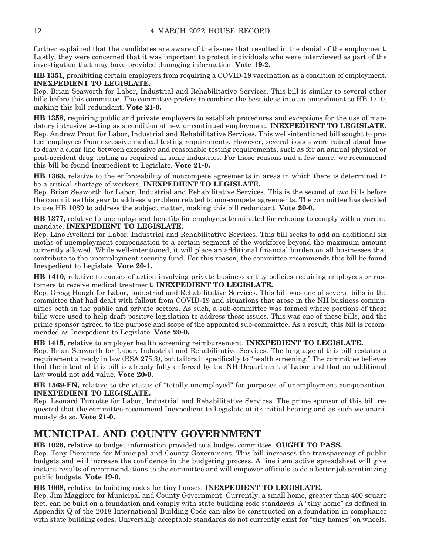further explained that the candidates are aware of the issues that resulted in the denial of the employment. Lastly, they were concerned that it was important to protect individuals who were interviewed as part of the investigation that may have provided damaging information. **Vote 19-2.**

**HB 1351,** prohibiting certain employers from requiring a COVID-19 vaccination as a condition of employment. **INEXPEDIENT TO LEGISLATE.**

Rep. Brian Seaworth for Labor, Industrial and Rehabilitative Services. This bill is similar to several other bills before this committee. The committee prefers to combine the best ideas into an amendment to HB 1210, making this bill redundant. **Vote 21-0.**

**HB 1358,** requiring public and private employers to establish procedures and exceptions for the use of mandatory intrusive testing as a condition of new or continued employment. **INEXPEDIENT TO LEGISLATE.** Rep. Andrew Prout for Labor, Industrial and Rehabilitative Services. This well-intentioned bill sought to protect employees from excessive medical testing requirements. However, several issues were raised about how to draw a clear line between excessive and reasonable testing requirements, such as for an annual physical or post-accident drug testing as required in some industries. For those reasons and a few more, we recommend this bill be found Inexpedient to Legislate. **Vote 21-0.**

**HB 1363,** relative to the enforceability of noncompete agreements in areas in which there is determined to be a critical shortage of workers. **INEXPEDIENT TO LEGISLATE.**

Rep. Brian Seaworth for Labor, Industrial and Rehabilitative Services. This is the second of two bills before the committee this year to address a problem related to non-compete agreements. The committee has decided to use HB 1089 to address the subject matter, making this bill redundant. **Vote 20-0.**

**HB 1377,** relative to unemployment benefits for employees terminated for refusing to comply with a vaccine mandate. **INEXPEDIENT TO LEGISLATE.**

Rep. Lino Avellani for Labor, Industrial and Rehabilitative Services. This bill seeks to add an additional six moths of unemployment compensation to a certain segment of the workforce beyond the maximum amount currently allowed. While well-intentioned, it will place an additional financial burden on all businesses that contribute to the unemployment security fund. For this reason, the committee recommends this bill be found Inexpedient to Legislate. **Vote 20-1.**

**HB 1410,** relative to causes of action involving private business entity policies requiring employees or customers to receive medical treatment. **INEXPEDIENT TO LEGISLATE.**

Rep. Gregg Hough for Labor, Industrial and Rehabilitative Services. This bill was one of several bills in the committee that had dealt with fallout from COVID-19 and situations that arose in the NH business communities both in the public and private sectors. As such, a sub-committee was formed where portions of these bills were used to help draft positive legislation to address these issues. This was one of these bills, and the prime sponsor agreed to the purpose and scope of the appointed sub-committee. As a result, this bill is recommended as Inexpedient to Legislate. **Vote 20-0.**

**HB 1415,** relative to employer health screening reimbursement. **INEXPEDIENT TO LEGISLATE.** Rep. Brian Seaworth for Labor, Industrial and Rehabilitative Services. The language of this bill restates a requirement already in law (RSA 275:3), but tailors it specifically to "health screening." The committee believes that the intent of this bill is already fully enforced by the NH Department of Labor and that an additional law would not add value. **Vote 20-0.**

**HB 1569-FN,** relative to the status of "totally unemployed" for purposes of unemployment compensation. **INEXPEDIENT TO LEGISLATE.**

Rep. Leonard Turcotte for Labor, Industrial and Rehabilitative Services. The prime sponsor of this bill requested that the committee recommend Inexpedient to Legislate at its initial hearing and as such we unanimously do so. **Vote 21-0.**

### **MUNICIPAL AND COUNTY GOVERNMENT**

**HB 1026,** relative to budget information provided to a budget committee. **OUGHT TO PASS.**

Rep. Tony Piemonte for Municipal and County Government. This bill increases the transparency of public budgets and will increase the confidence in the budgeting process. A line item active spreadsheet will give instant results of recommendations to the committee and will empower officials to do a better job scrutinizing public budgets. **Vote 19-0.**

**HB 1068,** relative to building codes for tiny houses. **INEXPEDIENT TO LEGISLATE.**

Rep. Jim Maggiore for Municipal and County Government. Currently, a small home, greater than 400 square feet, can be built on a foundation and comply with state building code standards. A "tiny home" as defined in Appendix Q of the 2018 International Building Code can also be constructed on a foundation in compliance with state building codes. Universally acceptable standards do not currently exist for "tiny homes" on wheels.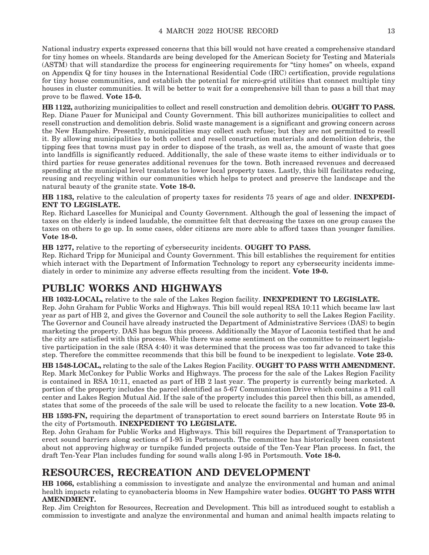National industry experts expressed concerns that this bill would not have created a comprehensive standard for tiny homes on wheels. Standards are being developed for the American Society for Testing and Materials (ASTM) that will standardize the process for engineering requirements for "tiny homes" on wheels, expand on Appendix Q for tiny houses in the International Residential Code (IRC) certification, provide regulations for tiny house communities, and establish the potential for micro-grid utilities that connect multiple tiny houses in cluster communities. It will be better to wait for a comprehensive bill than to pass a bill that may prove to be flawed. **Vote 15-0.**

**HB 1122,** authorizing municipalities to collect and resell construction and demolition debris. **OUGHT TO PASS.** Rep. Diane Pauer for Municipal and County Government. This bill authorizes municipalities to collect and resell construction and demolition debris. Solid waste management is a significant and growing concern across the New Hampshire. Presently, municipalities may collect such refuse; but they are not permitted to resell it. By allowing municipalities to both collect and resell construction materials and demolition debris, the tipping fees that towns must pay in order to dispose of the trash, as well as, the amount of waste that goes into landfills is significantly reduced. Additionally, the sale of these waste items to either individuals or to third parties for reuse generates additional revenues for the town. Both increased revenues and decreased spending at the municipal level translates to lower local property taxes. Lastly, this bill facilitates reducing, reusing and recycling within our communities which helps to protect and preserve the landscape and the natural beauty of the granite state. **Vote 18-0.**

**HB 1183,** relative to the calculation of property taxes for residents 75 years of age and older. **INEXPEDI-ENT TO LEGISLATE.**

Rep. Richard Lascelles for Municipal and County Government. Although the goal of lessening the impact of taxes on the elderly is indeed laudable, the committee felt that decreasing the taxes on one group causes the taxes on others to go up. In some cases, older citizens are more able to afford taxes than younger families. **Vote 18-0.**

**HB 1277,** relative to the reporting of cybersecurity incidents. **OUGHT TO PASS.**

Rep. Richard Tripp for Municipal and County Government. This bill establishes the requirement for entities which interact with the Department of Information Technology to report any cybersecurity incidents immediately in order to minimize any adverse effects resulting from the incident. **Vote 19-0.**

### **PUBLIC WORKS AND HIGHWAYS**

**HB 1032-LOCAL,** relative to the sale of the Lakes Region facility. **INEXPEDIENT TO LEGISLATE.** Rep. John Graham for Public Works and Highways. This bill would repeal RSA 10:11 which became law last year as part of HB 2, and gives the Governor and Council the sole authority to sell the Lakes Region Facility. The Governor and Council have already instructed the Department of Administrative Services (DAS) to begin marketing the property. DAS has begun this process. Additionally the Mayor of Laconia testified that he and the city are satisfied with this process. While there was some sentiment on the committee to reinsert legislative participation in the sale (RSA 4:40) it was determined that the process was too far advanced to take this step. Therefore the committee recommends that this bill be found to be inexpedient to legislate. **Vote 23-0.**

**HB 1548-LOCAL,** relating to the sale of the Lakes Region Facility. **OUGHT TO PASS WITH AMENDMENT.** Rep. Mark McConkey for Public Works and Highways. The process for the sale of the Lakes Region Facility is contained in RSA 10:11, enacted as part of HB 2 last year. The property is currently being marketed. A portion of the property includes the parcel identified as 5-67 Communication Drive which contains a 911 call center and Lakes Region Mutual Aid. If the sale of the property includes this parcel then this bill, as amended, states that some of the proceeds of the sale will be used to relocate the facility to a new location. **Vote 23-0.**

**HB 1593-FN,** requiring the department of transportation to erect sound barriers on Interstate Route 95 in the city of Portsmouth. **INEXPEDIENT TO LEGISLATE.**

Rep. John Graham for Public Works and Highways. This bill requires the Department of Transportation to erect sound barriers along sections of I-95 in Portsmouth. The committee has historically been consistent about not approving highway or turnpike funded projects outside of the Ten-Year Plan process. In fact, the draft Ten-Year Plan includes funding for sound walls along I-95 in Portsmouth. **Vote 18-0.**

### **RESOURCES, RECREATION AND DEVELOPMENT**

**HB 1066,** establishing a commission to investigate and analyze the environmental and human and animal health impacts relating to cyanobacteria blooms in New Hampshire water bodies. **OUGHT TO PASS WITH AMENDMENT.**

Rep. Jim Creighton for Resources, Recreation and Development. This bill as introduced sought to establish a commission to investigate and analyze the environmental and human and animal health impacts relating to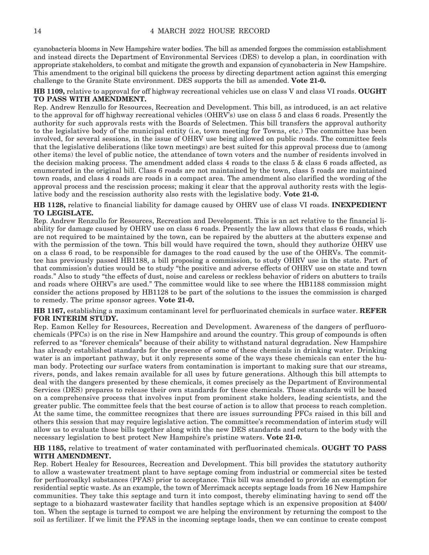cyanobacteria blooms in New Hampshire water bodies. The bill as amended forgoes the commission establishment and instead directs the Department of Environmental Services (DES) to develop a plan, in coordination with appropriate stakeholders, to combat and mitigate the growth and expansion of cyanobacteria in New Hampshire. This amendment to the original bill quickens the process by directing department action against this emerging challenge to the Granite State environment. DES supports the bill as amended. **Vote 21-0.**

#### **HB 1109,** relative to approval for off highway recreational vehicles use on class V and class VI roads. **OUGHT TO PASS WITH AMENDMENT.**

Rep. Andrew Renzullo for Resources, Recreation and Development. This bill, as introduced, is an act relative to the approval for off highway recreational vehicles (OHRV's) use on class 5 and class 6 roads. Presently the authority for such approvals rests with the Boards of Selectmen. This bill transfers the approval authority to the legislative body of the municipal entity (i.e, town meeting for Towns, etc.) The committee has been involved, for several sessions, in the issue of OHRV use being allowed on public roads. The committee feels that the legislative deliberations (like town meetings) are best suited for this approval process due to (among other items) the level of public notice, the attendance of town voters and the number of residents involved in the decision making process. The amendment added class  $4$  roads to the class  $5 \&$  class 6 roads affected, as enumerated in the original bill. Class 6 roads are not maintained by the town, class 5 roads are maintained town roads, and class 4 roads are roads in a compact area. The amendment also clarified the wording of the approval process and the rescission process; making it clear that the approval authority rests with the legislative body and the rescission authority also rests with the legislative body. **Vote 21-0.**

**HB 1128,** relative to financial liability for damage caused by OHRV use of class VI roads. **INEXPEDIENT TO LEGISLATE.**

Rep. Andrew Renzullo for Resources, Recreation and Development. This is an act relative to the financial liability for damage caused by OHRV use on class 6 roads. Presently the law allows that class 6 roads, which are not required to be maintained by the town, can be repaired by the abutters at the abutters expense and with the permission of the town. This bill would have required the town, should they authorize OHRV use on a class 6 road, to be responsible for damages to the road caused by the use of the OHRVs. The committee has previously passed HB1188, a bill proposing a commission, to study OHRV use in the state. Part of that commission's duties would be to study "the positive and adverse effects of OHRV use on state and town roads." Also to study "the effects of dust, noise and careless or reckless behavior of riders on abutters to trails and roads where OHRV's are used." The committee would like to see where the HB1188 commission might consider the actions proposed by HB1128 to be part of the solutions to the issues the commission is charged to remedy. The prime sponsor agrees. **Vote 21-0.**

**HB 1167,** establishing a maximum contaminant level for perfluorinated chemicals in surface water. **REFER FOR INTERIM STUDY.**

Rep. Eamon Kelley for Resources, Recreation and Development. Awareness of the dangers of perfluorochemicals (PFCs) is on the rise in New Hampshire and around the country. This group of compounds is often referred to as "forever chemicals" because of their ability to withstand natural degradation. New Hampshire has already established standards for the presence of some of these chemicals in drinking water. Drinking water is an important pathway, but it only represents some of the ways these chemicals can enter the human body. Protecting our surface waters from contamination is important to making sure that our streams, rivers, ponds, and lakes remain available for all uses by future generations. Although this bill attempts to deal with the dangers presented by these chemicals, it comes precisely as the Department of Environmental Services (DES) prepares to release their own standards for these chemicals. Those standards will be based on a comprehensive process that involves input from prominent stake holders, leading scientists, and the greater public. The committee feels that the best course of action is to allow that process to reach completion. At the same time, the committee recognizes that there are issues surrounding PFCs raised in this bill and others this session that may require legislative action. The committee's recommendation of interim study will allow us to evaluate those bills together along with the new DES standards and return to the body with the necessary legislation to best protect New Hampshire's pristine waters. **Vote 21-0.**

#### **HB 1185,** relative to treatment of water contaminated with perfluorinated chemicals. **OUGHT TO PASS WITH AMENDMENT.**

Rep. Robert Healey for Resources, Recreation and Development. This bill provides the statutory authority to allow a wastewater treatment plant to have septage coming from industrial or commercial sites be tested for perfluoroalkyl substances (PFAS) prior to acceptance. This bill was amended to provide an exemption for residential septic waste. As an example, the town of Merrimack accepts septage loads from 16 New Hampshire communities. They take this septage and turn it into compost, thereby eliminating having to send off the septage to a biohazard wastewater facility that handles septage which is an expensive proposition at \$400/ ton. When the septage is turned to compost we are helping the environment by returning the compost to the soil as fertilizer. If we limit the PFAS in the incoming septage loads, then we can continue to create compost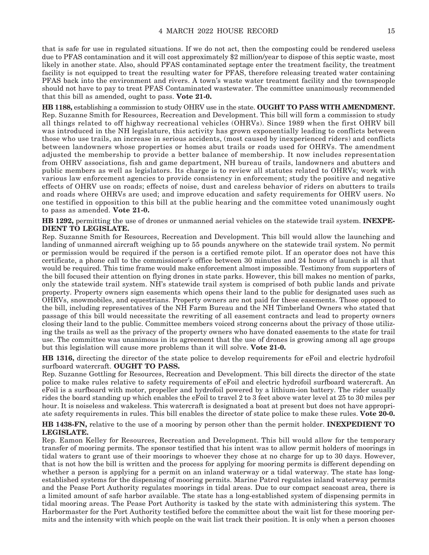that is safe for use in regulated situations. If we do not act, then the composting could be rendered useless due to PFAS contamination and it will cost approximately \$2 million/year to dispose of this septic waste, most likely in another state. Also, should PFAS contaminated septage enter the treatment facility, the treatment facility is not equipped to treat the resulting water for PFAS, therefore releasing treated water containing PFAS back into the environment and rivers. A town's waste water treatment facility and the townspeople should not have to pay to treat PFAS Contaminated wastewater. The committee unanimously recommended that this bill as amended, ought to pass. **Vote 21-0.**

**HB 1188,** establishing a commission to study OHRV use in the state. **OUGHT TO PASS WITH AMENDMENT.** Rep. Suzanne Smith for Resources, Recreation and Development. This bill will form a commission to study all things related to off highway recreational vehicles (OHRVs). Since 1989 when the first OHRV bill was introduced in the NH legislature, this activity has grown exponentially leading to conflicts between those who use trails, an increase in serious accidents, (most caused by inexperienced riders) and conflicts between landowners whose properties or homes abut trails or roads used for OHRVs. The amendment adjusted the membership to provide a better balance of membership. It now includes representation from OHRV associations, fish and game department, NH bureau of trails, landowners and abutters and public members as well as legislators. Its charge is to review all statutes related to OHRVs; work with various law enforcement agencies to provide consistency in enforcement; study the positive and negative effects of OHRV use on roads; effects of noise, dust and careless behavior of riders on abutters to trails and roads where OHRVs are used; and improve education and safety requirements for OHRV users. No one testified in opposition to this bill at the public hearing and the committee voted unanimously ought to pass as amended. **Vote 21-0.**

**HB 1292,** permitting the use of drones or unmanned aerial vehicles on the statewide trail system. **INEXPE-DIENT TO LEGISLATE.**

Rep. Suzanne Smith for Resources, Recreation and Development. This bill would allow the launching and landing of unmanned aircraft weighing up to 55 pounds anywhere on the statewide trail system. No permit or permission would be required if the person is a certified remote pilot. If an operator does not have this certificate, a phone call to the commissioner's office between 30 minutes and 24 hours of launch is all that would be required. This time frame would make enforcement almost impossible. Testimony from supporters of the bill focused their attention on flying drones in state parks. However, this bill makes no mention of parks, only the statewide trail system. NH's statewide trail system is comprised of both public lands and private property. Property owners sign easements which opens their land to the public for designated uses such as OHRVs, snowmobiles, and equestrians. Property owners are not paid for these easements. Those opposed to the bill, including representatives of the NH Farm Bureau and the NH Timberland Owners who stated that passage of this bill would necessitate the rewriting of all easement contracts and lead to property owners closing their land to the public. Committee members voiced strong concerns about the privacy of those utilizing the trails as well as the privacy of the property owners who have donated easements to the state for trail use. The committee was unanimous in its agreement that the use of drones is growing among all age groups but this legislation will cause more problems than it will solve. **Vote 21-0.**

**HB 1316,** directing the director of the state police to develop requirements for eFoil and electric hydrofoil surfboard watercraft. **OUGHT TO PASS.**

Rep. Suzanne Gottling for Resources, Recreation and Development. This bill directs the director of the state police to make rules relative to safety requirements of eFoil and electric hydrofoil surfboard watercraft. An eFoil is a surfboard with motor, propeller and hydrofoil powered by a lithium-ion battery. The rider usually rides the board standing up which enables the eFoil to travel 2 to 3 feet above water level at 25 to 30 miles per hour. It is noiseless and wakeless. This watercraft is designated a boat at present but does not have appropriate safety requirements in rules. This bill enables the director of state police to make these rules. **Vote 20-0.**

**HB 1438-FN,** relative to the use of a mooring by person other than the permit holder. **INEXPEDIENT TO LEGISLATE.**

Rep. Eamon Kelley for Resources, Recreation and Development. This bill would allow for the temporary transfer of mooring permits. The sponsor testified that his intent was to allow permit holders of moorings in tidal waters to grant use of their moorings to whoever they chose at no charge for up to 30 days. However, that is not how the bill is written and the process for applying for mooring permits is different depending on whether a person is applying for a permit on an inland waterway or a tidal waterway. The state has longestablished systems for the dispensing of mooring permits. Marine Patrol regulates inland waterway permits and the Pease Port Authority regulates moorings in tidal areas. Due to our compact seacoast area, there is a limited amount of safe harbor available. The state has a long-established system of dispensing permits in tidal mooring areas. The Pease Port Authority is tasked by the state with administering this system. The Harbormaster for the Port Authority testified before the committee about the wait list for these mooring permits and the intensity with which people on the wait list track their position. It is only when a person chooses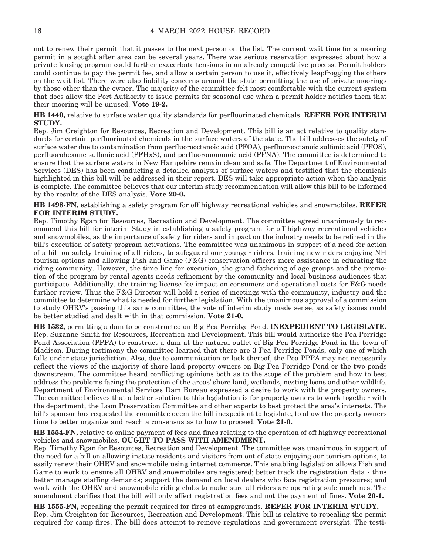not to renew their permit that it passes to the next person on the list. The current wait time for a mooring permit in a sought after area can be several years. There was serious reservation expressed about how a private leasing program could further exacerbate tensions in an already competitive process. Permit holders could continue to pay the permit fee, and allow a certain person to use it, effectively leapfrogging the others on the wait list. There were also liability concerns around the state permitting the use of private moorings by those other than the owner. The majority of the committee felt most comfortable with the current system that does allow the Port Authority to issue permits for seasonal use when a permit holder notifies them that their mooring will be unused. **Vote 19-2.**

**HB 1440,** relative to surface water quality standards for perfluorinated chemicals. **REFER FOR INTERIM STUDY.**

Rep. Jim Creighton for Resources, Recreation and Development. This bill is an act relative to quality standards for certain perfluorinated chemicals in the surface waters of the state. The bill addresses the safety of surface water due to contamination from perfluorooctanoic acid (PFOA), perfluorooctanoic sulfonic acid (PFOS), perfluorohexane sulfonic acid (PFHxS), and perfluorononanoic acid (PFNA). The committee is determined to ensure that the surface waters in New Hampshire remain clean and safe. The Department of Environmental Services (DES) has been conducting a detailed analysis of surface waters and testified that the chemicals highlighted in this bill will be addressed in their report. DES will take appropriate action when the analysis is complete. The committee believes that our interim study recommendation will allow this bill to be informed by the results of the DES analysis. **Vote 20-0.**

**HB 1498-FN,** establishing a safety program for off highway recreational vehicles and snowmobiles. **REFER FOR INTERIM STUDY.**

Rep. Timothy Egan for Resources, Recreation and Development. The committee agreed unanimously to recommend this bill for interim Study in establishing a safety program for off highway recreational vehicles and snowmobiles, as the importance of safety for riders and impact on the industry needs to be refined in the bill's execution of safety program activations. The committee was unanimous in support of a need for action of a bill on safety training of all riders, to safeguard our younger riders, training new riders enjoying NH tourism options and allowing Fish and Game (F&G) conservation officers more assistance in educating the riding community. However, the time line for execution, the grand fathering of age groups and the promotion of the program by rental agents needs refinement by the community and local business audiences that participate. Additionally, the training license fee impact on consumers and operational costs for F&G needs further review. Thus the F&G Director will hold a series of meetings with the community, industry and the committee to determine what is needed for further legislation. With the unanimous approval of a commission to study OHRV's passing this same committee, the vote of interim study made sense, as safety issues could be better studied and dealt with in that commission. **Vote 21-0.**

**HB 1532,** permitting a dam to be constructed on Big Pea Porridge Pond. **INEXPEDIENT TO LEGISLATE.** Rep. Suzanne Smith for Resources, Recreation and Development. This bill would authorize the Pea Porridge Pond Association (PPPA) to construct a dam at the natural outlet of Big Pea Porridge Pond in the town of Madison. During testimony the committee learned that there are 3 Pea Porridge Ponds, only one of which falls under state jurisdiction. Also, due to communication or lack thereof, the Pea PPPA may not necessarily reflect the views of the majority of shore land property owners on Big Pea Porridge Pond or the two ponds downstream. The committee heard conflicting opinions both as to the scope of the problem and how to best address the problems facing the protection of the areas' shore land, wetlands, nesting loons and other wildlife. Department of Environmental Services Dam Bureau expressed a desire to work with the property owners. The committee believes that a better solution to this legislation is for property owners to work together with the department, the Loon Preservation Committee and other experts to best protect the area's interests. The bill's sponsor has requested the committee deem the bill inexpedient to legislate, to allow the property owners time to better organize and reach a consensus as to how to proceed. **Vote 21-0.**

**HB 1554-FN,** relative to online payment of fees and fines relating to the operation of off highway recreational vehicles and snowmobiles. **OUGHT TO PASS WITH AMENDMENT.**

Rep. Timothy Egan for Resources, Recreation and Development. The committee was unanimous in support of the need for a bill on allowing instate residents and visitors from out of state enjoying our tourism options, to easily renew their OHRV and snowmobile using internet commerce. This enabling legislation allows Fish and Game to work to ensure all OHRV and snowmobiles are registered; better track the registration data - thus better manage staffing demands; support the demand on local dealers who face registration pressures; and work with the OHRV and snowmobile riding clubs to make sure all riders are operating safe machines. The amendment clarifies that the bill will only affect registration fees and not the payment of fines. **Vote 20-1.**

**HB 1555-FN,** repealing the permit required for fires at campgrounds. **REFER FOR INTERIM STUDY.** Rep. Jim Creighton for Resources, Recreation and Development. This bill is relative to repealing the permit required for camp fires. The bill does attempt to remove regulations and government oversight. The testi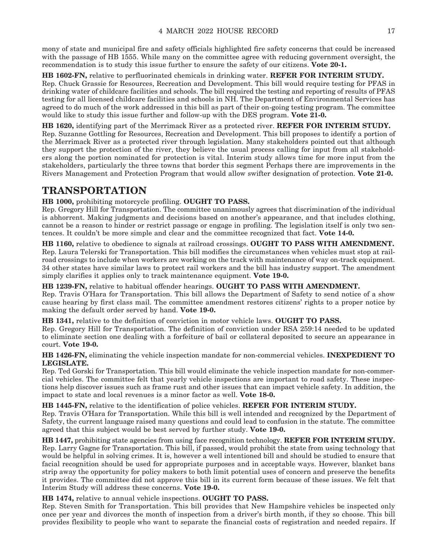mony of state and municipal fire and safety officials highlighted fire safety concerns that could be increased with the passage of HB 1555. While many on the committee agree with reducing government oversight, the recommendation is to study this issue further to ensure the safety of our citizens. **Vote 20-1.**

**HB 1602-FN,** relative to perfluorinated chemicals in drinking water. **REFER FOR INTERIM STUDY.** Rep. Chuck Grassie for Resources, Recreation and Development. This bill would require testing for PFAS in drinking water of childcare facilities and schools. The bill required the testing and reporting of results of PFAS testing for all licensed childcare facilities and schools in NH. The Department of Environmental Services has agreed to do much of the work addressed in this bill as part of their on-going testing program. The committee would like to study this issue further and follow-up with the DES program. **Vote 21-0.**

**HB 1620,** identifying part of the Merrimack River as a protected river. **REFER FOR INTERIM STUDY.** Rep. Suzanne Gottling for Resources, Recreation and Development. This bill proposes to identify a portion of the Merrimack River as a protected river through legislation. Many stakeholders pointed out that although they support the protection of the river, they believe the usual process calling for input from all stakeholders along the portion nominated for protection is vital. Interim study allows time for more input from the stakeholders, particularly the three towns that border this segment Perhaps there are improvements in the Rivers Management and Protection Program that would allow swifter designation of protection. **Vote 21-0.**

### **TRANSPORTATION**

#### **HB 1000,** prohibiting motorcycle profiling. **OUGHT TO PASS.**

Rep. Gregory Hill for Transportation. The committee unanimously agrees that discrimination of the individual is abhorrent. Making judgments and decisions based on another's appearance, and that includes clothing, cannot be a reason to hinder or restrict passage or engage in profiling. The legislation itself is only two sentences. It couldn't be more simple and clear and the committee recognized that fact. **Vote 14-0.**

**HB 1160,** relative to obedience to signals at railroad crossings. **OUGHT TO PASS WITH AMENDMENT.** Rep. Laura Telerski for Transportation. This bill modifies the circumstances when vehicles must stop at railroad crossings to include when workers are working on the track with maintenance of way on-track equipment. 34 other states have similar laws to protect rail workers and the bill has industry support. The amendment simply clarifies it applies only to track maintenance equipment. **Vote 19-0.**

#### **HB 1239-FN,** relative to habitual offender hearings. **OUGHT TO PASS WITH AMENDMENT.**

Rep. Travis O'Hara for Transportation. This bill allows the Department of Safety to send notice of a show cause hearing by first class mail. The committee amendment restores citizens' rights to a proper notice by making the default order served by hand. **Vote 19-0.**

**HB 1341,** relative to the definition of conviction in motor vehicle laws. **OUGHT TO PASS.**

Rep. Gregory Hill for Transportation. The definition of conviction under RSA 259:14 needed to be updated to eliminate section one dealing with a forfeiture of bail or collateral deposited to secure an appearance in court. **Vote 19-0.**

#### **HB 1426-FN,** eliminating the vehicle inspection mandate for non-commercial vehicles. **INEXPEDIENT TO LEGISLATE.**

Rep. Ted Gorski for Transportation. This bill would eliminate the vehicle inspection mandate for non-commercial vehicles. The committee felt that yearly vehicle inspections are important to road safety. These inspections help discover issues such as frame rust and other issues that can impact vehicle safety. In addition, the impact to state and local revenues is a minor factor as well. **Vote 18-0.**

#### **HB 1445-FN,** relative to the identification of police vehicles. **REFER FOR INTERIM STUDY.**

Rep. Travis O'Hara for Transportation. While this bill is well intended and recognized by the Department of Safety, the current language raised many questions and could lead to confusion in the statute. The committee agreed that this subject would be best served by further study. **Vote 19-0.**

**HB 1447,** prohibiting state agencies from using face recognition technology. **REFER FOR INTERIM STUDY.** Rep. Larry Gagne for Transportation. This bill, if passed, would prohibit the state from using technology that would be helpful in solving crimes. It is, however a well intentioned bill and should be studied to ensure that facial recognition should be used for appropriate purposes and in acceptable ways. However, blanket bans strip away the opportunity for policy makers to both limit potential uses of concern and preserve the benefits it provides. The committee did not approve this bill in its current form because of these issues. We felt that Interim Study will address these concerns. **Vote 19-0.**

**HB 1474,** relative to annual vehicle inspections. **OUGHT TO PASS.**

Rep. Steven Smith for Transportation. This bill provides that New Hampshire vehicles be inspected only once per year and divorces the month of inspection from a driver's birth month, if they so choose. This bill provides flexibility to people who want to separate the financial costs of registration and needed repairs. If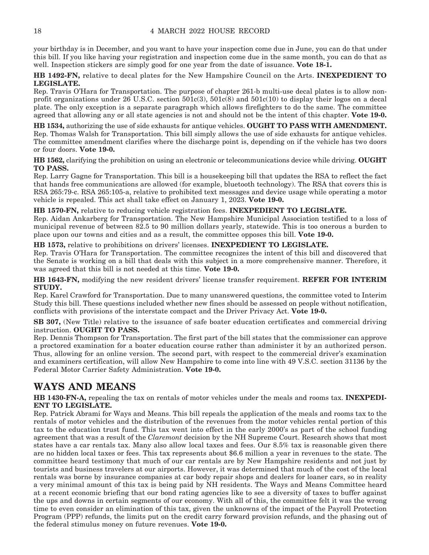your birthday is in December, and you want to have your inspection come due in June, you can do that under this bill. If you like having your registration and inspection come due in the same month, you can do that as well. Inspection stickers are simply good for one year from the date of issuance. **Vote 18-1.**

**HB 1492-FN,** relative to decal plates for the New Hampshire Council on the Arts. **INEXPEDIENT TO LEGISLATE.**

Rep. Travis O'Hara for Transportation. The purpose of chapter 261-b multi-use decal plates is to allow nonprofit organizations under 26 U.S.C. section 501c(3), 501c(8) and 501c(10) to display their logos on a decal plate. The only exception is a separate paragraph which allows firefighters to do the same. The committee agreed that allowing any or all state agencies is not and should not be the intent of this chapter. **Vote 19-0.**

**HB 1534,** authorizing the use of side exhausts for antique vehicles. **OUGHT TO PASS WITH AMENDMENT.** Rep. Thomas Walsh for Transportation. This bill simply allows the use of side exhausts for antique vehicles. The committee amendment clarifies where the discharge point is, depending on if the vehicle has two doors or four doors. **Vote 19-0.**

**HB 1562,** clarifying the prohibition on using an electronic or telecommunications device while driving. **OUGHT TO PASS.**

Rep. Larry Gagne for Transportation. This bill is a housekeeping bill that updates the RSA to reflect the fact that hands free communications are allowed (for example, bluetooth technology). The RSA that covers this is RSA 265:79-c. RSA 265:105-a, relative to prohibited text messages and device usage while operating a motor vehicle is repealed. This act shall take effect on January 1, 2023. **Vote 19-0.**

**HB 1570-FN,** relative to reducing vehicle registration fees. **INEXPEDIENT TO LEGISLATE.**

Rep. Aidan Ankarberg for Transportation. The New Hampshire Municipal Association testified to a loss of municipal revenue of between 82.5 to 90 million dollars yearly, statewide. This is too onerous a burden to place upon our towns and cities and as a result, the committee opposes this bill. **Vote 19-0.**

**HB 1573,** relative to prohibitions on drivers' licenses. **INEXPEDIENT TO LEGISLATE.**

Rep. Travis O'Hara for Transportation. The committee recognizes the intent of this bill and discovered that the Senate is working on a bill that deals with this subject in a more comprehensive manner. Therefore, it was agreed that this bill is not needed at this time. **Vote 19-0.**

**HB 1643-FN,** modifying the new resident drivers' license transfer requirement. **REFER FOR INTERIM STUDY.**

Rep. Karel Crawford for Transportation. Due to many unanswered questions, the committee voted to Interim Study this bill. These questions included whether new fines should be assessed on people without notification, conflicts with provisions of the interstate compact and the Driver Privacy Act. **Vote 19-0.**

**SB 307,** (New Title) relative to the issuance of safe boater education certificates and commercial driving instruction. **OUGHT TO PASS.**

Rep. Dennis Thompson for Transportation. The first part of the bill states that the commissioner can approve a proctored examination for a boater education course rather than administer it by an authorized person. Thus, allowing for an online version. The second part, with respect to the commercial driver's examination and examiners certification, will allow New Hampshire to come into line with 49 V.S.C. section 31136 by the Federal Motor Carrier Safety Administration. **Vote 19-0.**

### **WAYS AND MEANS**

**HB 1430-FN-A,** repealing the tax on rentals of motor vehicles under the meals and rooms tax. **INEXPEDI-ENT TO LEGISLATE.**

Rep. Patrick Abrami for Ways and Means. This bill repeals the application of the meals and rooms tax to the rentals of motor vehicles and the distribution of the revenues from the motor vehicles rental portion of this tax to the education trust fund. This tax went into effect in the early 2000's as part of the school funding agreement that was a result of the *Claremont* decision by the NH Supreme Court. Research shows that most states have a car rentals tax. Many also allow local taxes and fees. Our 8.5% tax is reasonable given there are no hidden local taxes or fees. This tax represents about \$6.6 million a year in revenues to the state. The committee heard testimony that much of our car rentals are by New Hampshire residents and not just by tourists and business travelers at our airports. However, it was determined that much of the cost of the local rentals was borne by insurance companies at car body repair shops and dealers for loaner cars, so in reality a very minimal amount of this tax is being paid by NH residents. The Ways and Means Committee heard at a recent economic briefing that our bond rating agencies like to see a diversity of taxes to buffer against the ups and downs in certain segments of our economy. With all of this, the committee felt it was the wrong time to even consider an elimination of this tax, given the unknowns of the impact of the Payroll Protection Program (PPP) refunds, the limits put on the credit carry forward provision refunds, and the phasing out of the federal stimulus money on future revenues. **Vote 19-0.**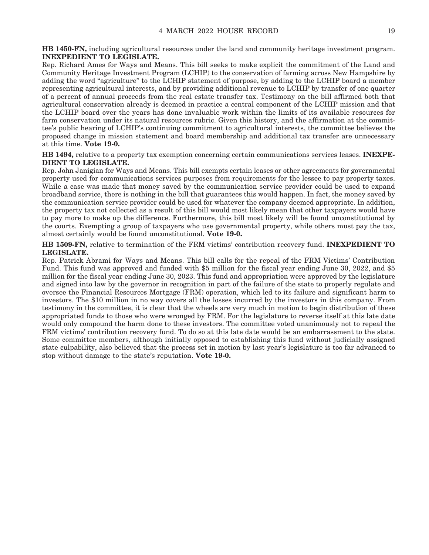**HB 1450-FN,** including agricultural resources under the land and community heritage investment program. **INEXPEDIENT TO LEGISLATE.**

Rep. Richard Ames for Ways and Means. This bill seeks to make explicit the commitment of the Land and Community Heritage Investment Program (LCHIP) to the conservation of farming across New Hampshire by adding the word "agriculture" to the LCHIP statement of purpose, by adding to the LCHIP board a member representing agricultural interests, and by providing additional revenue to LCHIP by transfer of one quarter of a percent of annual proceeds from the real estate transfer tax. Testimony on the bill affirmed both that agricultural conservation already is deemed in practice a central component of the LCHIP mission and that the LCHIP board over the years has done invaluable work within the limits of its available resources for farm conservation under its natural resources rubric. Given this history, and the affirmation at the committee's public hearing of LCHIP's continuing commitment to agricultural interests, the committee believes the proposed change in mission statement and board membership and additional tax transfer are unnecessary at this time. **Vote 19-0.**

**HB 1494,** relative to a property tax exemption concerning certain communications services leases. **INEXPE-DIENT TO LEGISLATE.**

Rep. John Janigian for Ways and Means. This bill exempts certain leases or other agreements for governmental property used for communications services purposes from requirements for the lessee to pay property taxes. While a case was made that money saved by the communication service provider could be used to expand broadband service, there is nothing in the bill that guarantees this would happen. In fact, the money saved by the communication service provider could be used for whatever the company deemed appropriate. In addition, the property tax not collected as a result of this bill would most likely mean that other taxpayers would have to pay more to make up the difference. Furthermore, this bill most likely will be found unconstitutional by the courts. Exempting a group of taxpayers who use governmental property, while others must pay the tax, almost certainly would be found unconstitutional. **Vote 19-0.**

**HB 1509-FN,** relative to termination of the FRM victims' contribution recovery fund. **INEXPEDIENT TO LEGISLATE.**

Rep. Patrick Abrami for Ways and Means. This bill calls for the repeal of the FRM Victims' Contribution Fund. This fund was approved and funded with \$5 million for the fiscal year ending June 30, 2022, and \$5 million for the fiscal year ending June 30, 2023. This fund and appropriation were approved by the legislature and signed into law by the governor in recognition in part of the failure of the state to properly regulate and oversee the Financial Resources Mortgage (FRM) operation, which led to its failure and significant harm to investors. The \$10 million in no way covers all the losses incurred by the investors in this company. From testimony in the committee, it is clear that the wheels are very much in motion to begin distribution of these appropriated funds to those who were wronged by FRM. For the legislature to reverse itself at this late date would only compound the harm done to these investors. The committee voted unanimously not to repeal the FRM victims' contribution recovery fund. To do so at this late date would be an embarrassment to the state. Some committee members, although initially opposed to establishing this fund without judicially assigned state culpability, also believed that the process set in motion by last year's legislature is too far advanced to stop without damage to the state's reputation. **Vote 19-0.**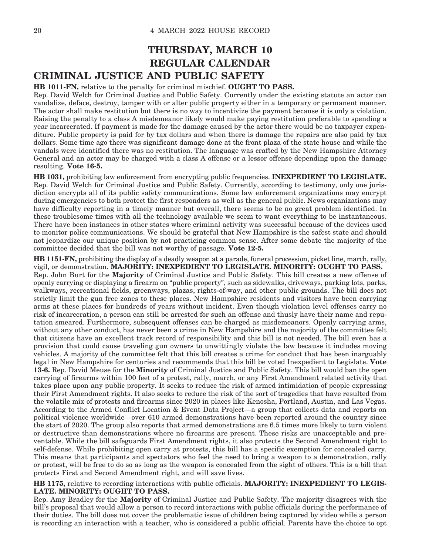### **THURSDAY, MARCH 10 REGULAR CALENDAR CRIMINAL JUSTICE AND PUBLIC SAFETY**

**HB 1011-FN,** relative to the penalty for criminal mischief. **OUGHT TO PASS.**

Rep. David Welch for Criminal Justice and Public Safety. Currently under the existing statute an actor can vandalize, deface, destroy, tamper with or alter public property either in a temporary or permanent manner. The actor shall make restitution but there is no way to incentivize the payment because it is only a violation. Raising the penalty to a class A misdemeanor likely would make paying restitution preferable to spending a year incarcerated. If payment is made for the damage caused by the actor there would be no taxpayer expenditure. Public property is paid for by tax dollars and when there is damage the repairs are also paid by tax dollars. Some time ago there was significant damage done at the front plaza of the state house and while the vandals were identified there was no restitution. The language was crafted by the New Hampshire Attorney General and an actor may be charged with a class A offense or a lessor offense depending upon the damage resulting. **Vote 16-5.**

**HB 1031,** prohibiting law enforcement from encrypting public frequencies. **INEXPEDIENT TO LEGISLATE.** Rep. David Welch for Criminal Justice and Public Safety. Currently, according to testimony, only one jurisdiction encrypts all of its public safety communications. Some law enforcement organizations may encrypt during emergencies to both protect the first responders as well as the general public. News organizations may have difficulty reporting in a timely manner but overall, there seems to be no great problem identified. In these troublesome times with all the technology available we seem to want everything to be instantaneous. There have been instances in other states where criminal activity was successful because of the devices used to monitor police communications. We should be grateful that New Hampshire is the safest state and should not jeopardize our unique position by not practicing common sense. After some debate the majority of the committee decided that the bill was not worthy of passage. **Vote 12-5.**

**HB 1151-FN,** prohibiting the display of a deadly weapon at a parade, funeral procession, picket line, march, rally, vigil, or demonstration. **MAJORITY: INEXPEDIENT TO LEGISLATE. MINORITY: OUGHT TO PASS.** Rep. John Burt for the **Majority** of Criminal Justice and Public Safety. This bill creates a new offense of openly carrying or displaying a firearm on "public property", such as sidewalks, driveways, parking lots, parks, walkways, recreational fields, greenways, plazas, rights-of-way, and other public grounds. The bill does not strictly limit the gun free zones to these places. New Hampshire residents and visitors have been carrying arms at these places for hundreds of years without incident. Even though violation level offenses carry no risk of incarceration, a person can still be arrested for such an offense and thusly have their name and reputation smeared. Furthermore, subsequent offenses can be charged as misdemeanors. Openly carrying arms, without any other conduct, has never been a crime in New Hampshire and the majority of the committee felt that citizens have an excellent track record of responsibility and this bill is not needed. The bill even has a provision that could cause traveling gun owners to unwittingly violate the law because it includes moving vehicles. A majority of the committee felt that this bill creates a crime for conduct that has been inarguably legal in New Hampshire for centuries and recommends that this bill be voted Inexpedient to Legislate. **Vote 13-6.** Rep. David Meuse for the **Minority** of Criminal Justice and Public Safety. This bill would ban the open carrying of firearms within 100 feet of a protest, rally, march, or any First Amendment related activity that takes place upon any public property. It seeks to reduce the risk of armed intimidation of people expressing their First Amendment rights. It also seeks to reduce the risk of the sort of tragedies that have resulted from the volatile mix of protests and firearms since 2020 in places like Kenosha, Portland, Austin, and Las Vegas. According to the Armed Conflict Location & Event Data Project—a group that collects data and reports on political violence worldwide—over 610 armed demonstrations have been reported around the country since the start of 2020. The group also reports that armed demonstrations are 6.5 times more likely to turn violent or destructive than demonstrations where no firearms are present. These risks are unacceptable and preventable. While the bill safeguards First Amendment rights, it also protects the Second Amendment right to self-defense. While prohibiting open carry at protests, this bill has a specific exemption for concealed carry. This means that participants and spectators who feel the need to bring a weapon to a demonstration, rally or protest, will be free to do so as long as the weapon is concealed from the sight of others. This is a bill that protects First and Second Amendment right, and will save lives.

#### **HB 1175,** relative to recording interactions with public officials. **MAJORITY: INEXPEDIENT TO LEGIS-LATE. MINORITY: OUGHT TO PASS.**

Rep. Amy Bradley for the **Majority** of Criminal Justice and Public Safety. The majority disagrees with the bill's proposal that would allow a person to record interactions with public officials during the performance of their duties. The bill does not cover the problematic issue of children being captured by video while a person is recording an interaction with a teacher, who is considered a public official. Parents have the choice to opt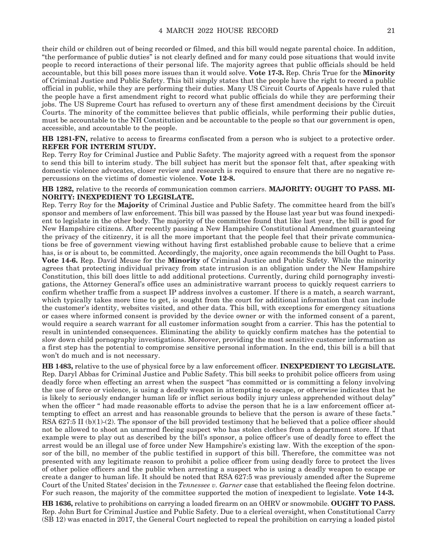their child or children out of being recorded or filmed, and this bill would negate parental choice. In addition, "the performance of public duties" is not clearly defined and for many could pose situations that would invite people to record interactions of their personal life. The majority agrees that public officials should be held accountable, but this bill poses more issues than it would solve. **Vote 17-3.** Rep. Chris True for the **Minority** of Criminal Justice and Public Safety. This bill simply states that the people have the right to record a public official in public, while they are performing their duties. Many US Circuit Courts of Appeals have ruled that the people have a first amendment right to record what public officials do while they are performing their jobs. The US Supreme Court has refused to overturn any of these first amendment decisions by the Circuit Courts. The minority of the committee believes that public officials, while performing their public duties, must be accountable to the NH Constitution and be accountable to the people so that our government is open, accessible, and accountable to the people.

**HB 1281-FN,** relative to access to firearms confiscated from a person who is subject to a protective order. **REFER FOR INTERIM STUDY.**

Rep. Terry Roy for Criminal Justice and Public Safety. The majority agreed with a request from the sponsor to send this bill to interim study. The bill subject has merit but the sponsor felt that, after speaking with domestic violence advocates, closer review and research is required to ensure that there are no negative repercussions on the victims of domestic violence. **Vote 12-8.**

#### **HB 1282,** relative to the records of communication common carriers. **MAJORITY: OUGHT TO PASS. MI-NORITY: INEXPEDIENT TO LEGISLATE.**

Rep. Terry Roy for the **Majority** of Criminal Justice and Public Safety. The committee heard from the bill's sponsor and members of law enforcement. This bill was passed by the House last year but was found inexpedient to legislate in the other body. The majority of the committee found that like last year, the bill is good for New Hampshire citizens. After recently passing a New Hampshire Constitutional Amendment guaranteeing the privacy of the citizenry, it is all the more important that the people feel that their private communications be free of government viewing without having first established probable cause to believe that a crime has, is or is about to, be committed. Accordingly, the majority, once again recommends the bill Ought to Pass. **Vote 14-6.** Rep. David Meuse for the **Minority** of Criminal Justice and Public Safety. While the minority agrees that protecting individual privacy from state intrusion is an obligation under the New Hampshire Constitution, this bill does little to add additional protections. Currently, during child pornography investigations, the Attorney General's office uses an administrative warrant process to quickly request carriers to confirm whether traffic from a suspect IP address involves a customer. If there is a match, a search warrant, which typically takes more time to get, is sought from the court for additional information that can include the customer's identity, websites visited, and other data. This bill, with exceptions for emergency situations or cases where informed consent is provided by the device owner or with the informed consent of a parent, would require a search warrant for all customer information sought from a carrier. This has the potential to result in unintended consequences. Eliminating the ability to quickly confirm matches has the potential to slow down child pornography investigations. Moreover, providing the most sensitive customer information as a first step has the potential to compromise sensitive personal information. In the end, this bill is a bill that won't do much and is not necessary.

**HB 1483,** relative to the use of physical force by a law enforcement officer. **INEXPEDIENT TO LEGISLATE.** Rep. Daryl Abbas for Criminal Justice and Public Safety. This bill seeks to prohibit police officers from using deadly force when effecting an arrest when the suspect "has committed or is committing a felony involving the use of force or violence, is using a deadly weapon in attempting to escape, or otherwise indicates that he is likely to seriously endanger human life or inflict serious bodily injury unless apprehended without delay" when the officer " had made reasonable efforts to advise the person that he is a law enforcement officer attempting to effect an arrest and has reasonable grounds to believe that the person is aware of these facts." RSA 627:5 II (b)(1)-(2). The sponsor of the bill provided testimony that he believed that a police officer should not be allowed to shoot an unarmed fleeing suspect who has stolen clothes from a department store. If that example were to play out as described by the bill's sponsor, a police officer's use of deadly force to effect the arrest would be an illegal use of force under New Hampshire's existing law. With the exception of the sponsor of the bill, no member of the public testified in support of this bill. Therefore, the committee was not presented with any legitimate reason to prohibit a police officer from using deadly force to protect the lives of other police officers and the public when arresting a suspect who is using a deadly weapon to escape or create a danger to human life. It should be noted that RSA 627:5 was previously amended after the Supreme Court of the United States' decision in the *Tennessee v. Garner* case that established the fleeing felon doctrine. For such reason, the majority of the committee supported the motion of inexpedient to legislate. **Vote 14-3.**

**HB 1636,** relative to prohibitions on carrying a loaded firearm on an OHRV or snowmobile. **OUGHT TO PASS.** Rep. John Burt for Criminal Justice and Public Safety. Due to a clerical oversight, when Constitutional Carry (SB 12) was enacted in 2017, the General Court neglected to repeal the prohibition on carrying a loaded pistol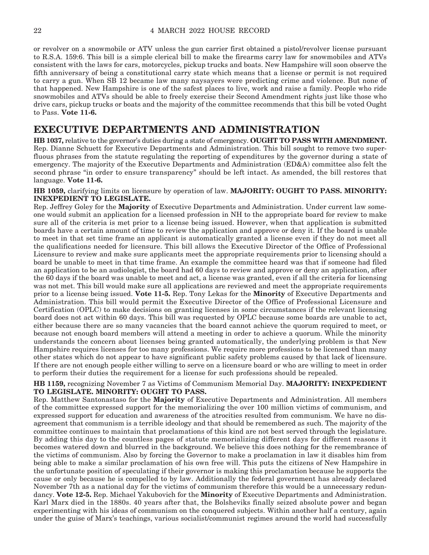or revolver on a snowmobile or ATV unless the gun carrier first obtained a pistol/revolver license pursuant to R.S.A. 159:6. This bill is a simple clerical bill to make the firearms carry law for snowmobiles and ATVs consistent with the laws for cars, motorcycles, pickup trucks and boats. New Hampshire will soon observe the fifth anniversary of being a constitutional carry state which means that a license or permit is not required to carry a gun. When SB 12 became law many naysayers were predicting crime and violence. But none of that happened. New Hampshire is one of the safest places to live, work and raise a family. People who ride snowmobiles and ATVs should be able to freely exercise their Second Amendment rights just like those who drive cars, pickup trucks or boats and the majority of the committee recommends that this bill be voted Ought to Pass. **Vote 11-6.**

### **EXECUTIVE DEPARTMENTS AND ADMINISTRATION**

**HB 1037,** relative to the governor's duties during a state of emergency. **OUGHT TO PASS WITH AMENDMENT.** Rep. Dianne Schuett for Executive Departments and Administration. This bill sought to remove two superfluous phrases from the statute regulating the reporting of expenditures by the governor during a state of emergency. The majority of the Executive Departments and Administration (ED&A) committee also felt the second phrase "in order to ensure transparency" should be left intact. As amended, the bill restores that language. **Vote 11-6.**

#### **HB 1059,** clarifying limits on licensure by operation of law. **MAJORITY: OUGHT TO PASS. MINORITY: INEXPEDIENT TO LEGISLATE.**

Rep. Jeffrey Goley for the **Majority** of Executive Departments and Administration. Under current law someone would submit an application for a licensed profession in NH to the appropriate board for review to make sure all of the criteria is met prior to a license being issued. However, when that application is submitted boards have a certain amount of time to review the application and approve or deny it. If the board is unable to meet in that set time frame an applicant is automatically granted a license even if they do not meet all the qualifications needed for licensure. This bill allows the Executive Director of the Office of Professional Licensure to review and make sure applicants meet the appropriate requirements prior to licensing should a board be unable to meet in that time frame. An example the committee heard was that if someone had filed an application to be an audiologist, the board had 60 days to review and approve or deny an application, after the 60 days if the board was unable to meet and act, a license was granted, even if all the criteria for licensing was not met. This bill would make sure all applications are reviewed and meet the appropriate requirements prior to a license being issued. **Vote 11-5.** Rep. Tony Lekas for the **Minority** of Executive Departments and Administration. This bill would permit the Executive Director of the Office of Professional Licensure and Certification (OPLC) to make decisions on granting licenses in some circumstances if the relevant licensing board does not act within 60 days. This bill was requested by OPLC because some boards are unable to act, either because there are so many vacancies that the board cannot achieve the quorum required to meet, or because not enough board members will attend a meeting in order to achieve a quorum. While the minority understands the concern about licenses being granted automatically, the underlying problem is that New Hampshire requires licenses for too many professions. We require more professions to be licensed than many other states which do not appear to have significant public safety problems caused by that lack of licensure. If there are not enough people either willing to serve on a licensure board or who are willing to meet in order to perform their duties the requirement for a license for such professions should be repealed.

#### **HB 1159,** recognizing November 7 as Victims of Communism Memorial Day. **MAJORITY: INEXPEDIENT TO LEGISLATE. MINORITY: OUGHT TO PASS.**

Rep. Matthew Santonastaso for the **Majority** of Executive Departments and Administration. All members of the committee expressed support for the memorializing the over 100 million victims of communism, and expressed support for education and awareness of the atrocities resulted from communism. We have no disagreement that communism is a terrible ideology and that should be remembered as such. The majority of the committee continues to maintain that proclamations of this kind are not best served through the legislature. By adding this day to the countless pages of statute memorializing different days for different reasons it becomes watered down and blurred in the background. We believe this does nothing for the remembrance of the victims of communism. Also by forcing the Governor to make a proclamation in law it disables him from being able to make a similar proclamation of his own free will. This puts the citizens of New Hampshire in the unfortunate position of speculating if their governor is making this proclamation because he supports the cause or only because he is compelled to by law. Additionally the federal government has already declared November 7th as a national day for the victims of communism therefore this would be a unnecessary redundancy. **Vote 12-5.** Rep. Michael Yakubovich for the **Minority** of Executive Departments and Administration. Karl Marx died in the 1880s. 40 years after that, the Bolsheviks finally seized absolute power and began experimenting with his ideas of communism on the conquered subjects. Within another half a century, again under the guise of Marx's teachings, various socialist/communist regimes around the world had successfully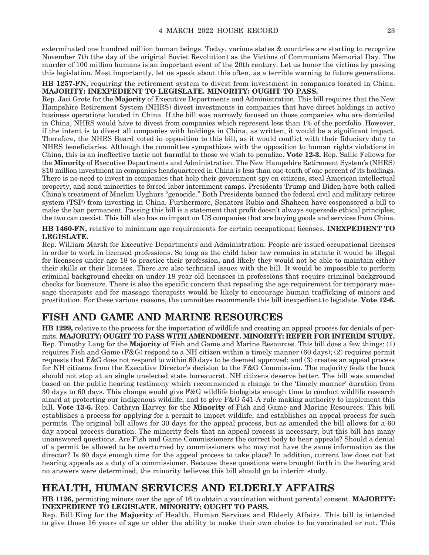exterminated one hundred million human beings. Today, various states & countries are starting to recognize November 7th (the day of the original Soviet Revolution) as the Victims of Communism Memorial Day. The murder of 100 million humans is an important event of the 20th century. Let us honor the victims by passing this legislation. Most importantly, let us speak about this often, as a terrible warning to future generations.

**HB 1257-FN,** requiring the retirement system to divest from investment in companies located in China. **MAJORITY: INEXPEDIENT TO LEGISLATE. MINORITY: OUGHT TO PASS.**

Rep. Jaci Grote for the **Majority** of Executive Departments and Administration. This bill requires that the New Hampshire Retirement System (NHRS) divest investments in companies that have direct holdings in active business operations located in China. If the bill was narrowly focused on those companies who are domiciled in China, NHRS would have to divest from companies which represent less than 1% of the portfolio. However, if the intent is to divest all companies with holdings in China, as written, it would be a significant impact. Therefore, the NHRS Board voted in opposition to this bill, as it would conflict with their fiduciary duty to NHRS beneficiaries. Although the committee sympathizes with the opposition to human rights violations in China, this is an ineffective tactic not harmful to those we wish to penalize. **Vote 12-3.** Rep. Sallie Fellows for the **Minority** of Executive Departments and Administration. The New Hampshire Retirement System's (NHRS) \$10 million investment in companies headquartered in China is less than one-tenth of one percent of its holdings. There is no need to invest in companies that help their government spy on citizens, steal American intellectual property, and send minorities to forced labor internment camps. Presidents Trump and Biden have both called China's treatment of Muslim Uyghurs "genocide." Both Presidents banned the federal civil and military retiree system (TSP) from investing in China. Furthermore, Senators Rubio and Shaheen have cosponsored a bill to make the ban permanent. Passing this bill is a statement that profit doesn't always supersede ethical principles; the two can coexist. This bill also has no impact on US companies that are buying goods and services from China.

**HB 1460-FN,** relative to minimum age requirements for certain occupational licenses. **INEXPEDIENT TO LEGISLATE.**

Rep. William Marsh for Executive Departments and Administration. People are issued occupational licenses in order to work in licensed professions. So long as the child labor law remains in statute it would be illegal for licensees under age 18 to practice their profession, and likely they would not be able to maintain either their skills or their licenses. There are also technical issues with the bill. It would be impossible to perform criminal background checks on under 18 year old licensees in professions that require criminal background checks for licensure. There is also the specific concern that repealing the age requirement for temporary massage therapists and for massage therapists would be likely to encourage human trafficking of minors and prostitution. For these various reasons, the committee recommends this bill inexpedient to legislate. **Vote 12-6.**

### **FISH AND GAME AND MARINE RESOURCES**

**HB 1299,** relative to the process for the importation of wildlife and creating an appeal process for denials of permits. **MAJORITY: OUGHT TO PASS WITH AMENDMENT. MINORITY: REFER FOR INTERIM STUDY.** Rep. Timothy Lang for the **Majority** of Fish and Game and Marine Resources. This bill does a few things: (1) requires Fish and Game (F&G) respond to a NH citizen within a timely manner (60 days); (2) requires permit requests that F&G does not respond to within 60 days to be deemed approved; and (3) creates an appeal process for NH citizens from the Executive Director's decision to the F&G Commission. The majority feels the buck should not stop at an single unelected state bureaucrat. NH citizens deserve better. The bill was amended based on the public hearing testimony which recommended a change to the 'timely manner' duration from 30 days to 60 days. This change would give F&G wildlife biologists enough time to conduct wildlife research aimed at protecting our indigenous wildlife, and to give F&G 541-A rule making authority to implement this bill. **Vote 13-6.** Rep. Cathryn Harvey for the **Minority** of Fish and Game and Marine Resources. This bill establishes a process for applying for a permit to import wildlife, and establishes an appeal process for such permits. The original bill allows for 30 days for the appeal process, but as amended the bill allows for a 60 day appeal process duration. The minority feels that an appeal process is necessary, but this bill has many unanswered questions. Are Fish and Game Commissioners the correct body to hear appeals? Should a denial of a permit be allowed to be overturned by commissioners who may not have the same information as the director? Is 60 days enough time for the appeal process to take place? In addition, current law does not list hearing appeals as a duty of a commissioner. Because these questions were brought forth in the hearing and no answers were determined, the minority believes this bill should go to interim study.

### **HEALTH, HUMAN SERVICES AND ELDERLY AFFAIRS**

**HB 1126,** permitting minors over the age of 16 to obtain a vaccination without parental consent. **MAJORITY: INEXPEDIENT TO LEGISLATE. MINORITY: OUGHT TO PASS.**

Rep. Bill King for the **Majority** of Health, Human Services and Elderly Affairs. This bill is intended to give those 16 years of age or older the ability to make their own choice to be vaccinated or not. This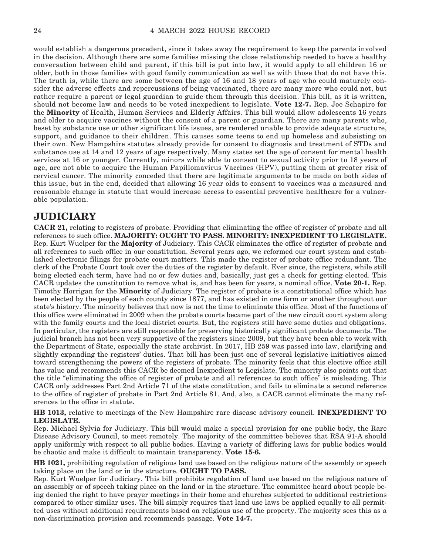would establish a dangerous precedent, since it takes away the requirement to keep the parents involved in the decision. Although there are some families missing the close relationship needed to have a healthy conversation between child and parent, if this bill is put into law, it would apply to all children 16 or older, both in those families with good family communication as well as with those that do not have this. The truth is, while there are some between the age of 16 and 18 years of age who could maturely consider the adverse effects and repercussions of being vaccinated, there are many more who could not, but rather require a parent or legal guardian to guide them through this decision. This bill, as it is written, should not become law and needs to be voted inexpedient to legislate. **Vote 12-7.** Rep. Joe Schapiro for the **Minority** of Health, Human Services and Elderly Affairs. This bill would allow adolescents 16 years and older to acquire vaccines without the consent of a parent or guardian. There are many parents who, beset by substance use or other significant life issues, are rendered unable to provide adequate structure, support, and guidance to their children. This causes some teens to end up homeless and subsisting on their own. New Hampshire statutes already provide for consent to diagnosis and treatment of STDs and substance use at 14 and 12 years of age respectively. Many states set the age of consent for mental health services at 16 or younger. Currently, minors while able to consent to sexual activity prior to 18 years of age, are not able to acquire the Human Papillomavirus Vaccines (HPV), putting them at greater risk of cervical cancer. The minority conceded that there are legitimate arguments to be made on both sides of this issue, but in the end, decided that allowing 16 year olds to consent to vaccines was a measured and reasonable change in statute that would increase access to essential preventive healthcare for a vulnerable population.

### **JUDICIARY**

**CACR 21,** relating to registers of probate. Providing that eliminating the office of register of probate and all references to such office. **MAJORITY: OUGHT TO PASS. MINORITY: INEXPEDIENT TO LEGISLATE.** Rep. Kurt Wuelper for the **Majority** of Judiciary. This CACR eliminates the office of register of probate and all references to such office in our constitution. Several years ago, we reformed our court system and established electronic filings for probate court matters. This made the register of probate office redundant. The clerk of the Probate Court took over the duties of the register by default. Ever since, the registers, while still being elected each term, have had no or few duties and, basically, just get a check for getting elected. This CACR updates the constitution to remove what is, and has been for years, a nominal office. **Vote 20-1.** Rep. Timothy Horrigan for the **Minority** of Judiciary. The register of probate is a constitutional office which has been elected by the people of each county since 1877, and has existed in one form or another throughout our state's history. The minority believes that now is not the time to eliminate this office. Most of the functions of this office were eliminated in 2009 when the probate courts became part of the new circuit court system along with the family courts and the local district courts. But, the registers still have some duties and obligations. In particular, the registers are still responsible for preserving historically significant probate documents. The judicial branch has not been very supportive of the registers since 2009, but they have been able to work with the Department of State, especially the state archivist. In 2017, HB 259 was passed into law, clarifying and slightly expanding the registers' duties. That bill has been just one of several legislative initiatives aimed toward strengthening the powers of the registers of probate. The minority feels that this elective office still has value and recommends this CACR be deemed Inexpedient to Legislate. The minority also points out that the title "eliminating the office of register of probate and all references to such office" is misleading. This CACR only addresses Part 2nd Article 71 of the state constitution, and fails to eliminate a second reference to the office of register of probate in Part 2nd Article 81. And, also, a CACR cannot eliminate the many references to the office in statute.

#### **HB 1013,** relative to meetings of the New Hampshire rare disease advisory council. **INEXPEDIENT TO LEGISLATE.**

Rep. Michael Sylvia for Judiciary. This bill would make a special provision for one public body, the Rare Disease Advisory Council, to meet remotely. The majority of the committee believes that RSA 91-A should apply uniformly with respect to all public bodies. Having a variety of differing laws for public bodies would be chaotic and make it difficult to maintain transparency. **Vote 15-6.**

**HB 1021,** prohibiting regulation of religious land use based on the religious nature of the assembly or speech taking place on the land or in the structure. **OUGHT TO PASS.**

Rep. Kurt Wuelper for Judiciary. This bill prohibits regulation of land use based on the religious nature of an assembly or of speech taking place on the land or in the structure. The committee heard about people being denied the right to have prayer meetings in their home and churches subjected to additional restrictions compared to other similar uses. The bill simply requires that land use laws be applied equally to all permitted uses without additional requirements based on religious use of the property. The majority sees this as a non-discrimination provision and recommends passage. **Vote 14-7.**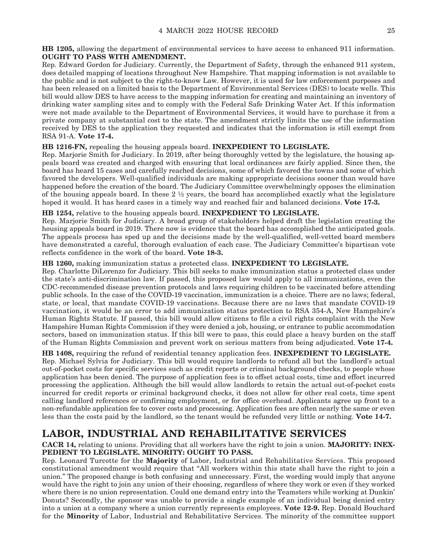**HB 1205,** allowing the department of environmental services to have access to enhanced 911 information. **OUGHT TO PASS WITH AMENDMENT.**

Rep. Edward Gordon for Judiciary. Currently, the Department of Safety, through the enhanced 911 system, does detailed mapping of locations throughout New Hampshire. That mapping information is not available to the public and is not subject to the right-to-know Law. However, it is used for law enforcement purposes and has been released on a limited basis to the Department of Environmental Services (DES) to locate wells. This bill would allow DES to have access to the mapping information for creating and maintaining an inventory of drinking water sampling sites and to comply with the Federal Safe Drinking Water Act. If this information were not made available to the Department of Environmental Services, it would have to purchase it from a private company at substantial cost to the state. The amendment strictly limits the use of the information received by DES to the application they requested and indicates that the information is still exempt from RSA 91-A. **Vote 17-4.**

#### **HB 1216-FN,** repealing the housing appeals board. **INEXPEDIENT TO LEGISLATE.**

Rep. Marjorie Smith for Judiciary. In 2019, after being thoroughly vetted by the legislature, the housing appeals board was created and charged with ensuring that local ordinances are fairly applied. Since then, the board has heard 15 cases and carefully reached decisions, some of which favored the towns and some of which favored the developers. Well-qualified individuals are making appropriate decisions sooner than would have happened before the creation of the board. The Judiciary Committee overwhelmingly opposes the elimination of the housing appeals board. In these  $2 \frac{1}{2}$  years, the board has accomplished exactly what the legislature hoped it would. It has heard cases in a timely way and reached fair and balanced decisions. **Vote 17-3.**

#### **HB 1254,** relative to the housing appeals board. **INEXPEDIENT TO LEGISLATE.**

Rep. Marjorie Smith for Judiciary. A broad group of stakeholders helped draft the legislation creating the housing appeals board in 2019. There now is evidence that the board has accomplished the anticipated goals. The appeals process has sped up and the decisions made by the well-qualified, well-vetted board members have demonstrated a careful, thorough evaluation of each case. The Judiciary Committee's bipartisan vote reflects confidence in the work of the board. **Vote 18-3.**

#### **HB 1260,** making immunization status a protected class. **INEXPEDIENT TO LEGISLATE.**

Rep. Charlotte DiLorenzo for Judiciary. This bill seeks to make immunization status a protected class under the state's anti-discrimination law. If passed, this proposed law would apply to all immunizations, even the CDC-recommended disease prevention protocols and laws requiring children to be vaccinated before attending public schools. In the case of the COVID-19 vaccination, immunization is a choice. There are no laws; federal, state, or local, that mandate COVID-19 vaccinations. Because there are no laws that mandate COVID-19 vaccination, it would be an error to add immunization status protection to RSA 354-A, New Hampshire's Human Rights Statute. If passed, this bill would allow citizens to file a civil rights complaint with the New Hampshire Human Rights Commission if they were denied a job, housing, or entrance to public accommodation sectors, based on immunization status. If this bill were to pass, this could place a heavy burden on the staff of the Human Rights Commission and prevent work on serious matters from being adjudicated. **Vote 17-4.**

**HB 1408,** requiring the refund of residential tenancy application fees. **INEXPEDIENT TO LEGISLATE.** Rep. Michael Sylvia for Judiciary. This bill would require landlords to refund all but the landlord's actual out-of-pocket costs for specific services such as credit reports or criminal background checks, to people whose application has been denied. The purpose of application fees is to offset actual costs, time and effort incurred processing the application. Although the bill would allow landlords to retain the actual out-of-pocket costs incurred for credit reports or criminal background checks, it does not allow for other real costs, time spent calling landlord references or confirming employment, or for office overhead. Applicants agree up front to a non-refundable application fee to cover costs and processing. Application fees are often nearly the same or even less than the costs paid by the landlord, so the tenant would be refunded very little or nothing. **Vote 14-7.**

### **LABOR, INDUSTRIAL AND REHABILITATIVE SERVICES**

#### **CACR 14,** relating to unions. Providing that all workers have the right to join a union. **MAJORITY: INEX-PEDIENT TO LEGISLATE. MINORITY: OUGHT TO PASS.**

Rep. Leonard Turcotte for the **Majority** of Labor, Industrial and Rehabilitative Services. This proposed constitutional amendment would require that "All workers within this state shall have the right to join a union." The proposed change is both confusing and unnecessary. First, the wording would imply that anyone would have the right to join any union of their choosing, regardless of where they work or even if they worked where there is no union representation. Could one demand entry into the Teamsters while working at Dunkin' Donuts? Secondly, the sponsor was unable to provide a single example of an individual being denied entry into a union at a company where a union currently represents employees. **Vote 12-9.** Rep. Donald Bouchard for the **Minority** of Labor, Industrial and Rehabilitative Services. The minority of the committee support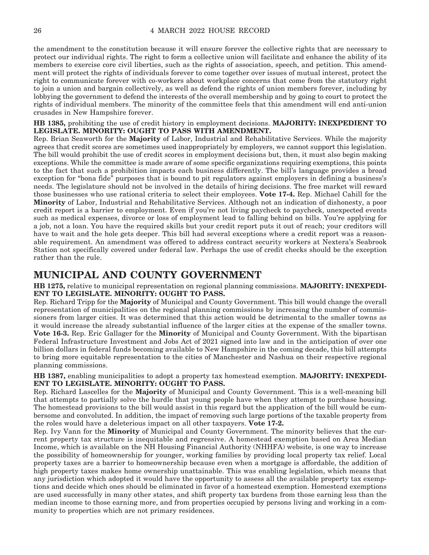the amendment to the constitution because it will ensure forever the collective rights that are necessary to protect our individual rights. The right to form a collective union will facilitate and enhance the ability of its members to exercise core civil liberties, such as the rights of association, speech, and petition. This amendment will protect the rights of individuals forever to come together over issues of mutual interest, protect the right to communicate forever with co-workers about workplace concerns that come from the statutory right to join a union and bargain collectively, as well as defend the rights of union members forever, including by lobbying the government to defend the interests of the overall membership and by going to court to protect the rights of individual members. The minority of the committee feels that this amendment will end anti-union crusades in New Hampshire forever.

**HB 1385,** prohibiting the use of credit history in employment decisions. **MAJORITY: INEXPEDIENT TO LEGISLATE. MINORITY: OUGHT TO PASS WITH AMENDMENT.**

Rep. Brian Seaworth for the **Majority** of Labor, Industrial and Rehabilitative Services. While the majority agrees that credit scores are sometimes used inappropriately by employers, we cannot support this legislation. The bill would prohibit the use of credit scores in employment decisions but, then, it must also begin making exceptions. While the committee is made aware of some specific organizations requiring exemptions, this points to the fact that such a prohibition impacts each business differently. The bill's language provides a broad exception for "bona fide" purposes that is bound to pit regulators against employers in defining a business's needs. The legislature should not be involved in the details of hiring decisions. The free market will reward those businesses who use rational criteria to select their employees. **Vote 17-4.** Rep. Michael Cahill for the **Minority** of Labor, Industrial and Rehabilitative Services. Although not an indication of dishonesty, a poor credit report is a barrier to employment. Even if you're not living paycheck to paycheck, unexpected events such as medical expenses, divorce or loss of employment lead to falling behind on bills. You're applying for a job, not a loan. You have the required skills but your credit report puts it out of reach; your creditors will have to wait and the hole gets deeper. This bill had several exceptions where a credit report was a reasonable requirement. An amendment was offered to address contract security workers at Nextera's Seabrook Station not specifically covered under federal law. Perhaps the use of credit checks should be the exception rather than the rule.

### **MUNICIPAL AND COUNTY GOVERNMENT**

**HB 1275,** relative to municipal representation on regional planning commissions. **MAJORITY: INEXPEDI-ENT TO LEGISLATE. MINORITY: OUGHT TO PASS.**

Rep. Richard Tripp for the **Majority** of Municipal and County Government. This bill would change the overall representation of municipalities on the regional planning commissions by increasing the number of commissioners from larger cities. It was determined that this action would be detrimental to the smaller towns as it would increase the already substantial influence of the larger cities at the expense of the smaller towns. **Vote 16-3.** Rep. Eric Gallager for the **Minority** of Municipal and County Government. With the bipartisan Federal Infrastructure Investment and Jobs Act of 2021 signed into law and in the anticipation of over one billion dollars in federal funds becoming available to New Hampshire in the coming decade, this bill attempts to bring more equitable representation to the cities of Manchester and Nashua on their respective regional planning commissions.

**HB 1387,** enabling municipalities to adopt a property tax homestead exemption. **MAJORITY: INEXPEDI-ENT TO LEGISLATE. MINORITY: OUGHT TO PASS.**

Rep. Richard Lascelles for the **Majority** of Municipal and County Government. This is a well-meaning bill that attempts to partially solve the hurdle that young people have when they attempt to purchase housing. The homestead provisions to the bill would assist in this regard but the application of the bill would be cumbersome and convoluted. In addition, the impact of removing such large portions of the taxable property from the roles would have a deleterious impact on all other taxpayers. **Vote 17-2.**

Rep. Ivy Vann for the **Minority** of Municipal and County Government. The minority believes that the current property tax structure is inequitable and regressive. A homestead exemption based on Area Median Income, which is available on the NH Housing Financial Authority (NHHFA) website, is one way to increase the possibility of homeownership for younger, working families by providing local property tax relief. Local property taxes are a barrier to homeownership because even when a mortgage is affordable, the addition of high property taxes makes home ownership unattainable. This was enabling legislation, which means that any jurisdiction which adopted it would have the opportunity to assess all the available property tax exemptions and decide which ones should be eliminated in favor of a homestead exemption. Homestead exemptions are used successfully in many other states, and shift property tax burdens from those earning less than the median income to those earning more, and from properties occupied by persons living and working in a community to properties which are not primary residences.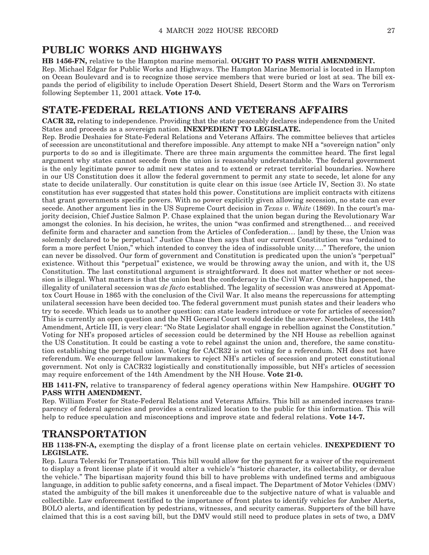### **PUBLIC WORKS AND HIGHWAYS**

**HB 1456-FN,** relative to the Hampton marine memorial. **OUGHT TO PASS WITH AMENDMENT.** Rep. Michael Edgar for Public Works and Highways. The Hampton Marine Memorial is located in Hampton on Ocean Boulevard and is to recognize those service members that were buried or lost at sea. The bill expands the period of eligibility to include Operation Desert Shield, Desert Storm and the Wars on Terrorism following September 11, 2001 attack. **Vote 17-0.**

### **STATE-FEDERAL RELATIONS AND VETERANS AFFAIRS**

**CACR 32,** relating to independence. Providing that the state peaceably declares independence from the United States and proceeds as a sovereign nation. **INEXPEDIENT TO LEGISLATE.**

Rep. Brodie Deshaies for State-Federal Relations and Veterans Affairs. The committee believes that articles of secession are unconstitutional and therefore impossible. Any attempt to make NH a "sovereign nation" only purports to do so and is illegitimate. There are three main arguments the committee heard. The first legal argument why states cannot secede from the union is reasonably understandable. The federal government is the only legitimate power to admit new states and to extend or retract territorial boundaries. Nowhere in our US Constitution does it allow the federal government to permit any state to secede, let alone for any state to decide unilaterally. Our constitution is quite clear on this issue (see Article IV, Section 3). No state constitution has ever suggested that states hold this power. Constitutions are implicit contracts with citizens that grant governments specific powers. With no power explicitly given allowing secession, no state can ever secede. Another argument lies in the US Supreme Court decision in *Texas v. White* (1869). In the court's majority decision, Chief Justice Salmon P. Chase explained that the union began during the Revolutionary War amongst the colonies. In his decision, he writes, the union "was confirmed and strengthened… and received definite form and character and sanction from the Articles of Confederation… [and] by these, the Union was solemnly declared to be perpetual." Justice Chase then says that our current Constitution was "ordained to form a more perfect Union," which intended to convey the idea of indissoluble unity…." Therefore, the union can never be dissolved. Our form of government and Constitution is predicated upon the union's "perpetual" existence. Without this "perpetual" existence, we would be throwing away the union, and with it, the US Constitution. The last constitutional argument is straightforward. It does not matter whether or not secession is illegal. What matters is that the union beat the confederacy in the Civil War. Once this happened, the illegality of unilateral secession was *de facto* established. The legality of secession was answered at Appomattox Court House in 1865 with the conclusion of the Civil War. It also means the repercussions for attempting unilateral secession have been decided too. The federal government must punish states and their leaders who try to secede. Which leads us to another question: can state leaders introduce or vote for articles of secession? This is currently an open question and the NH General Court would decide the answer. Nonetheless, the 14th Amendment, Article III, is very clear: "No State Legislator shall engage in rebellion against the Constitution." Voting for NH's proposed articles of secession could be determined by the NH House as rebellion against the US Constitution. It could be casting a vote to rebel against the union and, therefore, the same constitution establishing the perpetual union. Voting for CACR32 is not voting for a referendum. NH does not have referendum. We encourage fellow lawmakers to reject NH's articles of secession and protect constitutional government. Not only is CACR32 logistically and constitutionally impossible, but NH's articles of secession may require enforcement of the 14th Amendment by the NH House. **Vote 21-0.**

**HB 1411-FN,** relative to transparency of federal agency operations within New Hampshire. **OUGHT TO PASS WITH AMENDMENT.**

Rep. William Foster for State-Federal Relations and Veterans Affairs. This bill as amended increases transparency of federal agencies and provides a centralized location to the public for this information. This will help to reduce speculation and misconceptions and improve state and federal relations. **Vote 14-7.**

### **TRANSPORTATION**

**HB 1138-FN-A,** exempting the display of a front license plate on certain vehicles. **INEXPEDIENT TO LEGISLATE.**

Rep. Laura Telerski for Transportation. This bill would allow for the payment for a waiver of the requirement to display a front license plate if it would alter a vehicle's "historic character, its collectability, or devalue the vehicle." The bipartisan majority found this bill to have problems with undefined terms and ambiguous language, in addition to public safety concerns, and a fiscal impact. The Department of Motor Vehicles (DMV) stated the ambiguity of the bill makes it unenforceable due to the subjective nature of what is valuable and collectible. Law enforcement testified to the importance of front plates to identify vehicles for Amber Alerts, BOLO alerts, and identification by pedestrians, witnesses, and security cameras. Supporters of the bill have claimed that this is a cost saving bill, but the DMV would still need to produce plates in sets of two, a DMV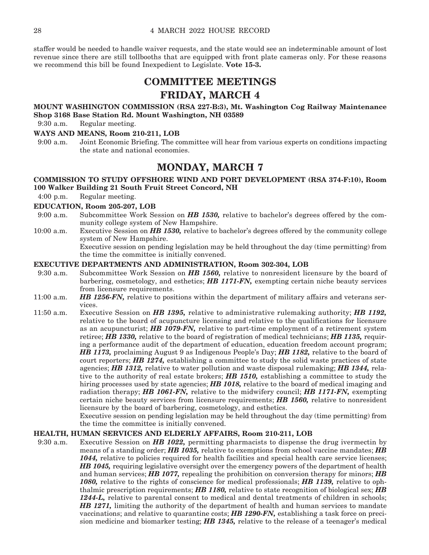staffer would be needed to handle waiver requests, and the state would see an indeterminable amount of lost revenue since there are still tollbooths that are equipped with front plate cameras only. For these reasons we recommend this bill be found Inexpedient to Legislate. **Vote 15-3.**

### **COMMITTEE MEETINGS FRIDAY, MARCH 4**

#### **MOUNT WASHINGTON COMMISSION (RSA 227-B:3), Mt. Washington Cog Railway Maintenance Shop 3168 Base Station Rd. Mount Washington, NH 03589**

9:30 a.m. Regular meeting.

#### **WAYS AND MEANS, Room 210-211, LOB**

9:00 a.m. Joint Economic Briefing. The committee will hear from various experts on conditions impacting the state and national economies.

### **MONDAY, MARCH 7**

#### **COMMISSION TO STUDY OFFSHORE WIND AND PORT DEVELOPMENT (RSA 374-F:10), Room 100 Walker Building 21 South Fruit Street Concord, NH**

4:00 p.m. Regular meeting.

#### **EDUCATION, Room 205-207, LOB**

- 9:00 a.m. Subcommittee Work Session on *HB 1530,* relative to bachelor's degrees offered by the community college system of New Hampshire.
- 10:00 a.m. Executive Session on *HB 1530,* relative to bachelor's degrees offered by the community college system of New Hampshire. Executive session on pending legislation may be held throughout the day (time permitting) from the time the committee is initially convened.

#### **EXECUTIVE DEPARTMENTS AND ADMINISTRATION, Room 302-304, LOB**

- 9:30 a.m. Subcommittee Work Session on *HB 1560,* relative to nonresident licensure by the board of barbering, cosmetology, and esthetics; *HB 1171-FN,* exempting certain niche beauty services from licensure requirements.
- 11:00 a.m. *HB 1256-FN,* relative to positions within the department of military affairs and veterans services.
- 11:50 a.m. Executive Session on *HB 1395,* relative to administrative rulemaking authority; *HB 1192,*  relative to the board of acupuncture licensing and relative to the qualifications for licensure as an acupuncturist; *HB 1079-FN,* relative to part-time employment of a retirement system retiree; *HB 1330,* relative to the board of registration of medical technicians; *HB 1135,* requiring a performance audit of the department of education, education freedom account program; *HB 1173,* proclaiming August 9 as Indigenous People's Day; *HB 1182,* relative to the board of court reporters; *HB 1274,* establishing a committee to study the solid waste practices of state agencies; *HB 1312,* relative to water pollution and waste disposal rulemaking; *HB 1344,* relative to the authority of real estate brokers; *HB 1510,* establishing a committee to study the hiring processes used by state agencies; *HB 1018,* relative to the board of medical imaging and radiation therapy; *HB 1061-FN,* relative to the midwifery council; *HB 1171-FN,* exempting certain niche beauty services from licensure requirements; *HB 1560,* relative to nonresident licensure by the board of barbering, cosmetology, and esthetics.

 Executive session on pending legislation may be held throughout the day (time permitting) from the time the committee is initially convened.

#### **HEALTH, HUMAN SERVICES AND ELDERLY AFFAIRS, Room 210-211, LOB**

9:30 a.m. Executive Session on *HB 1022,* permitting pharmacists to dispense the drug ivermectin by means of a standing order; *HB 1035,* relative to exemptions from school vaccine mandates; *HB*  1044, relative to policies required for health facilities and special health care service licenses; *HB 1045,* requiring legislative oversight over the emergency powers of the department of health and human services; *HB 1077,* repealing the prohibition on conversion therapy for minors; *HB 1080,* relative to the rights of conscience for medical professionals; *HB 1139,* relative to ophthalmic prescription requirements; *HB 1180,* relative to state recognition of biological sex; *HB*  1244-L, relative to parental consent to medical and dental treatments of children in schools; *HB 1271,* limiting the authority of the department of health and human services to mandate vaccinations; and relative to quarantine costs; *HB 1290-FN,* establishing a task force on precision medicine and biomarker testing; *HB 1345,* relative to the release of a teenager's medical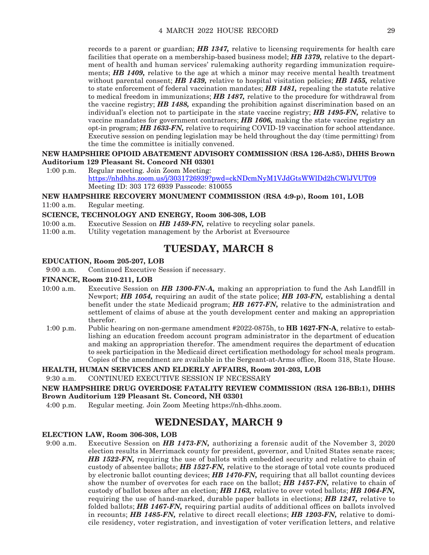records to a parent or guardian; *HB 1347,* relative to licensing requirements for health care facilities that operate on a membership-based business model; *HB 1379,* relative to the department of health and human services' rulemaking authority regarding immunization requirements; *HB 1409,* relative to the age at which a minor may receive mental health treatment without parental consent; *HB 1439,* relative to hospital visitation policies; *HB 1455,* relative to state enforcement of federal vaccination mandates; *HB 1481,* repealing the statute relative to medical freedom in immunizations; *HB 1487,* relative to the procedure for withdrawal from the vaccine registry; *HB 1488,* expanding the prohibition against discrimination based on an individual's election not to participate in the state vaccine registry; *HB 1495-FN,* relative to vaccine mandates for government contractors; *HB 1606,* making the state vaccine registry an opt-in program; *HB 1633-FN,* relative to requiring COVID-19 vaccination for school attendance. Executive session on pending legislation may be held throughout the day (time permitting) from the time the committee is initially convened.

#### **NEW HAMPSHIRE OPIOID ABATEMENT ADVISORY COMMISSION (RSA 126-A:85), DHHS Brown Auditorium 129 Pleasant St. Concord NH 03301**

1:00 p.m. Regular meeting. Join Zoom Meeting: https://nhdhhs.zoom.us/j/3031726939?pwd=ckNDcmNyM1VJdGtsWWlDd2hCWlJVUT09 Meeting ID: 303 172 6939 Passcode: 810055

#### **NEW HAMPSHIRE RECOVERY MONUMENT COMMISSION (RSA 4:9-p), Room 101, LOB**

11:00 a.m. Regular meeting.

#### **SCIENCE, TECHNOLOGY AND ENERGY, Room 306-308, LOB**

- 10:00 a.m. Executive Session on *HB 1459-FN*, relative to recycling solar panels.<br>11:00 a.m. Utility vegetation management by the Arborist at Eversource
- Utility vegetation management by the Arborist at Eversource

### **TUESDAY, MARCH 8**

#### **EDUCATION, Room 205-207, LOB**

9:00 a.m. Continued Executive Session if necessary.

#### **FINANCE, Room 210-211, LOB**

- 10:00 a.m. Executive Session on *HB 1300-FN-A,* making an appropriation to fund the Ash Landfill in Newport; *HB 1054,* requiring an audit of the state police; *HB 103-FN,* establishing a dental benefit under the state Medicaid program; *HB 1677-FN,* relative to the administration and settlement of claims of abuse at the youth development center and making an appropriation therefor.
- 1:00 p.m. Public hearing on non-germane amendment #2022-0875h, to **HB 1627-FN-A**, relative to establishing an education freedom account program administrator in the department of education and making an appropriation therefor. The amendment requires the department of education to seek participation in the Medicaid direct certification methodology for school meals program. Copies of the amendment are available in the Sergeant-at-Arms office, Room 318, State House.

#### **HEALTH, HUMAN SERVICES AND ELDERLY AFFAIRS, Room 201-203, LOB**

9:30 a.m. CONTINUED EXECUTIVE SESSION IF NECESSARY

**NEW HAMPSHIRE DRUG OVERDOSE FATALITY REVIEW COMMISSION (RSA 126-BB:1), DHHS Brown Auditorium 129 Pleasant St. Concord, NH 03301** 

4:00 p.m. Regular meeting. Join Zoom Meeting https://nh-dhhs.zoom.

### **WEDNESDAY, MARCH 9**

#### **ELECTION LAW, Room 306-308, LOB**

9:00 a.m. Executive Session on *HB 1473-FN,* authorizing a forensic audit of the November 3, 2020 election results in Merrimack county for president, governor, and United States senate races; *HB 1522-FN,* requiring the use of ballots with embedded security and relative to chain of custody of absentee ballots; *HB 1527-FN,* relative to the storage of total vote counts produced by electronic ballot counting devices; *HB 1470-FN,* requiring that all ballot counting devices show the number of overvotes for each race on the ballot; *HB 1457-FN,* relative to chain of custody of ballot boxes after an election; *HB 1163,* relative to over voted ballots; *HB 1064-FN,*  requiring the use of hand-marked, durable paper ballots in elections; *HB 1247,* relative to folded ballots; *HB 1467-FN,* requiring partial audits of additional offices on ballots involved in recounts; *HB 1485-FN,* relative to direct recall elections; *HB 1203-FN,* relative to domicile residency, voter registration, and investigation of voter verification letters, and relative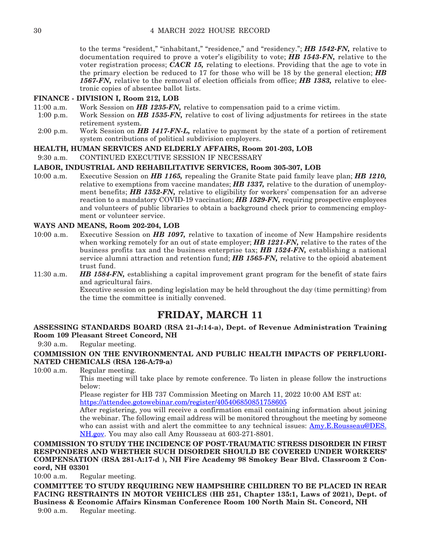to the terms "resident," "inhabitant," "residence," and "residency."; *HB 1542-FN,* relative to documentation required to prove a voter's eligibility to vote; *HB 1543-FN,* relative to the voter registration process; *CACR 15,* relating to elections. Providing that the age to vote in the primary election be reduced to 17 for those who will be 18 by the general election; *HB 1567-FN,* relative to the removal of election officials from office; *HB 1383,* relative to electronic copies of absentee ballot lists.

#### **FINANCE - DIVISION I, Room 212, LOB**

- 11:00 a.m. Work Session on *HB 1235-FN,* relative to compensation paid to a crime victim.
- 1:00 p.m. Work Session on *HB 1535-FN,* relative to cost of living adjustments for retirees in the state retirement system.
- 2:00 p.m. Work Session on *HB 1417-FN-L,* relative to payment by the state of a portion of retirement system contributions of political subdivision employers.

#### **HEALTH, HUMAN SERVICES AND ELDERLY AFFAIRS, Room 201-203, LOB**

9:30 a.m. CONTINUED EXECUTIVE SESSION IF NECESSARY

#### **LABOR, INDUSTRIAL AND REHABILITATIVE SERVICES, Room 305-307, LOB**

10:00 a.m. Executive Session on *HB 1165,* repealing the Granite State paid family leave plan; *HB 1210,*  relative to exemptions from vaccine mandates; *HB 1337,* relative to the duration of unemployment benefits; *HB 1352-FN,* relative to eligibility for workers' compensation for an adverse reaction to a mandatory COVID-19 vaccination; *HB 1529-FN,* requiring prospective employees and volunteers of public libraries to obtain a background check prior to commencing employment or volunteer service.

#### **WAYS AND MEANS, Room 202-204, LOB**

10:00 a.m. Executive Session on *HB 1097,* relative to taxation of income of New Hampshire residents when working remotely for an out of state employer; *HB 1221-FN*, relative to the rates of the business profits tax and the business enterprise tax; *HB 1524-FN,* establishing a national service alumni attraction and retention fund; *HB 1565-FN,* relative to the opioid abatement trust fund.

11:30 a.m. *HB 1584-FN,* establishing a capital improvement grant program for the benefit of state fairs and agricultural fairs. Executive session on pending legislation may be held throughout the day (time permitting) from the time the committee is initially convened.

### **FRIDAY, MARCH 11**

**ASSESSING STANDARDS BOARD (RSA 21-J:14-a), Dept. of Revenue Administration Training Room 109 Pleasant Street Concord, NH**

9:30 a.m. Regular meeting.

#### **COMMISSION ON THE ENVIRONMENTAL AND PUBLIC HEALTH IMPACTS OF PERFLUORI-NATED CHEMICALS (RSA 126-A:79-a)**

10:00 a.m. Regular meeting.

 This meeting will take place by remote conference. To listen in please follow the instructions below:

 Please register for HB 737 Commission Meeting on March 11, 2022 10:00 AM EST at: <https://attendee.gotowebinar.com/register/405406850851758605>

 After registering, you will receive a confirmation email containing information about joining the webinar. The following email address will be monitored throughout the meeting by someone who can assist with and alert the committee to any technical issues: [Amy.E.Rousseau@DES.](mailto:Amy.E.Rousseau@DES.NH.gov) [NH.gov.](mailto:Amy.E.Rousseau@DES.NH.gov) You may also call Amy Rousseau at 603-271-8801.

**COMMISSION TO STUDY THE INCIDENCE OF POST-TRAUMATIC STRESS DISORDER IN FIRST RESPONDERS AND WHETHER SUCH DISORDER SHOULD BE COVERED UNDER WORKERS' COMPENSATION (RSA 281-A:17-d ), NH Fire Academy 98 Smokey Bear Blvd. Classroom 2 Concord, NH 03301**

10:00 a.m. Regular meeting.

**COMMITTEE TO STUDY REQUIRING NEW HAMPSHIRE CHILDREN TO BE PLACED IN REAR FACING RESTRAINTS IN MOTOR VEHICLES (HB 251, Chapter 135:1, Laws of 2021), Dept. of Business & Economic Affairs Kinsman Conference Room 100 North Main St. Concord, NH** 9:00 a.m. Regular meeting.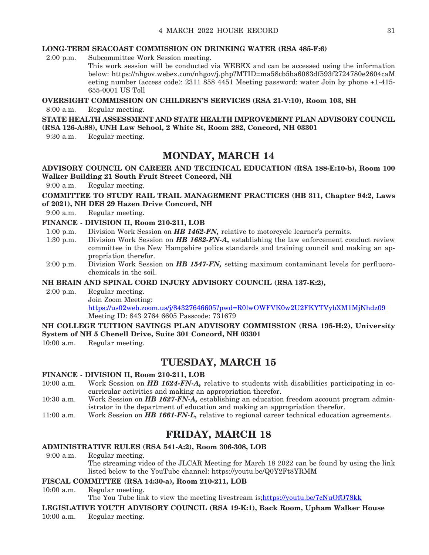#### **LONG-TERM SEACOAST COMMISSION ON DRINKING WATER (RSA 485-F:6)**

2:00 p.m. Subcommittee Work Session meeting.

This work session will be conducted via WEBEX and can be accessed using the information below: https://nhgov.webex.com/nhgov/j.php?MTID=ma58cb5ba6083df593f2724780e2604caM eeting number (access code): 2311 858 4451 Meeting password: water Join by phone +1-415- 655-0001 US Toll

#### **OVERSIGHT COMMISSION ON CHILDREN'S SERVICES (RSA 21-V:10), Room 103, SH**

8:00 a.m. Regular meeting.

**STATE HEALTH ASSESSMENT AND STATE HEALTH IMPROVEMENT PLAN ADVISORY COUNCIL (RSA 126-A:88), UNH Law School, 2 White St, Room 282, Concord, NH 03301**

9:30 a.m. Regular meeting.

### **MONDAY, MARCH 14**

#### **ADVISORY COUNCIL ON CAREER AND TECHNICAL EDUCATION (RSA 188-E:10-b), Room 100 Walker Building 21 South Fruit Street Concord, NH**

9:00 a.m. Regular meeting.

**COMMITTEE TO STUDY RAIL TRAIL MANAGEMENT PRACTICES (HB 311, Chapter 94:2, Laws of 2021), NH DES 29 Hazen Drive Concord, NH**

9:00 a.m. Regular meeting.

#### **FINANCE - DIVISION II, Room 210-211, LOB**

- 1:00 p.m. Division Work Session on *HB 1462-FN,* relative to motorcycle learner's permits.
- 1:30 p.m. Division Work Session on *HB 1682-FN-A,* establishing the law enforcement conduct review committee in the New Hampshire police standards and training council and making an appropriation therefor.
- 2:00 p.m. Division Work Session on *HB 1547-FN,* setting maximum contaminant levels for perfluorochemicals in the soil.

#### **NH BRAIN AND SPINAL CORD INJURY ADVISORY COUNCIL (RSA 137-K:2),**

2:00 p.m. Regular meeting.

Join Zoom Meeting:

<https://us02web.zoom.us/j/84327646605?pwd=R0lwOWFVK0w2U2FKYTVybXM1MjNhdz09> Meeting ID: 843 2764 6605 Passcode: 731679

#### **NH COLLEGE TUITION SAVINGS PLAN ADVISORY COMMISSION (RSA 195-H:2), University System of NH 5 Chenell Drive, Suite 301 Concord, NH 03301**

10:00 a.m. Regular meeting.

### **TUESDAY, MARCH 15**

#### **FINANCE - DIVISION II, Room 210-211, LOB**

- 10:00 a.m. Work Session on *HB 1624-FN-A,* relative to students with disabilities participating in cocurricular activities and making an appropriation therefor.
- 10:30 a.m. Work Session on *HB 1627-FN-A,* establishing an education freedom account program administrator in the department of education and making an appropriation therefor.
- 11:00 a.m. Work Session on *HB 1661-FN-L,* relative to regional career technical education agreements.

### **FRIDAY, MARCH 18**

#### **ADMINISTRATIVE RULES (RSA 541-A:2), Room 306-308, LOB**

9:00 a.m. Regular meeting. The streaming video of the JLCAR Meeting for March 18 2022 can be found by using the link listed below to the YouTube channel: https://youtu.be/Q0Y2Ft8YRMM

#### **FISCAL COMMITTEE (RSA 14:30-a), Room 210-211, LOB**

10:00 a.m. Regular meeting.

The You Tube link to view the meeting livestream is; <https://youtu.be/7cNuOfO78kk>

#### **LEGISLATIVE YOUTH ADVISORY COUNCIL (RSA 19-K:1), Back Room, Upham Walker House**

10:00 a.m. Regular meeting.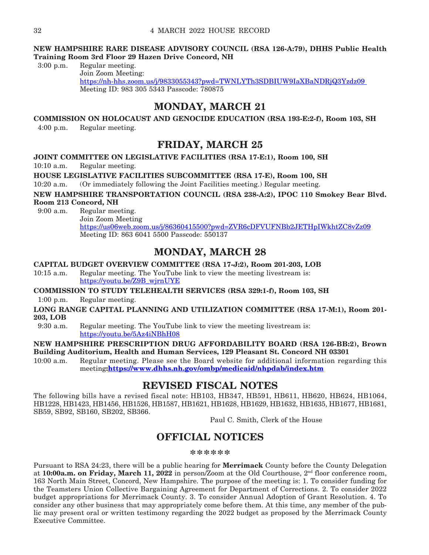#### **NEW HAMPSHIRE RARE DISEASE ADVISORY COUNCIL (RSA 126-A:79), DHHS Public Health Training Room 3rd Floor 29 Hazen Drive Concord, NH**

3:00 p.m. Regular meeting.

Join Zoom Meeting: [https://nh-hhs.zoom.us/j/9833055343?pwd=TWNLYTh3SDBIUW9IaXBaNDRjQ3Yzdz09](https://nh-dhhs.zoom.us/j/9833055343?pwd=TWNLYTh3SDBIUW9IaXBaNDRjQ3Yzdz09%20)  Meeting ID: 983 305 5343 Passcode: 780875

### **MONDAY, MARCH 21**

**COMMISSION ON HOLOCAUST AND GENOCIDE EDUCATION (RSA 193-E:2-f), Room 103, SH** 4:00 p.m. Regular meeting.

**FRIDAY, MARCH 25**

**JOINT COMMITTEE ON LEGISLATIVE FACILITIES (RSA 17-E:1), Room 100, SH** 

10:10 a.m. Regular meeting.

**HOUSE LEGISLATIVE FACILITIES SUBCOMMITTEE (RSA 17-E), Room 100, SH**

10:20 a.m. (Or immediately following the Joint Facilities meeting.) Regular meeting.

**NEW HAMPSHIRE TRANSPORTATION COUNCIL (RSA 238-A:2), IPOC 110 Smokey Bear Blvd. Room 213 Concord, NH**

9:00 a.m. Regular meeting.

Join Zoom Meeting <https://us06web.zoom.us/j/86360415500?pwd=ZVR6cDFVUFNBb2JETHpIWkhtZC8vZz09> Meeting ID: 863 6041 5500 Passcode: 550137

### **MONDAY, MARCH 28**

#### **CAPITAL BUDGET OVERVIEW COMMITTEE (RSA 17-J:2), Room 201-203, LOB**

10:15 a.m. Regular meeting. The YouTube link to view the meeting livestream is: [https://youtu.be/Z9B\\_wjrnUYE](https://youtu.be/Z9B_wjrnUYE)

**COMMISSION TO STUDY TELEHEALTH SERVICES (RSA 329:1-f), Room 103, SH**

1:00 p.m. Regular meeting.

**LONG RANGE CAPITAL PLANNING AND UTILIZATION COMMITTEE (RSA 17-M:1), Room 201- 203, LOB**

9:30 a.m. Regular meeting. The YouTube link to view the meeting livestream is: <https://youtu.be/5Az4iNBhH08>

**NEW HAMPSHIRE PRESCRIPTION DRUG AFFORDABILITY BOARD (RSA 126-BB:2), Brown Building Auditorium, Health and Human Services, 129 Pleasant St. Concord NH 03301** 

10:00 a.m. Regular meeting. Please see the Board website for additional information regarding this meeting**[:https://www.dhhs.nh.gov/ombp/medicaid/nhpdab/index.htm](https://www.dhhs.nh.gov/ombp/medicaid/nhpdab/index.htm)**

### **REVISED FISCAL NOTES**

The following bills have a revised fiscal note: HB103, HB347, HB591, HB611, HB620, HB624, HB1064, HB1228, HB1423, HB1456, HB1526, HB1587, HB1621, HB1628, HB1629, HB1632, HB1635, HB1677, HB1681, SB59, SB92, SB160, SB202, SB366.

Paul C. Smith, Clerk of the House

### **OFFICIAL NOTICES**

**\*\*\*\*\*\***

Pursuant to RSA 24:23, there will be a public hearing for **Merrimack** County before the County Delegation at **10:00a.m. on Friday, March 11, 2022** in person/Zoom at the Old Courthouse, 2nd floor conference room, 163 North Main Street, Concord, New Hampshire. The purpose of the meeting is: 1. To consider funding for the Teamsters Union Collective Bargaining Agreement for Department of Corrections. 2. To consider 2022 budget appropriations for Merrimack County. 3. To consider Annual Adoption of Grant Resolution. 4. To consider any other business that may appropriately come before them. At this time, any member of the public may present oral or written testimony regarding the 2022 budget as proposed by the Merrimack County Executive Committee.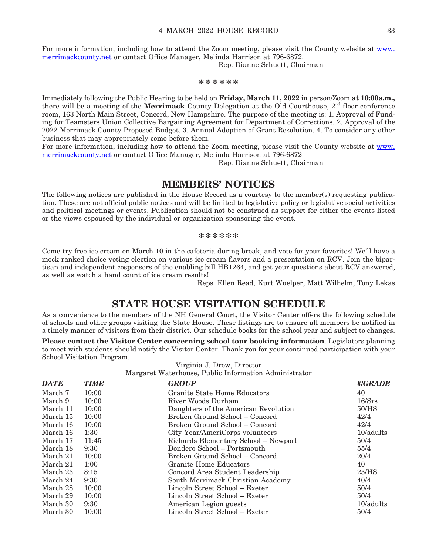For more information, including how to attend the Zoom meeting, please visit the County website at [www.](http://www.merrimackcounty.net) [merrimackcounty.net](http://www.merrimackcounty.net) or contact Office Manager, Melinda Harrison at 796-6872.

Rep. Dianne Schuett, Chairman

#### **\*\*\*\*\*\***

Immediately following the Public Hearing to be held on **Friday, March 11, 2022** in person/Zoom **at 10:00a.m.,** there will be a meeting of the **Merrimack** County Delegation at the Old Courthouse,  $2<sup>nd</sup>$  floor conference room, 163 North Main Street, Concord, New Hampshire. The purpose of the meeting is: 1. Approval of Funding for Teamsters Union Collective Bargaining Agreement for Department of Corrections. 2. Approval of the 2022 Merrimack County Proposed Budget. 3. Annual Adoption of Grant Resolution. 4. To consider any other business that may appropriately come before them.

For more information, including how to attend the Zoom meeting, please visit the County website at [www.](http://www.merrimackcounty.net) [merrimackcounty.net](http://www.merrimackcounty.net) or contact Office Manager, Melinda Harrison at 796-6872

Rep. Dianne Schuett, Chairman

#### **MEMBERS' NOTICES**

The following notices are published in the House Record as a courtesy to the member(s) requesting publication. These are not official public notices and will be limited to legislative policy or legislative social activities and political meetings or events. Publication should not be construed as support for either the events listed or the views espoused by the individual or organization sponsoring the event.

#### **\*\*\*\*\*\***

Come try free ice cream on March 10 in the cafeteria during break, and vote for your favorites! We'll have a mock ranked choice voting election on various ice cream flavors and a presentation on RCV. Join the bipartisan and independent cosponsors of the enabling bill HB1264, and get your questions about RCV answered, as well as watch a hand count of ice cream results!

Reps. Ellen Read, Kurt Wuelper, Matt Wilhelm, Tony Lekas

### **STATE HOUSE VISITATION SCHEDULE**

As a convenience to the members of the NH General Court, the Visitor Center offers the following schedule of schools and other groups visiting the State House. These listings are to ensure all members be notified in a timely manner of visitors from their district. Our schedule books for the school year and subject to changes.

**Please contact the Visitor Center concerning school tour booking information**. Legislators planning to meet with students should notify the Visitor Center. Thank you for your continued participation with your School Visitation Program.

Virginia J. Drew, Director

Margaret Waterhouse, Public Information Administrator

| <b>DATE</b> | <b>TIME</b> | <b>GROUP</b>                         | #/GRADE      |
|-------------|-------------|--------------------------------------|--------------|
| March 7     | 10:00       | Granite State Home Educators         | 40           |
| March 9     | 10:00       | River Woods Durham                   | 16/Srs       |
| March 11    | 10:00       | Daughters of the American Revolution | 50/HS        |
| March 15    | 10:00       | Broken Ground School – Concord       | 42/4         |
| March 16    | 10:00       | Broken Ground School – Concord       | 42/4         |
| March 16    | 1:30        | City Year/AmeriCorps volunteers      | 10/adults    |
| March 17    | 11:45       | Richards Elementary School - Newport | 50/4         |
| March 18    | 9:30        | Dondero School - Portsmouth          | 55/4         |
| March 21    | 10:00       | Broken Ground School – Concord       | 20/4         |
| March 21    | 1:00        | Granite Home Educators               | 40           |
| March 23    | 8:15        | Concord Area Student Leadership      | 25/HS        |
| March 24    | 9:30        | South Merrimack Christian Academy    | 40/4         |
| March 28    | 10:00       | Lincoln Street School – Exeter       | 50/4         |
| March 29    | 10:00       | Lincoln Street School – Exeter       | 50/4         |
| March 30    | 9:30        | American Legion guests               | $10$ /adults |
| March 30    | 10:00       | Lincoln Street School – Exeter       | 50/4         |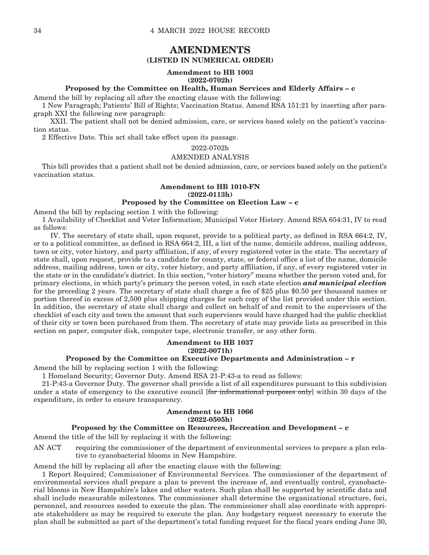### **AMENDMENTS**

#### **(LISTED IN NUMERICAL ORDER)**

#### **Amendment to HB 1003 (2022-0702h)**

#### **Proposed by the Committee on Health, Human Services and Elderly Affairs – c**

Amend the bill by replacing all after the enacting clause with the following:

1 New Paragraph; Patients' Bill of Rights; Vaccination Status. Amend RSA 151:21 by inserting after paragraph XXI the following new paragraph:

 XXII. The patient shall not be denied admission, care, or services based solely on the patient's vaccination status.

2 Effective Date. This act shall take effect upon its passage.

#### 2022-0702h

#### AMENDED ANALYSIS

This bill provides that a patient shall not be denied admission, care, or services based solely on the patient's vaccination status.

#### **Amendment to HB 1010-FN (2022-0113h)**

#### **Proposed by the Committee on Election Law – c**

Amend the bill by replacing section 1 with the following:

1 Availability of Checklist and Voter Information; Municipal Voter History. Amend RSA 654:31, IV to read as follows:

 IV. The secretary of state shall, upon request, provide to a political party, as defined in RSA 664:2, IV, or to a political committee, as defined in RSA 664:2, III, a list of the name, domicile address, mailing address, town or city, voter history, and party affiliation, if any, of every registered voter in the state. The secretary of state shall, upon request, provide to a candidate for county, state, or federal office a list of the name, domicile address, mailing address, town or city, voter history, and party affiliation, if any, of every registered voter in the state or in the candidate's district. In this section, "voter history" means whether the person voted and, for primary elections, in which party's primary the person voted, in each state election *and municipal election* for the preceding 2 years. The secretary of state shall charge a fee of \$25 plus \$0.50 per thousand names or portion thereof in excess of 2,500 plus shipping charges for each copy of the list provided under this section. In addition, the secretary of state shall charge and collect on behalf of and remit to the supervisors of the checklist of each city and town the amount that such supervisors would have charged had the public checklist of their city or town been purchased from them. The secretary of state may provide lists as prescribed in this section on paper, computer disk, computer tape, electronic transfer, or any other form.

#### **Amendment to HB 1037 (2022-0071h)**

#### **Proposed by the Committee on Executive Departments and Administration – r**

Amend the bill by replacing section 1 with the following:

1 Homeland Security; Governor Duty. Amend RSA 21-P:43-a to read as follows:

21-P:43-a Governor Duty. The governor shall provide a list of all expenditures pursuant to this subdivision under a state of emergency to the executive council [for informational purposes only] within 30 days of the expenditure, in order to ensure transparency.

#### **Amendment to HB 1066 (2022-0505h)**

#### **Proposed by the Committee on Resources, Recreation and Development – c**

Amend the title of the bill by replacing it with the following:

AN ACT requiring the commissioner of the department of environmental services to prepare a plan relative to cyanobacterial blooms in New Hampshire.

Amend the bill by replacing all after the enacting clause with the following:

1 Report Required; Commissioner of Environmental Services. The commissioner of the department of environmental services shall prepare a plan to prevent the increase of, and eventually control, cyanobacterial blooms in New Hampshire's lakes and other waters. Such plan shall be supported by scientific data and shall include measurable milestones. The commissioner shall determine the organizational structure, foci, personnel, and resources needed to execute the plan. The commissioner shall also coordinate with appropriate stakeholders as may be required to execute the plan. Any budgetary request necessary to execute the plan shall be submitted as part of the department's total funding request for the fiscal years ending June 30,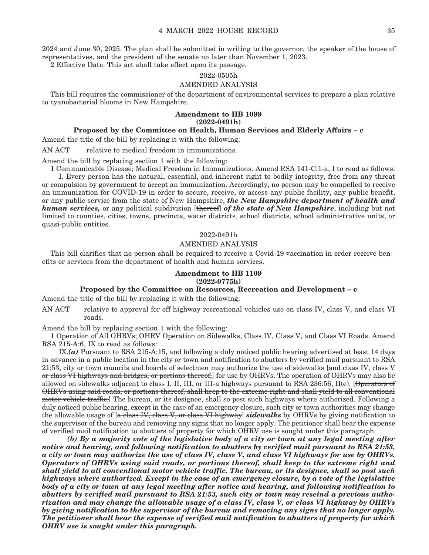2024 and June 30, 2025. The plan shall be submitted in writing to the governor, the speaker of the house of representatives, and the president of the senate no later than November 1, 2023.

2 Effective Date. This act shall take effect upon its passage.

#### 2022-0505h

#### AMENDED ANALYSIS

This bill requires the commissioner of the department of environmental services to prepare a plan relative to cyanobacterial blooms in New Hampshire.

#### **Amendment to HB 1099 (2022-0491h)**

#### **Proposed by the Committee on Health, Human Services and Elderly Affairs – c**

Amend the title of the bill by replacing it with the following:

AN ACT relative to medical freedom in immunizations.

Amend the bill by replacing section 1 with the following:

1 Communicable Disease; Medical Freedom in Immunizations. Amend RSA 141-C:1-a, I to read as follows: I. Every person has the natural, essential, and inherent right to bodily integrity, free from any threat or compulsion by government to accept an immunization. Accordingly, no person may be compelled to receive an immunization for COVID-19 in order to secure, receive, or access any public facility, any public benefit, or any public service from the state of New Hampshire, *the New Hampshire department of health and human services,* or any political subdivision [thereof] *of the state of New Hampshire*, including but not limited to counties, cities, towns, precincts, water districts, school districts, school administrative units, or quasi-public entities.

#### 2022-0491h

#### AMENDED ANALYSIS

This bill clarifies that no person shall be required to receive a Covid-19 vaccination in order receive benefits or services from the department of health and human services.

#### **Amendment to HB 1109 (2022-0775h)**

#### **Proposed by the Committee on Resources, Recreation and Development – c**

Amend the title of the bill by replacing it with the following:

AN ACT relative to approval for off highway recreational vehicles use on class IV, class V, and class VI roads.

Amend the bill by replacing section 1 with the following:

1 Operation of All OHRVs; OHRV Operation on Sidewalks, Class IV, Class V, and Class VI Roads. Amend RSA 215-A:6, IX to read as follows:

 IX.*(a)* Pursuant to RSA 215-A:15, and following a duly noticed public hearing advertised at least 14 days in advance in a public location in the city or town and notification to abutters by verified mail pursuant to RSA 21:53, city or town councils and boards of selectmen may authorize the use of sidewalks [and class IV, class V or class VI highways and bridges, or portions thereof, for use by OHRVs. The operation of OHRVs may also be allowed on sidewalks adjacent to class I, II, III, or III-a highways pursuant to RSA 236:56, II(e). [Operators of OHRVs using said roads, or portions thereof, shall keep to the extreme right and shall yield to all conventional motor vehicle traffic.] The bureau, or its designee, shall so post such highways where authorized. Following a duly noticed public hearing, except in the case of an emergency closure, such city or town authorities may change the allowable usage of [a class IV, class V, or class VI highway] *sidewalks* by OHRVs by giving notification to the supervisor of the bureau and removing any signs that no longer apply. The petitioner shall bear the expense of verified mail notification to abutters of property for which OHRV use is sought under this paragraph.

 *(b) By a majority vote of the legislative body of a city or town at any legal meeting after notice and hearing, and following notification to abutters by verified mail pursuant to RSA 21:53, a city or town may authorize the use of class IV, class V, and class VI highways for use by OHRVs. Operators of OHRVs using said roads, or portions thereof, shall keep to the extreme right and shall yield to all conventional motor vehicle traffic. The bureau, or its designee, shall so post such highways where authorized. Except in the case of an emergency closure, by a vote of the legislative body of a city or town at any legal meeting after notice and hearing, and following notification to abutters by verified mail pursuant to RSA 21:53, such city or town may rescind a previous authorization and may change the allowable usage of a class IV, class V, or class VI highway by OHRVs by giving notification to the supervisor of the bureau and removing any signs that no longer apply. The petitioner shall bear the expense of verified mail notification to abutters of property for which OHRV use is sought under this paragraph.*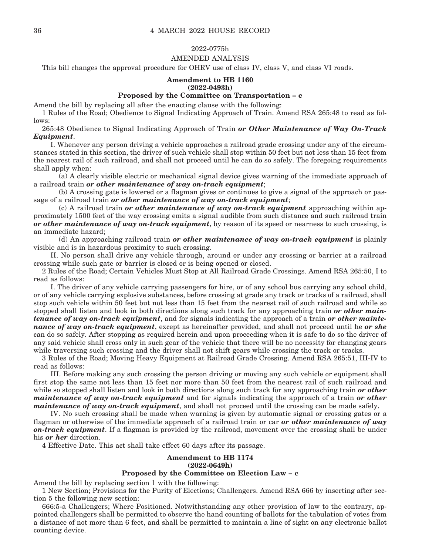#### 2022-0775h

#### AMENDED ANALYSIS

This bill changes the approval procedure for OHRV use of class IV, class V, and class VI roads.

#### **Amendment to HB 1160 (2022-0493h)**

#### **Proposed by the Committee on Transportation – c**

Amend the bill by replacing all after the enacting clause with the following:

1 Rules of the Road; Obedience to Signal Indicating Approach of Train. Amend RSA 265:48 to read as follows:

265:48 Obedience to Signal Indicating Approach of Train *or Other Maintenance of Way On-Track Equipment*.

 I. Whenever any person driving a vehicle approaches a railroad grade crossing under any of the circumstances stated in this section, the driver of such vehicle shall stop within 50 feet but not less than 15 feet from the nearest rail of such railroad, and shall not proceed until he can do so safely. The foregoing requirements shall apply when:

 (a) A clearly visible electric or mechanical signal device gives warning of the immediate approach of a railroad train *or other maintenance of way on-track equipment*;

 (b) A crossing gate is lowered or a flagman gives or continues to give a signal of the approach or passage of a railroad train *or other maintenance of way on-track equipment*;

 (c) A railroad train *or other maintenance of way on-track equipment* approaching within approximately 1500 feet of the way crossing emits a signal audible from such distance and such railroad train *or other maintenance of way on-track equipment*, by reason of its speed or nearness to such crossing, is an immediate hazard;

 (d) An approaching railroad train *or other maintenance of way on-track equipment* is plainly visible and is in hazardous proximity to such crossing.

 II. No person shall drive any vehicle through, around or under any crossing or barrier at a railroad crossing while such gate or barrier is closed or is being opened or closed.

2 Rules of the Road; Certain Vehicles Must Stop at All Railroad Grade Crossings. Amend RSA 265:50, I to read as follows:

 I. The driver of any vehicle carrying passengers for hire, or of any school bus carrying any school child, or of any vehicle carrying explosive substances, before crossing at grade any track or tracks of a railroad, shall stop such vehicle within 50 feet but not less than 15 feet from the nearest rail of such railroad and while so stopped shall listen and look in both directions along such track for any approaching train *or other maintenance of way on-track equipment*, and for signals indicating the approach of a train *or other maintenance of way on-track equipment*, except as hereinafter provided, and shall not proceed until he *or she* can do so safely. After stopping as required herein and upon proceeding when it is safe to do so the driver of any said vehicle shall cross only in such gear of the vehicle that there will be no necessity for changing gears while traversing such crossing and the driver shall not shift gears while crossing the track or tracks.

3 Rules of the Road; Moving Heavy Equipment at Railroad Grade Crossing. Amend RSA 265:51, III-IV to read as follows:

 III. Before making any such crossing the person driving or moving any such vehicle or equipment shall first stop the same not less than 15 feet nor more than 50 feet from the nearest rail of such railroad and while so stopped shall listen and look in both directions along such track for any approaching train *or other maintenance of way on-track equipment* and for signals indicating the approach of a train *or other maintenance of way on-track equipment*, and shall not proceed until the crossing can be made safely.

 IV. No such crossing shall be made when warning is given by automatic signal or crossing gates or a flagman or otherwise of the immediate approach of a railroad train or car *or other maintenance of way on-track equipment*. If a flagman is provided by the railroad, movement over the crossing shall be under his *or her* direction.

4 Effective Date. This act shall take effect 60 days after its passage.

#### **Amendment to HB 1174 (2022-0649h) Proposed by the Committee on Election Law – c**

Amend the bill by replacing section 1 with the following:

1 New Section; Provisions for the Purity of Elections; Challengers. Amend RSA 666 by inserting after section 5 the following new section:

666:5-a Challengers; Where Positioned. Notwithstanding any other provision of law to the contrary, appointed challengers shall be permitted to observe the hand counting of ballots for the tabulation of votes from a distance of not more than 6 feet, and shall be permitted to maintain a line of sight on any electronic ballot counting device.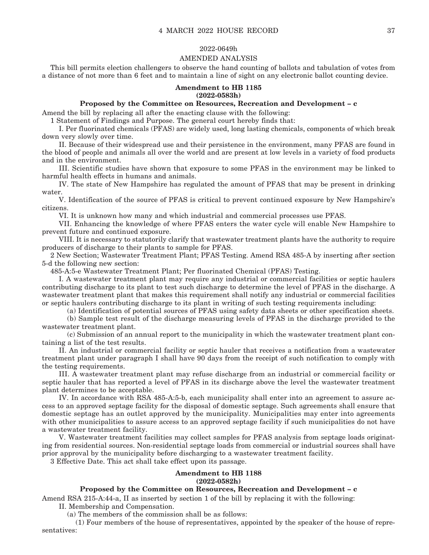#### 2022-0649h

#### AMENDED ANALYSIS

This bill permits election challengers to observe the hand counting of ballots and tabulation of votes from a distance of not more than 6 feet and to maintain a line of sight on any electronic ballot counting device.

#### **Amendment to HB 1185 (2022-0583h)**

#### **Proposed by the Committee on Resources, Recreation and Development – c**

Amend the bill by replacing all after the enacting clause with the following:

1 Statement of Findings and Purpose. The general court hereby finds that:

 I. Per fluorinated chemicals (PFAS) are widely used, long lasting chemicals, components of which break down very slowly over time.

 II. Because of their widespread use and their persistence in the environment, many PFAS are found in the blood of people and animals all over the world and are present at low levels in a variety of food products and in the environment.

 III. Scientific studies have shown that exposure to some PFAS in the environment may be linked to harmful health effects in humans and animals.

 IV. The state of New Hampshire has regulated the amount of PFAS that may be present in drinking water.

 V. Identification of the source of PFAS is critical to prevent continued exposure by New Hampshire's citizens.

VI. It is unknown how many and which industrial and commercial processes use PFAS.

 VII. Enhancing the knowledge of where PFAS enters the water cycle will enable New Hampshire to prevent future and continued exposure.

 VIII. It is necessary to statutorily clarify that wastewater treatment plants have the authority to require producers of discharge to their plants to sample for PFAS.

2 New Section; Wastewater Treatment Plant; PFAS Testing. Amend RSA 485-A by inserting after section 5-d the following new section:

485-A:5-e Wastewater Treatment Plant; Per fluorinated Chemical (PFAS) Testing.

 I. A wastewater treatment plant may require any industrial or commercial facilities or septic haulers contributing discharge to its plant to test such discharge to determine the level of PFAS in the discharge. A wastewater treatment plant that makes this requirement shall notify any industrial or commercial facilities or septic haulers contributing discharge to its plant in writing of such testing requirements including:

(a) Identification of potential sources of PFAS using safety data sheets or other specification sheets.

 (b) Sample test result of the discharge measuring levels of PFAS in the discharge provided to the wastewater treatment plant.

 (c) Submission of an annual report to the municipality in which the wastewater treatment plant containing a list of the test results.

 II. An industrial or commercial facility or septic hauler that receives a notification from a wastewater treatment plant under paragraph I shall have 90 days from the receipt of such notification to comply with the testing requirements.

 III. A wastewater treatment plant may refuse discharge from an industrial or commercial facility or septic hauler that has reported a level of PFAS in its discharge above the level the wastewater treatment plant determines to be acceptable.

 IV. In accordance with RSA 485-A:5-b, each municipality shall enter into an agreement to assure access to an approved septage facility for the disposal of domestic septage. Such agreements shall ensure that domestic septage has an outlet approved by the municipality. Municipalities may enter into agreements with other municipalities to assure access to an approved septage facility if such municipalities do not have a wastewater treatment facility.

 V. Wastewater treatment facilities may collect samples for PFAS analysis from septage loads originating from residential sources. Non-residential septage loads from commercial or industrial sources shall have prior approval by the municipality before discharging to a wastewater treatment facility.

3 Effective Date. This act shall take effect upon its passage.

#### **Amendment to HB 1188 (2022-0582h)**

#### **Proposed by the Committee on Resources, Recreation and Development – c**

Amend RSA 215-A:44-a, II as inserted by section 1 of the bill by replacing it with the following: II. Membership and Compensation.

(a) The members of the commission shall be as follows:

 (1) Four members of the house of representatives, appointed by the speaker of the house of representatives: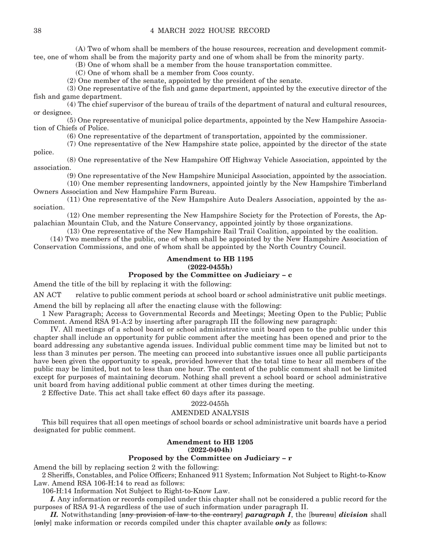(A) Two of whom shall be members of the house resources, recreation and development committee, one of whom shall be from the majority party and one of whom shall be from the minority party.

(B) One of whom shall be a member from the house transportation committee.

(C) One of whom shall be a member from Coos county.

(2) One member of the senate, appointed by the president of the senate.

 (3) One representative of the fish and game department, appointed by the executive director of the fish and game department.

 (4) The chief supervisor of the bureau of trails of the department of natural and cultural resources, or designee.

 (5) One representative of municipal police departments, appointed by the New Hampshire Association of Chiefs of Police.

(6) One representative of the department of transportation, appointed by the commissioner.

 (7) One representative of the New Hampshire state police, appointed by the director of the state police.

 (8) One representative of the New Hampshire Off Highway Vehicle Association, appointed by the association.

(9) One representative of the New Hampshire Municipal Association, appointed by the association.

 (10) One member representing landowners, appointed jointly by the New Hampshire Timberland Owners Association and New Hampshire Farm Bureau.

 (11) One representative of the New Hampshire Auto Dealers Association, appointed by the association.

 (12) One member representing the New Hampshire Society for the Protection of Forests, the Appalachian Mountain Club, and the Nature Conservancy, appointed jointly by those organizations.

(13) One representative of the New Hampshire Rail Trail Coalition, appointed by the coalition.

 (14) Two members of the public, one of whom shall be appointed by the New Hampshire Association of Conservation Commissions, and one of whom shall be appointed by the North Country Council.

### **Amendment to HB 1195 (2022-0455h)**

#### **Proposed by the Committee on Judiciary – c**

Amend the title of the bill by replacing it with the following:

AN ACT relative to public comment periods at school board or school administrative unit public meetings.

Amend the bill by replacing all after the enacting clause with the following:

1 New Paragraph; Access to Governmental Records and Meetings; Meeting Open to the Public; Public Comment. Amend RSA 91-A:2 by inserting after paragraph III the following new paragraph:

 IV. All meetings of a school board or school administrative unit board open to the public under this chapter shall include an opportunity for public comment after the meeting has been opened and prior to the board addressing any substantive agenda issues. Individual public comment time may be limited but not to less than 3 minutes per person. The meeting can proceed into substantive issues once all public participants have been given the opportunity to speak, provided however that the total time to hear all members of the public may be limited, but not to less than one hour. The content of the public comment shall not be limited except for purposes of maintaining decorum. Nothing shall prevent a school board or school administrative unit board from having additional public comment at other times during the meeting.

2 Effective Date. This act shall take effect 60 days after its passage.

#### 2022-0455h

#### AMENDED ANALYSIS

This bill requires that all open meetings of school boards or school administrative unit boards have a period designated for public comment.

#### **Amendment to HB 1205 (2022-0404h)**

#### **Proposed by the Committee on Judiciary – r**

Amend the bill by replacing section 2 with the following:

2 Sheriffs, Constables, and Police Officers; Enhanced 911 System; Information Not Subject to Right-to-Know Law. Amend RSA 106-H:14 to read as follows:

106-H:14 Information Not Subject to Right-to-Know Law.

 *I.* Any information or records compiled under this chapter shall not be considered a public record for the purposes of RSA 91-A regardless of the use of such information under paragraph II.

 *II.* Notwithstanding [any provision of law to the contrary] *paragraph I*, the [bureau] *division* shall [only] make information or records compiled under this chapter available *only* as follows: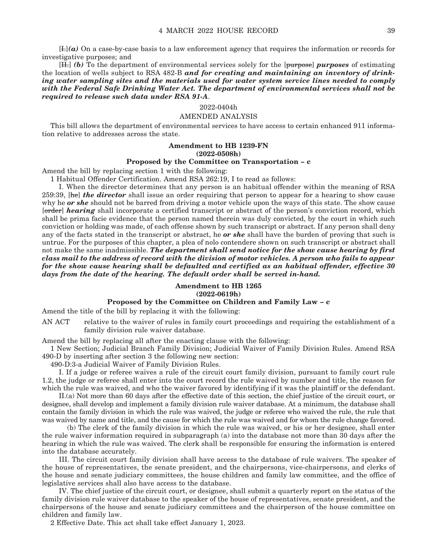[I.]*(a)* On a case-by-case basis to a law enforcement agency that requires the information or records for investigative purposes; and

 [II.] *(b)* To the department of environmental services solely for the [purpose] *purposes* of estimating the location of wells subject to RSA 482-B *and for creating and maintaining an inventory of drinking water sampling sites and the materials used for water system service lines needed to comply with the Federal Safe Drinking Water Act. The department of environmental services shall not be required to release such data under RSA 91-A*.

#### 2022-0404h

#### AMENDED ANALYSIS

This bill allows the department of environmental services to have access to certain enhanced 911 information relative to addresses across the state.

#### **Amendment to HB 1239-FN (2022-0508h)**

#### **Proposed by the Committee on Transportation – c**

Amend the bill by replacing section 1 with the following:

1 Habitual Offender Certification. Amend RSA 262:19, I to read as follows:

 I. When the director determines that any person is an habitual offender within the meaning of RSA 259:39, [he] *the director* shall issue an order requiring that person to appear for a hearing to show cause why he *or she* should not be barred from driving a motor vehicle upon the ways of this state. The show cause [order] *hearing* shall incorporate a certified transcript or abstract of the person's conviction record, which shall be prima facie evidence that the person named therein was duly convicted, by the court in which such conviction or holding was made, of each offense shown by such transcript or abstract. If any person shall deny any of the facts stated in the transcript or abstract, he *or she* shall have the burden of proving that such is untrue. For the purposes of this chapter, a plea of nolo contendere shown on such transcript or abstract shall not make the same inadmissible. *The department shall send notice for the show cause hearing by first class mail to the address of record with the division of motor vehicles. A person who fails to appear for the show cause hearing shall be defaulted and certified as an habitual offender, effective 30 days from the date of the hearing. The default order shall be served in-hand.*

#### **Amendment to HB 1265 (2022-0619h)**

#### **Proposed by the Committee on Children and Family Law – c**

Amend the title of the bill by replacing it with the following:

AN ACT relative to the waiver of rules in family court proceedings and requiring the establishment of a family division rule waiver database.

Amend the bill by replacing all after the enacting clause with the following:

1 New Section; Judicial Branch Family Division; Judicial Waiver of Family Division Rules. Amend RSA 490-D by inserting after section 3 the following new section:

490-D:3-a Judicial Waiver of Family Division Rules.

 I. If a judge or referee waives a rule of the circuit court family division, pursuant to family court rule 1.2, the judge or referee shall enter into the court record the rule waived by number and title, the reason for which the rule was waived, and who the waiver favored by identifying if it was the plaintiff or the defendant.

 II.(a) Not more than 60 days after the effective date of this section, the chief justice of the circuit court, or designee, shall develop and implement a family division rule waiver database. At a minimum, the database shall contain the family division in which the rule was waived, the judge or referee who waived the rule, the rule that was waived by name and title, and the cause for which the rule was waived and for whom the rule change favored.

 (b) The clerk of the family division in which the rule was waived, or his or her designee, shall enter the rule waiver information required in subparagraph (a) into the database not more than 30 days after the hearing in which the rule was waived. The clerk shall be responsible for ensuring the information is entered into the database accurately.

 III. The circuit court family division shall have access to the database of rule waivers. The speaker of the house of representatives, the senate president, and the chairpersons, vice-chairpersons, and clerks of the house and senate judiciary committees, the house children and family law committee, and the office of legislative services shall also have access to the database.

 IV. The chief justice of the circuit court, or designee, shall submit a quarterly report on the status of the family division rule waiver database to the speaker of the house of representatives, senate president, and the chairpersons of the house and senate judiciary committees and the chairperson of the house committee on children and family law.

2 Effective Date. This act shall take effect January 1, 2023.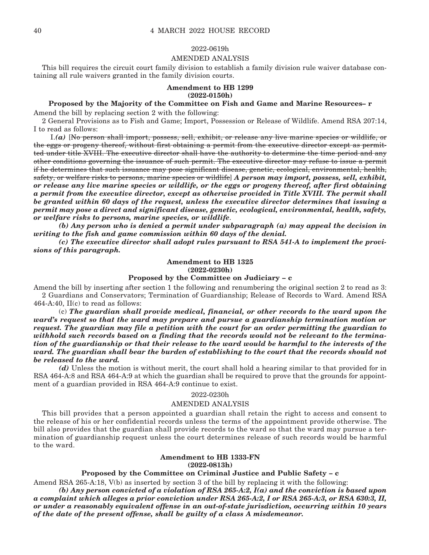#### 2022-0619h

#### AMENDED ANALYSIS

This bill requires the circuit court family division to establish a family division rule waiver database containing all rule waivers granted in the family division courts.

#### **Amendment to HB 1299 (2022-0150h)**

#### **Proposed by the Majority of the Committee on Fish and Game and Marine Resources– r**

Amend the bill by replacing section 2 with the following:

2 General Provisions as to Fish and Game; Import, Possession or Release of Wildlife. Amend RSA 207:14, I to read as follows:

 I.*(a)* [No person shall import, possess, sell, exhibit, or release any live marine species or wildlife, or the eggs or progeny thereof, without first obtaining a permit from the executive director except as permitted under title XVIII. The executive director shall have the authority to determine the time period and any other conditions governing the issuance of such permit. The executive director may refuse to issue a permit if he determines that such issuance may pose significant disease, genetic, ecological, environmental, health, safety, or welfare risks to persons, marine species or wildlife] *A person may import, possess, sell, exhibit, or release any live marine species or wildlife, or the eggs or progeny thereof, after first obtaining a permit from the executive director, except as otherwise provided in Title XVIII. The permit shall be granted within 60 days of the request, unless the executive director determines that issuing a permit may pose a direct and significant disease, genetic, ecological, environmental, health, safety, or welfare risks to persons, marine species, or wildlife*.

 *(b) Any person who is denied a permit under subparagraph (a) may appeal the decision in writing to the fish and game commission within 60 days of the denial.* 

 *(c) The executive director shall adopt rules pursuant to RSA 541-A to implement the provisions of this paragraph.* 

#### **Amendment to HB 1325 (2022-0230h)**

#### **Proposed by the Committee on Judiciary – c**

Amend the bill by inserting after section 1 the following and renumbering the original section 2 to read as 3: 2 Guardians and Conservators; Termination of Guardianship; Release of Records to Ward. Amend RSA  $464-A:40$ ,  $II(c)$  to read as follows:

 (c) *The guardian shall provide medical, financial, or other records to the ward upon the ward's request so that the ward may prepare and pursue a guardianship termination motion or request. The guardian may file a petition with the court for an order permitting the guardian to withhold such records based on a finding that the records would not be relevant to the termination of the guardianship or that their release to the ward would be harmful to the interests of the ward. The guardian shall bear the burden of establishing to the court that the records should not be released to the ward.* 

 *(d)* Unless the motion is without merit, the court shall hold a hearing similar to that provided for in RSA 464-A:8 and RSA 464-A:9 at which the guardian shall be required to prove that the grounds for appointment of a guardian provided in RSA 464-A:9 continue to exist.

#### 2022-0230h

#### AMENDED ANALYSIS

This bill provides that a person appointed a guardian shall retain the right to access and consent to the release of his or her confidential records unless the terms of the appointment provide otherwise. The bill also provides that the guardian shall provide records to the ward so that the ward may pursue a termination of guardianship request unless the court determines release of such records would be harmful to the ward.

#### **Amendment to HB 1333-FN (2022-0813h)**

#### **Proposed by the Committee on Criminal Justice and Public Safety – c**

Amend RSA 265-A:18, V(b) as inserted by section 3 of the bill by replacing it with the following:

 *(b) Any person convicted of a violation of RSA 265-A:2, I(a) and the conviction is based upon a complaint which alleges a prior conviction under RSA 265-A:2, I or RSA 265-A:3, or RSA 630:3, II, or under a reasonably equivalent offense in an out-of-state jurisdiction, occurring within 10 years of the date of the present offense, shall be guilty of a class A misdemeanor.*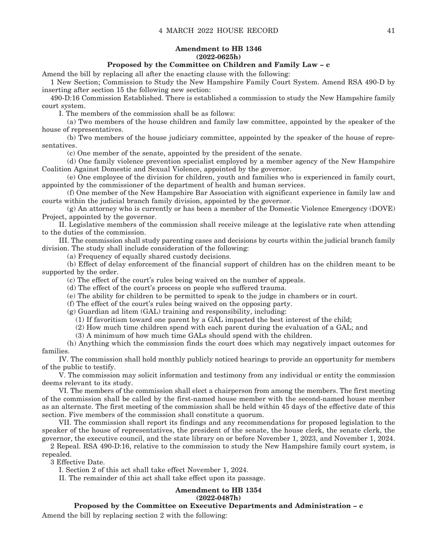#### **Amendment to HB 1346 (2022-0625h)**

#### **Proposed by the Committee on Children and Family Law – c**

Amend the bill by replacing all after the enacting clause with the following:

1 New Section; Commission to Study the New Hampshire Family Court System. Amend RSA 490-D by inserting after section 15 the following new section:

490-D:16 Commission Established. There is established a commission to study the New Hampshire family court system.

I. The members of the commission shall be as follows:

 (a) Two members of the house children and family law committee, appointed by the speaker of the house of representatives.

 (b) Two members of the house judiciary committee, appointed by the speaker of the house of representatives.

(c) One member of the senate, appointed by the president of the senate.

 (d) One family violence prevention specialist employed by a member agency of the New Hampshire Coalition Against Domestic and Sexual Violence, appointed by the governor.

 (e) One employee of the division for children, youth and families who is experienced in family court, appointed by the commissioner of the department of health and human services.

 (f) One member of the New Hampshire Bar Association with significant experience in family law and courts within the judicial branch family division, appointed by the governor.

 (g) An attorney who is currently or has been a member of the Domestic Violence Emergency (DOVE) Project, appointed by the governor.

 II. Legislative members of the commission shall receive mileage at the legislative rate when attending to the duties of the commission.

 III. The commission shall study parenting cases and decisions by courts within the judicial branch family division. The study shall include consideration of the following:

(a) Frequency of equally shared custody decisions.

 (b) Effect of delay enforcement of the financial support of children has on the children meant to be supported by the order.

(c) The effect of the court's rules being waived on the number of appeals.

(d) The effect of the court's process on people who suffered trauma.

(e) The ability for children to be permitted to speak to the judge in chambers or in court.

(f) The effect of the court's rules being waived on the opposing party.

(g) Guardian ad litem (GAL) training and responsibility, including:

(1) If favoritism toward one parent by a GAL impacted the best interest of the child;

(2) How much time children spend with each parent during the evaluation of a GAL; and

(3) A minimum of how much time GALs should spend with the children.

 (h) Anything which the commission finds the court does which may negatively impact outcomes for families.

 IV. The commission shall hold monthly publicly noticed hearings to provide an opportunity for members of the public to testify.

 V. The commission may solicit information and testimony from any individual or entity the commission deems relevant to its study.

 VI. The members of the commission shall elect a chairperson from among the members. The first meeting of the commission shall be called by the first-named house member with the second-named house member as an alternate. The first meeting of the commission shall be held within 45 days of the effective date of this section. Five members of the commission shall constitute a quorum.

 VII. The commission shall report its findings and any recommendations for proposed legislation to the speaker of the house of representatives, the president of the senate, the house clerk, the senate clerk, the governor, the executive council, and the state library on or before November 1, 2023, and November 1, 2024.

2 Repeal. RSA 490-D:16, relative to the commission to study the New Hampshire family court system, is repealed.

3 Effective Date.

I. Section 2 of this act shall take effect November 1, 2024.

II. The remainder of this act shall take effect upon its passage.

### **Amendment to HB 1354**

#### **(2022-0487h)**

**Proposed by the Committee on Executive Departments and Administration – c**

Amend the bill by replacing section 2 with the following: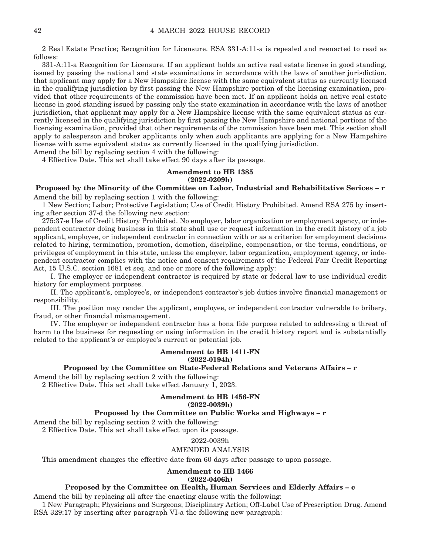2 Real Estate Practice; Recognition for Licensure. RSA 331-A:11-a is repealed and reenacted to read as follows:

331-A:11-a Recognition for Licensure. If an applicant holds an active real estate license in good standing, issued by passing the national and state examinations in accordance with the laws of another jurisdiction, that applicant may apply for a New Hampshire license with the same equivalent status as currently licensed in the qualifying jurisdiction by first passing the New Hampshire portion of the licensing examination, provided that other requirements of the commission have been met. If an applicant holds an active real estate license in good standing issued by passing only the state examination in accordance with the laws of another jurisdiction, that applicant may apply for a New Hampshire license with the same equivalent status as currently licensed in the qualifying jurisdiction by first passing the New Hampshire and national portions of the licensing examination, provided that other requirements of the commission have been met. This section shall apply to salesperson and broker applicants only when such applicants are applying for a New Hampshire license with same equivalent status as currently licensed in the qualifying jurisdiction.

Amend the bill by replacing section 4 with the following:

4 Effective Date. This act shall take effect 90 days after its passage.

#### **Amendment to HB 1385 (2022-0209h)**

#### **Proposed by the Minority of the Committee on Labor, Industrial and Rehabilitative Serices – r** Amend the bill by replacing section 1 with the following:

1 New Section; Labor; Protective Legislation; Use of Credit History Prohibited. Amend RSA 275 by inserting after section 37-d the following new section:

275:37-e Use of Credit History Prohibited. No employer, labor organization or employment agency, or independent contractor doing business in this state shall use or request information in the credit history of a job applicant, employee, or independent contractor in connection with or as a criterion for employment decisions related to hiring, termination, promotion, demotion, discipline, compensation, or the terms, conditions, or privileges of employment in this state, unless the employer, labor organization, employment agency, or independent contractor complies with the notice and consent requirements of the Federal Fair Credit Reporting Act, 15 U.S.C. section 1681 et seq. and one or more of the following apply:

 I. The employer or independent contractor is required by state or federal law to use individual credit history for employment purposes.

 II. The applicant's, employee's, or independent contractor's job duties involve financial management or responsibility.

 III. The position may render the applicant, employee, or independent contractor vulnerable to bribery, fraud, or other financial mismanagement.

 IV. The employer or independent contractor has a bona fide purpose related to addressing a threat of harm to the business for requesting or using information in the credit history report and is substantially related to the applicant's or employee's current or potential job.

#### **Amendment to HB 1411-FN (2022-0194h)**

#### **Proposed by the Committee on State-Federal Relations and Veterans Affairs – r**

Amend the bill by replacing section 2 with the following:

2 Effective Date. This act shall take effect January 1, 2023.

#### **Amendment to HB 1456-FN (2022-0039h)**

#### **Proposed by the Committee on Public Works and Highways – r**

Amend the bill by replacing section 2 with the following:

2 Effective Date. This act shall take effect upon its passage.

#### 2022-0039h

#### AMENDED ANALYSIS

This amendment changes the effective date from 60 days after passage to upon passage.

#### **Amendment to HB 1466**

**(2022-0406h)**

#### **Proposed by the Committee on Health, Human Services and Elderly Affairs – c**

Amend the bill by replacing all after the enacting clause with the following:

1 New Paragraph; Physicians and Surgeons; Disciplinary Action; Off-Label Use of Prescription Drug. Amend RSA 329:17 by inserting after paragraph VI-a the following new paragraph: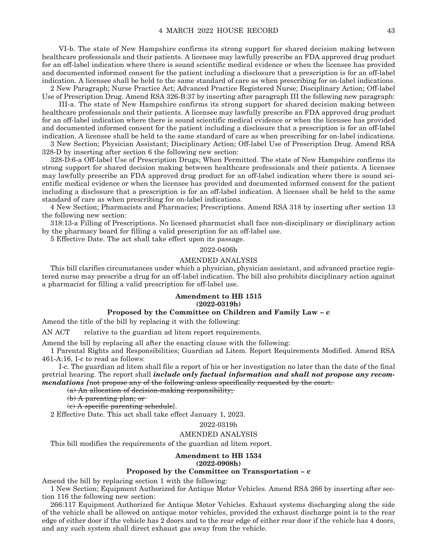VI-b. The state of New Hampshire confirms its strong support for shared decision making between healthcare professionals and their patients. A licensee may lawfully prescribe an FDA approved drug product for an off-label indication where there is sound scientific medical evidence or when the licensee has provided and documented informed consent for the patient including a disclosure that a prescription is for an off-label indication. A licensee shall be held to the same standard of care as when prescribing for on-label indications.

2 New Paragraph; Nurse Practice Act; Advanced Practice Registered Nurse; Disciplinary Action; Off-label Use of Prescription Drug. Amend RSA 326-B:37 by inserting after paragraph III the following new paragraph:

 III-a. The state of New Hampshire confirms its strong support for shared decision making between healthcare professionals and their patients. A licensee may lawfully prescribe an FDA approved drug product for an off-label indication where there is sound scientific medical evidence or when the licensee has provided and documented informed consent for the patient including a disclosure that a prescription is for an off-label indication. A licensee shall be held to the same standard of care as when prescribing for on-label indications.

3 New Section; Physician Assistant; Disciplinary Action; Off-label Use of Prescription Drug. Amend RSA 328-D by inserting after section 6 the following new section:

328-D:6-a Off-label Use of Prescription Drugs; When Permitted. The state of New Hampshire confirms its strong support for shared decision making between healthcare professionals and their patients. A licensee may lawfully prescribe an FDA approved drug product for an off-label indication where there is sound scientific medical evidence or when the licensee has provided and documented informed consent for the patient including a disclosure that a prescription is for an off-label indication. A licensee shall be held to the same standard of care as when prescribing for on-label indications.

4 New Section; Pharmacists and Pharmacies; Prescriptions. Amend RSA 318 by inserting after section 13 the following new section:

318:13-a Filling of Prescriptions. No licensed pharmacist shall face non-disciplinary or disciplinary action by the pharmacy board for filling a valid prescription for an off-label use.

5 Effective Date. The act shall take effect upon its passage.

2022-0406h

#### AMENDED ANALYSIS

This bill clarifies circumstances under which a physician, physician assistant, and advanced practice registered nurse may prescribe a drug for an off-label indication. The bill also prohibits disciplinary action against a pharmacist for filling a valid prescription for off-label use.

#### **Amendment to HB 1515 (2022-0319h)**

#### **Proposed by the Committee on Children and Family Law – c**

Amend the title of the bill by replacing it with the following:

AN ACT relative to the guardian ad litem report requirements.

Amend the bill by replacing all after the enacting clause with the following:

1 Parental Rights and Responsibilities; Guardian ad Litem. Report Requirements Modified. Amend RSA 461-A:16, I-c to read as follows:

 I-c. The guardian ad litem shall file a report of his or her investigation no later than the date of the final pretrial hearing. The report shall *include only factual information and shall not propose any recommendations [not propose any of the following unless specifically requested by the court:* 

(a) An allocation of decision-making responsibility;

(b) A parenting plan; or

(c) A specific parenting schedule].

2 Effective Date. This act shall take effect January 1, 2023.

2022-0319h

#### AMENDED ANALYSIS

This bill modifies the requirements of the guardian ad litem report.

#### **Amendment to HB 1534 (2022-0908h)**

#### **Proposed by the Committee on Transportation – c**

Amend the bill by replacing section 1 with the following:

1 New Section; Equipment Authorized for Antique Motor Vehicles. Amend RSA 266 by inserting after section 116 the following new section:

266:117 Equipment Authorized for Antique Motor Vehicles. Exhaust systems discharging along the side of the vehicle shall be allowed on antique motor vehicles, provided the exhaust discharge point is to the rear edge of either door if the vehicle has 2 doors and to the rear edge of either rear door if the vehicle has 4 doors, and any such system shall direct exhaust gas away from the vehicle.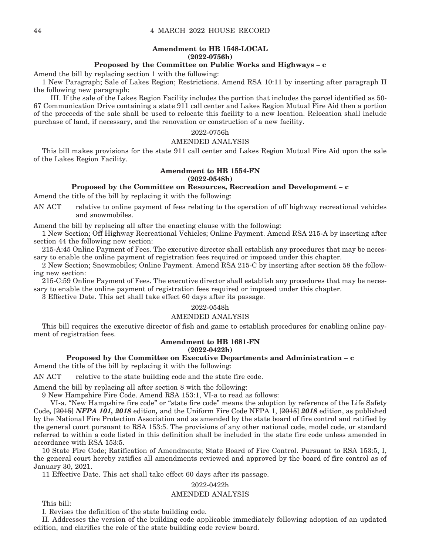#### **Amendment to HB 1548-LOCAL (2022-0756h)**

#### **Proposed by the Committee on Public Works and Highways – c**

Amend the bill by replacing section 1 with the following:

1 New Paragraph; Sale of Lakes Region; Restrictions. Amend RSA 10:11 by inserting after paragraph II the following new paragraph:

 III. If the sale of the Lakes Region Facility includes the portion that includes the parcel identified as 50- 67 Communication Drive containing a state 911 call center and Lakes Region Mutual Fire Aid then a portion of the proceeds of the sale shall be used to relocate this facility to a new location. Relocation shall include purchase of land, if necessary, and the renovation or construction of a new facility.

#### 2022-0756h

#### AMENDED ANALYSIS

This bill makes provisions for the state 911 call center and Lakes Region Mutual Fire Aid upon the sale of the Lakes Region Facility.

#### **Amendment to HB 1554-FN (2022-0548h)**

#### **Proposed by the Committee on Resources, Recreation and Development – c**

Amend the title of the bill by replacing it with the following:

AN ACT relative to online payment of fees relating to the operation of off highway recreational vehicles and snowmobiles.

Amend the bill by replacing all after the enacting clause with the following:

1 New Section; Off Highway Recreational Vehicles; Online Payment. Amend RSA 215-A by inserting after section 44 the following new section:

215-A:45 Online Payment of Fees. The executive director shall establish any procedures that may be necessary to enable the online payment of registration fees required or imposed under this chapter.

2 New Section; Snowmobiles; Online Payment. Amend RSA 215-C by inserting after section 58 the following new section:

215-C:59 Online Payment of Fees. The executive director shall establish any procedures that may be necessary to enable the online payment of registration fees required or imposed under this chapter.

3 Effective Date. This act shall take effect 60 days after its passage.

#### 2022-0548h

#### AMENDED ANALYSIS

This bill requires the executive director of fish and game to establish procedures for enabling online payment of registration fees.

#### **Amendment to HB 1681-FN (2022-0422h)**

#### **Proposed by the Committee on Executive Departments and Administration – c**

Amend the title of the bill by replacing it with the following:

AN ACT relative to the state building code and the state fire code.

Amend the bill by replacing all after section 8 with the following:

9 New Hampshire Fire Code. Amend RSA 153:1, VI-a to read as follows:

 VI-a. "New Hampshire fire code" or "state fire code" means the adoption by reference of the Life Safety Code*,* [2015] *NFPA 101, 2018* edition*,* and the Uniform Fire Code NFPA 1, [2015] *2018* edition, as published by the National Fire Protection Association and as amended by the state board of fire control and ratified by the general court pursuant to RSA 153:5. The provisions of any other national code, model code, or standard referred to within a code listed in this definition shall be included in the state fire code unless amended in accordance with RSA 153:5.

10 State Fire Code; Ratification of Amendments; State Board of Fire Control. Pursuant to RSA 153:5, I, the general court hereby ratifies all amendments reviewed and approved by the board of fire control as of January 30, 2021.

11 Effective Date. This act shall take effect 60 days after its passage.

#### 2022-0422h

#### AMENDED ANALYSIS

This bill:

I. Revises the definition of the state building code.

II. Addresses the version of the building code applicable immediately following adoption of an updated edition, and clarifies the role of the state building code review board.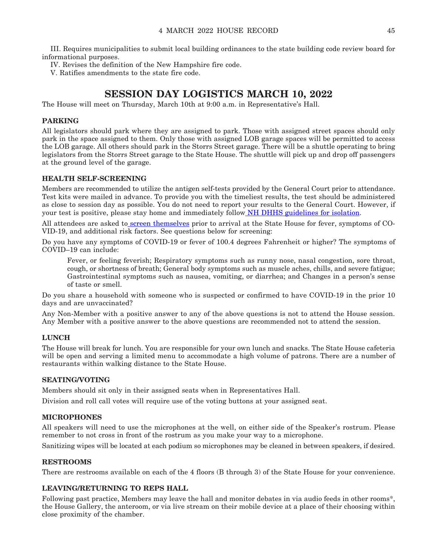III. Requires municipalities to submit local building ordinances to the state building code review board for informational purposes.

IV. Revises the definition of the New Hampshire fire code.

V. Ratifies amendments to the state fire code.

### **SESSION DAY LOGISTICS MARCH 10, 2022**

The House will meet on Thursday, March 10th at 9:00 a.m. in Representative's Hall.

#### **PARKING**

All legislators should park where they are assigned to park. Those with assigned street spaces should only park in the space assigned to them. Only those with assigned LOB garage spaces will be permitted to access the LOB garage. All others should park in the Storrs Street garage. There will be a shuttle operating to bring legislators from the Storrs Street garage to the State House. The shuttle will pick up and drop off passengers at the ground level of the garage.

#### **HEALTH SELF-SCREENING**

Members are recommended to utilize the antigen self-tests provided by the General Court prior to attendance. Test kits were mailed in advance. To provide you with the timeliest results, the test should be administered as close to session day as possible. You do not need to report your results to the General Court. However, if your test is positive, please stay home and immediately follo[w NH DHHS guidelines for isolation](https://www.covid19.nh.gov/sites/g/files/ehbemt481/files/inline-documents/sonh/isolation-and-quarantine-recommendations_0.pdf).

All attendees are asked t[o screen themselves](https://www.cdc.gov/coronavirus/2019-ncov/symptoms-testing/symptoms.html) prior to arrival at the State House for fever, symptoms of CO-VID-19, and additional risk factors. See questions below for screening:

Do you have any symptoms of COVID-19 or fever of 100.4 degrees Fahrenheit or higher? The symptoms of COVID–19 can include:

Fever, or feeling feverish; Respiratory symptoms such as runny nose, nasal congestion, sore throat, cough, or shortness of breath; General body symptoms such as muscle aches, chills, and severe fatigue; Gastrointestinal symptoms such as nausea, vomiting, or diarrhea; and Changes in a person's sense of taste or smell.

Do you share a household with someone who is suspected or confirmed to have COVID-19 in the prior 10 days and are unvaccinated?

Any Non-Member with a positive answer to any of the above questions is not to attend the House session. Any Member with a positive answer to the above questions are recommended not to attend the session.

#### **LUNCH**

The House will break for lunch. You are responsible for your own lunch and snacks. The State House cafeteria will be open and serving a limited menu to accommodate a high volume of patrons. There are a number of restaurants within walking distance to the State House.

#### **SEATING/VOTING**

Members should sit only in their assigned seats when in Representatives Hall.

Division and roll call votes will require use of the voting buttons at your assigned seat.

#### **MICROPHONES**

All speakers will need to use the microphones at the well, on either side of the Speaker's rostrum. Please remember to not cross in front of the rostrum as you make your way to a microphone.

Sanitizing wipes will be located at each podium so microphones may be cleaned in between speakers, if desired.

#### **RESTROOMS**

There are restrooms available on each of the 4 floors (B through 3) of the State House for your convenience.

#### **LEAVING/RETURNING TO REPS HALL**

Following past practice, Members may leave the hall and monitor debates in via audio feeds in other rooms\*, the House Gallery, the anteroom, or via live stream on their mobile device at a place of their choosing within close proximity of the chamber.